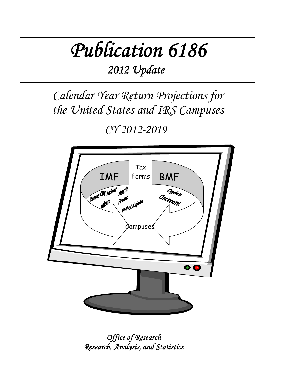# *Publication 6186*

*2012 Update*

*Calendar Year Return Projections for the United States and IRS Campuses*

*CY 2012-2019* 



*Office of Research Research, Analysis, and Statistics*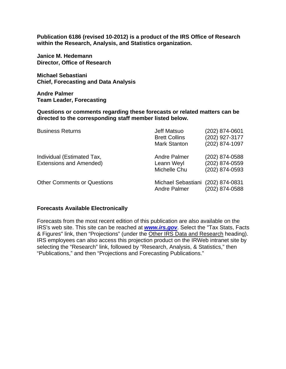**Publication 6186 (revised 10-2012) is a product of the IRS Office of Research within the Research, Analysis, and Statistics organization.** 

**Janice M. Hedemann Director, Office of Research** 

**Michael Sebastiani Chief, Forecasting and Data Analysis** 

**Andre Palmer Team Leader, Forecasting**

**Questions or comments regarding these forecasts or related matters can be directed to the corresponding staff member listed below.** 

| <b>Business Returns</b>                                      | Jeff Matsuo<br><b>Brett Collins</b><br><b>Mark Stanton</b> | (202) 874-0601<br>(202) 927-3177<br>(202) 874-1097 |
|--------------------------------------------------------------|------------------------------------------------------------|----------------------------------------------------|
| Individual (Estimated Tax,<br><b>Extensions and Amended)</b> | <b>Andre Palmer</b><br>Leann Weyl<br>Michelle Chu          | (202) 874-0588<br>(202) 874-0559<br>(202) 874-0593 |
| <b>Other Comments or Questions</b>                           | Michael Sebastiani (202) 874-0831<br>Andre Palmer          | (202) 874-0588                                     |

### **Forecasts Available Electronically**

Forecasts from the most recent edition of this publication are also available on the IRS's web site. This site can be reached at *www.irs.gov*. Select the "Tax Stats, Facts & Figures" link, then "Projections" (under the Other IRS Data and Research heading). IRS employees can also access this projection product on the IRWeb intranet site by selecting the "Research" link, followed by "Research, Analysis, & Statistics," then "Publications," and then "Projections and Forecasting Publications."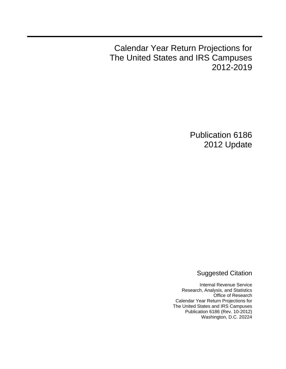Calendar Year Return Projections for The United States and IRS Campuses 2012-2019

> Publication 6186 2012 Update

> > Suggested Citation

Internal Revenue Service Research, Analysis, and Statistics Office of Research Calendar Year Return Projections for The United States and IRS Campuses Publication 6186 (Rev. 10-2012) Washington, D.C. 20224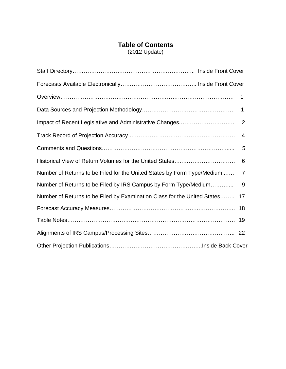# **Table of Contents**

(2012 Update)

|                                                                          | 1  |
|--------------------------------------------------------------------------|----|
|                                                                          | 1  |
|                                                                          | 2  |
|                                                                          | 4  |
|                                                                          | 5  |
|                                                                          | 6  |
| Number of Returns to be Filed for the United States by Form Type/Medium  | 7  |
| Number of Returns to be Filed by IRS Campus by Form Type/Medium          | 9  |
| Number of Returns to be Filed by Examination Class for the United States | 17 |
|                                                                          |    |
|                                                                          |    |
|                                                                          |    |
|                                                                          |    |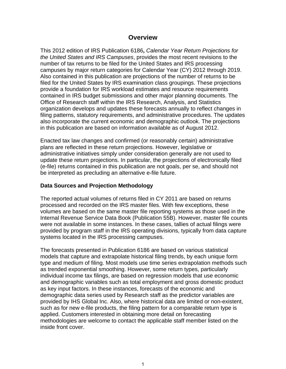# **Overview**

This 2012 edition of IRS Publication 6186**,** *Calendar Year Return Projections for the United States and IRS Campuses*, provides the most recent revisions to the number of tax returns to be filed for the United States and IRS processing campuses by major return categories for Calendar Year (CY) 2012 through 2019. Also contained in this publication are projections of the number of returns to be filed for the United States by IRS examination class groupings. These projections provide a foundation for IRS workload estimates and resource requirements contained in IRS budget submissions and other major planning documents. The Office of Research staff within the IRS Research, Analysis, and Statistics organization develops and updates these forecasts annually to reflect changes in filing patterns, statutory requirements, and administrative procedures. The updates also incorporate the current economic and demographic outlook. The projections in this publication are based on information available as of August 2012.

Enacted tax law changes and confirmed (or reasonably certain) administrative plans are reflected in these return projections. However, legislative or administrative initiatives simply under consideration generally are not used to update these return projections. In particular, the projections of electronically filed (e-file) returns contained in this publication are not goals, per se, and should not be interpreted as precluding an alternative e-file future.

# **Data Sources and Projection Methodology**

The reported actual volumes of returns filed in CY 2011 are based on returns processed and recorded on the IRS master files. With few exceptions, these volumes are based on the same master file reporting systems as those used in the Internal Revenue Service Data Book (Publication 55B). However, master file counts were not available in some instances. In these cases, tallies of actual filings were provided by program staff in the IRS operating divisions, typically from data capture systems located in the IRS processing campuses.

The forecasts presented in Publication 6186 are based on various statistical models that capture and extrapolate historical filing trends, by each unique form type and medium of filing. Most models use time series extrapolation methods such as trended exponential smoothing. However, some return types, particularly individual income tax filings, are based on regression models that use economic and demographic variables such as total employment and gross domestic product as key input factors. In these instances, forecasts of the economic and demographic data series used by Research staff as the predictor variables are provided by IHS Global Inc. Also, where historical data are limited or non-existent, such as for new e-file products, the filing pattern for a comparable return type is applied. Customers interested in obtaining more detail on forecasting methodologies are welcome to contact the applicable staff member listed on the inside front cover.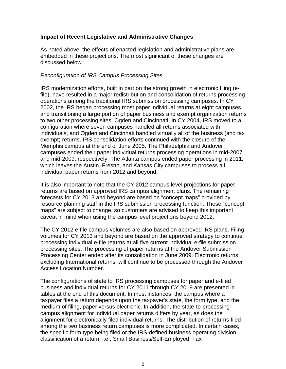# **Impact of Recent Legislative and Administrative Changes**

As noted above, the effects of enacted legislation and administrative plans are embedded in these projections. The most significant of these changes are discussed below.

# *Reconfiguration of IRS Campus Processing Sites*

IRS modernization efforts, built in part on the strong growth in electronic filing (efile), have resulted in a major redistribution and consolidation of returns processing operations among the traditional IRS submission processing campuses. In CY 2002, the IRS began processing most paper individual returns at eight campuses, and transitioning a large portion of paper business and exempt organization returns to two other processing sites, Ogden and Cincinnati. In CY 2004, IRS moved to a configuration where seven campuses handled all returns associated with individuals, and Ogden and Cincinnati handled virtually all of the business (and tax exempt) returns. IRS consolidation efforts continued with the closure of the Memphis campus at the end of June 2005. The Philadelphia and Andover campuses ended their paper individual returns processing operations in mid-2007 and mid-2009, respectively. The Atlanta campus ended paper processing in 2011, which leaves the Austin, Fresno, and Kansas City campuses to process all individual paper returns from 2012 and beyond.

It is also important to note that the CY 2012 campus level projections for paper returns are based on approved IRS campus alignment plans. The remaining forecasts for CY 2013 and beyond are based on "concept maps" provided by resource planning staff in the IRS submission processing function. These "concept maps" are subject to change, so customers are advised to keep this important caveat in mind when using the campus level projections beyond 2012.

The CY 2012 e-file campus volumes are also based on approved IRS plans. Filing volumes for CY 2013 and beyond are based on the approved strategy to continue processing individual e-file returns at all five current individual e-file submission processing sites. The processing of paper returns at the Andover Submission Processing Center ended after its consolidation in June 2009. Electronic returns, excluding International returns, will continue to be processed through the Andover Access Location Number.

The configurations of state to IRS processing campuses for paper and e-filed business and individual returns for CY 2011 through CY 2019 are presented in tables at the end of this document. In most instances, the campus where a taxpayer files a return depends upon the taxpayer's state, the form type, and the medium of filing, paper versus electronic. In addition, the state-to-processing campus alignment for individual paper returns differs by year, as does the alignment for electronically filed individual returns. The distribution of returns filed among the two business return campuses is more complicated. In certain cases, the specific form type being filed or the IRS-defined business operating division classification of a return, i.e., Small Business/Self-Employed, Tax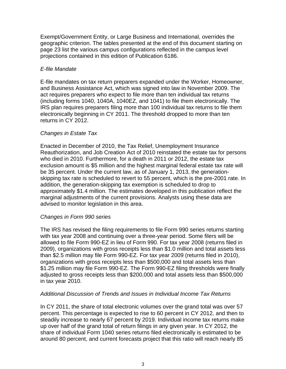Exempt/Government Entity, or Large Business and International, overrides the geographic criterion. The tables presented at the end of this document starting on page 23 list the various campus configurations reflected in the campus level projections contained in this edition of Publication 6186.

# *E-file Mandate*

E-file mandates on tax return preparers expanded under the Worker, Homeowner, and Business Assistance Act, which was signed into law in November 2009. The act requires preparers who expect to file more than ten individual tax returns (including forms 1040, 1040A, 1040EZ, and 1041) to file them electronically. The IRS plan requires preparers filing more than 100 individual tax returns to file them electronically beginning in CY 2011. The threshold dropped to more than ten returns in CY 2012.

# *Changes in Estate Tax*

Enacted in December of 2010, the Tax Relief, Unemployment Insurance Reauthorization, and Job Creation Act of 2010 reinstated the estate tax for persons who died in 2010. Furthermore, for a death in 2011 or 2012, the estate tax exclusion amount is \$5 million and the highest marginal federal estate tax rate will be 35 percent. Under the current law, as of January 1, 2013, the generationskipping tax rate is scheduled to revert to 55 percent, which is the pre-2001 rate. In addition, the generation-skipping tax exemption is scheduled to drop to approximately \$1.4 million. The estimates developed in this publication reflect the marginal adjustments of the current provisions. Analysts using these data are advised to monitor legislation in this area.

# *Changes in Form 990 series*

The IRS has revised the filing requirements to file Form 990 series returns starting with tax year 2008 and continuing over a three-year period. Some filers will be allowed to file Form 990-EZ in lieu of Form 990. For tax year 2008 (returns filed in 2009), organizations with gross receipts less than \$1.0 million and total assets less than \$2.5 million may file Form 990-EZ. For tax year 2009 (returns filed in 2010), organizations with gross receipts less than \$500,000 and total assets less than \$1.25 million may file Form 990-EZ. The Form 990-EZ filing thresholds were finally adjusted to gross receipts less than \$200,000 and total assets less than \$500,000 in tax year 2010.

# *Additional Discussion of Trends and Issues in Individual Income Tax Returns*

In CY 2011, the share of total electronic volumes over the grand total was over 57 percent. This percentage is expected to rise to 60 percent in CY 2012, and then to steadily increase to nearly 67 percent by 2019. Individual income tax returns make up over half of the grand total of return filings in any given year. In CY 2012, the share of individual Form 1040 series returns filed electronically is estimated to be around 80 percent, and current forecasts project that this ratio will reach nearly 85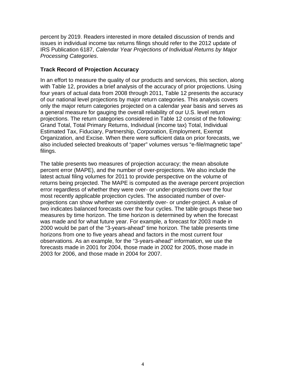percent by 2019. Readers interested in more detailed discussion of trends and issues in individual income tax returns filings should refer to the 2012 update of IRS Publication 6187, *Calendar Year Projections of Individual Returns by Major Processing Categories*.

# **Track Record of Projection Accuracy**

In an effort to measure the quality of our products and services, this section, along with Table 12, provides a brief analysis of the accuracy of prior projections. Using four years of actual data from 2008 through 2011, Table 12 presents the accuracy of our national level projections by major return categories. This analysis covers only the major return categories projected on a calendar year basis and serves as a general measure for gauging the overall reliability of our U.S. level return projections. The return categories considered in Table 12 consist of the following: Grand Total, Total Primary Returns, Individual (income tax) Total, Individual Estimated Tax, Fiduciary, Partnership, Corporation, Employment, Exempt Organization, and Excise. When there were sufficient data on prior forecasts, we also included selected breakouts of "paper" volumes versus "e-file/magnetic tape" filings.

The table presents two measures of projection accuracy; the mean absolute percent error (MAPE), and the number of over-projections. We also include the latest actual filing volumes for 2011 to provide perspective on the volume of returns being projected. The MAPE is computed as the average percent projection error regardless of whether they were over- or under-projections over the four most recently applicable projection cycles. The associated number of overprojections can show whether we consistently over- or under-project. A value of two indicates balanced forecasts over the four cycles. The table groups these two measures by time horizon. The time horizon is determined by when the forecast was made and for what future year. For example, a forecast for 2003 made in 2000 would be part of the "3-years-ahead" time horizon. The table presents time horizons from one to five years ahead and factors in the most current four observations. As an example, for the "3-years-ahead" information, we use the forecasts made in 2001 for 2004, those made in 2002 for 2005, those made in 2003 for 2006, and those made in 2004 for 2007.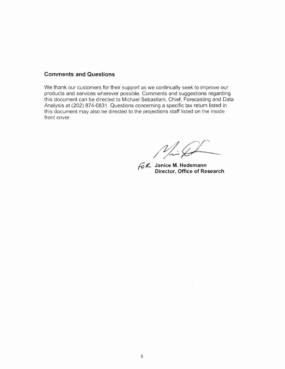### **Comments and Questions**

We thank our customers for their support as we continually seek to improve our products and services wherever possible. Comments and suggestions regarding this document can be directed to Michael Sebastiani, Chief, Forecasting and Data Analysis at (202) 874-0831. Questions concerning a specific tax return listed in this document may also be directed to the projections staff listed on the inside front cover.

 $\mathcal{N} \neq \mathcal{N}$ 

 $\lambda$ 

**Janice M. Hedemann Director, Office of Research**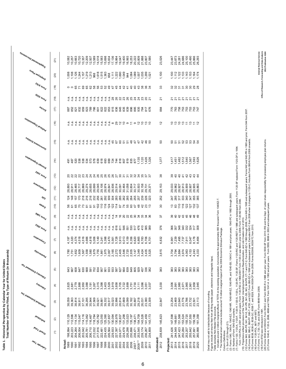| s <sub>juaunoo</sub> o le <sub>luaualddho</sub> | (21)              |                  |                                                                                                                                                                                                                                                                                                                            |                               |                |                                              |                    |                                     |                    |                      |         |                    |         |                    |                  |          |                  |                    |         | 23,026             |                                                                                |         |         |                             |         |                            |      |                                                                                                                                                                                                                                                 |
|-------------------------------------------------|-------------------|------------------|----------------------------------------------------------------------------------------------------------------------------------------------------------------------------------------------------------------------------------------------------------------------------------------------------------------------------|-------------------------------|----------------|----------------------------------------------|--------------------|-------------------------------------|--------------------|----------------------|---------|--------------------|---------|--------------------|------------------|----------|------------------|--------------------|---------|--------------------|--------------------------------------------------------------------------------|---------|---------|-----------------------------|---------|----------------------------|------|-------------------------------------------------------------------------------------------------------------------------------------------------------------------------------------------------------------------------------------------------|
| sueld askoldula                                 | $\widehat{8}$     |                  |                                                                                                                                                                                                                                                                                                                            |                               |                |                                              |                    |                                     |                    |                      |         |                    |         |                    |                  |          |                  |                    |         | 1,100              | $1000$<br>$12000$<br>$1500$<br>$1500$<br>$1500$<br>$150$                       |         |         |                             |         |                            |      |                                                                                                                                                                                                                                                 |
| ZSL8 WJOJ                                       | (19)              |                  |                                                                                                                                                                                                                                                                                                                            |                               |                |                                              |                    |                                     |                    |                      |         |                    |         |                    |                  |          |                  |                    |         | జ                  |                                                                                |         |         | ន្តន្តន្តន្តន               |         |                            |      |                                                                                                                                                                                                                                                 |
| OEES UNOS                                       | (18)              |                  |                                                                                                                                                                                                                                                                                                                            |                               |                |                                              |                    |                                     |                    |                      |         |                    |         |                    |                  |          |                  |                    |         | 24                 |                                                                                |         |         |                             |         |                            |      |                                                                                                                                                                                                                                                 |
| <b>esions</b>                                   | (17)              |                  |                                                                                                                                                                                                                                                                                                                            |                               |                |                                              |                    |                                     |                    |                      |         |                    |         |                    |                  |          |                  |                    |         | 884                | <b>EEEEEEEF</b>                                                                |         |         |                             |         |                            |      |                                                                                                                                                                                                                                                 |
| uojieziue6io leanist                            | $\widetilde{e}$   |                  |                                                                                                                                                                                                                                                                                                                            |                               |                |                                              |                    |                                     |                    |                      |         |                    |         |                    |                  |          |                  |                    |         | 5,                 |                                                                                |         |         |                             |         |                            |      |                                                                                                                                                                                                                                                 |
| sannu3 luauluanoo                               | (15)              |                  |                                                                                                                                                                                                                                                                                                                            |                               |                |                                              |                    |                                     |                    |                      |         |                    |         |                    |                  |          |                  |                    |         | ន                  |                                                                                |         |         | <b>ត្តក្តុនានា</b> គត       |         |                            |      |                                                                                                                                                                                                                                                 |
| uojieziue610 idiuex3                            | (14)              |                  |                                                                                                                                                                                                                                                                                                                            |                               |                |                                              |                    |                                     |                    |                      |         |                    |         |                    |                  |          |                  |                    |         | 1,377              | $1,47$<br>$-1,482$<br>$-1,540$<br>$-1,560$<br>$-1,560$<br>$-1,560$<br>$-1,560$ |         |         |                             |         |                            |      |                                                                                                                                                                                                                                                 |
| thol unos                                       | (13)              |                  | <b>888888888888855558855555</b>                                                                                                                                                                                                                                                                                            |                               |                |                                              |                    |                                     |                    |                      |         |                    |         |                    |                  |          |                  |                    |         | 38                 |                                                                                |         |         | 8332733337                  |         |                            |      |                                                                                                                                                                                                                                                 |
| <b>Juandolarda</b>                              | (12)              |                  |                                                                                                                                                                                                                                                                                                                            |                               |                |                                              |                    |                                     |                    |                      |         |                    |         |                    |                  |          |                  | 29,731<br>29,371   |         | 29,153             | 29.9827<br>28.9827<br>28.98.99<br>28.98.99                                     |         |         |                             |         | 28,907<br>28,905<br>28,863 |      |                                                                                                                                                                                                                                                 |
| 物                                               | $\widetilde{(-)}$ |                  |                                                                                                                                                                                                                                                                                                                            |                               |                |                                              |                    |                                     |                    |                      |         |                    |         |                    |                  |          |                  |                    |         | 252                |                                                                                |         |         | $7878787888$                |         |                            |      |                                                                                                                                                                                                                                                 |
| elels?                                          | $\frac{1}{2}$     |                  | 8682255552552555884838                                                                                                                                                                                                                                                                                                     |                               |                |                                              |                    |                                     |                    |                      |         |                    |         |                    |                  |          |                  |                    |         | $80^{\circ}$       |                                                                                |         |         |                             |         |                            |      |                                                                                                                                                                                                                                                 |
| 9901 W103                                       | ම                 |                  | ははははははははははははははやの25043481。                                                                                                                                                                                                                                                                                                  |                               |                |                                              |                    |                                     |                    |                      |         |                    |         |                    |                  |          |                  |                    |         | 57                 |                                                                                |         |         | <b>80444444</b><br>80444444 |         |                            |      |                                                                                                                                                                                                                                                 |
| ESS2 WIOJ                                       | ම                 |                  |                                                                                                                                                                                                                                                                                                                            |                               |                |                                              |                    |                                     |                    |                      |         |                    |         |                    |                  |          |                  |                    |         | 376                |                                                                                |         |         | 865333358                   |         |                            |      |                                                                                                                                                                                                                                                 |
| uollelodioo                                     | ε                 |                  | $44444440$<br>$4444440$ $00000$ $00000$ $00000$                                                                                                                                                                                                                                                                            |                               |                |                                              |                    |                                     |                    |                      |         |                    |         |                    |                  |          | 6,865<br>6,783   | 6,706<br>6,701     |         | 6,832              | 6 7 7 7 7 8 8 8<br>6 7 7 7 9 0 7 7 8<br>6 8 8 7 7 7 8 9<br>6 9 8 7 7 7 8 9     |         |         |                             |         |                            |      |                                                                                                                                                                                                                                                 |
| dinarionised                                    | ම                 |                  | $\begin{array}{l} 0 \  \, \tau \  \  \, 0 \  \  \, 0 \  \  \, 0 \  \  \, 0 \  \  \, 0 \  \  \, 0 \  \  \, 0 \  \  \, 0 \  \  \, 0 \  \  \, 0 \  \  \, 0 \  \  \, 0 \  \  \, 0 \  \  \, 0 \  \  \, 0 \  \  \, 0 \  \  \, 0 \  \  \, 0 \  \  \, 0 \  \  \, 0 \  \  \, 0 \  \  \, 0 \  \  \, 0 \  \  \, 0 \  \  \, 0 \  \  \$ |                               |                |                                              |                    |                                     |                    |                      |         |                    |         |                    |                  |          |                  | 435                |         | 3,615              |                                                                                |         |         |                             |         |                            |      | excludes the approximately 800 thousand Form 1040EZ-T.<br>ipe).                                                                                                                                                                                 |
| Tel Deferming Telement                          | ල                 |                  |                                                                                                                                                                                                                                                                                                                            |                               |                |                                              |                    |                                     |                    |                      |         |                    |         |                    |                  |          |                  |                    |         | 383                |                                                                                |         |         | ន្តន្តន្តន្តន្តន្តន         |         |                            |      |                                                                                                                                                                                                                                                 |
| <b>AJBIONDIA</b>                                | €                 | 2,625<br>2,681   |                                                                                                                                                                                                                                                                                                                            | 2,779<br>2,888                | 2,950<br>3,088 |                                              |                    |                                     |                    |                      |         |                    |         |                    |                  |          | 3,111<br>3,096   | 3,051<br>3,037     |         | 3,030              | 00<br>00 50 60<br>00 00 00 00<br>00 00 00 00 00 00                             |         |         |                             |         | 2,961<br>2,958<br>2,945    |      |                                                                                                                                                                                                                                                 |
| <b>Xel Peletures lenning</b>                    | ම                 | 38,059<br>39,363 |                                                                                                                                                                                                                                                                                                                            | 38,814<br>38,911<br>37,101    | 36,295         | 360753753864<br>3608536586566<br>36088888888 |                    |                                     |                    |                      |         |                    |         | 29,099             | 30,182<br>30,897 |          | 29,218<br>26,031 | 23,380<br>23,309   |         | 22,847             | 23,254<br>23,469                                                               |         | 23,640  | 23,776<br>23,786            |         | 23,732<br>23,501<br>23,113 |      | Figures include all returns filed from all filing media (paper, electronic and magnetic ta<br>* Includes around 2 million marginal effects of TETR on the existing population, but<br>Detail may not add to total/subtotal because of rounding. |
| lenpinipul                                      | ି                 | 10,129           | 12,596<br>114,134                                                                                                                                                                                                                                                                                                          | 14,116<br>115,047             | 115,062        | 118,784<br>116,467                           |                    | $120,782$<br>$123,050$<br>$125,390$ | 127,657            | 130,094              | 130,978 | 130,837<br>131,298 |         | 133,023<br>135,197 | 138,471          | 154,709  | 143,526          | 141,459            | 143,173 | 145,823            | 147,598                                                                        | 149,661 | 151,568 | 153,524<br>155,720          | 157,550 | 159,188<br>161,358         |      | Table excludes Non-Master File accounts.                                                                                                                                                                                                        |
| lelol pueso                                     | ε                 | 198,994          | 203,223                                                                                                                                                                                                                                                                                                                    | 203,042<br>204,264<br>206,004 | 205,781        | 206,710<br>212,032                           | 217,916            | 222,481                             | 224,435<br>226,564 | 229,933              | 227,397 | 224,071            | 224,478 | 226,298<br>230,896 | 238,471          | 253,545  | 239,174          | 236,267<br>234,859 |         | 238,839            | 241,426                                                                        | 244,549 | 247,423 | 250,284<br>253,207          | 255,642 | 257,691<br>260,998         |      |                                                                                                                                                                                                                                                 |
| Jean Hebury                                     |                   | Actual<br>1989   | 0661<br>1991                                                                                                                                                                                                                                                                                                               | 1992<br>1993                  | 1994           | 1995                                         | 88<br>1986<br>1989 |                                     |                    | 2000<br>2001<br>2002 |         | 2003<br>2004       |         | 2005<br>2006       | 2007             | $2008**$ | 2009             | 2011               |         | Estimated:<br>2012 | Projected:<br>2013                                                             | 2014    | 2015    | 2016                        | 2018    |                            | 2019 | f<br>H                                                                                                                                                                                                                                          |

\*\* The Individual return volume includes around 15 million marginal impact of the 2008 Economic Stimulus Package.

Column Definitions:

(1) Sum of (2) through (21).

(2) Forms 1040, 1040-A, 1040-EZ, 1040-NR, 1040-NR-EZ, 1040-PR, and 1040-SS; 1040-C in 1991 and prior years; 1040-PC in 1992 through 2000.

(3) Number of Form 1040-ES vouchers.

" The Indepical redune includes around 15 million marginal impact drie 2008 Economic Simulus Pasage.<br>"The Indepication would be a state of the Pasage of the 2008 Economic Simulus Pasage.<br>(1) Sum of 21 mouph 21, 2004 104-04 (7) Forms 1120, 1120-A, 1120-F, 1120-H, 1120-S, 1120-L, 1120-PC, 1120-SF; Forms 1120-RIC and 1120-REIT in 1988 and subsequent years; Form 1120-SF replaced Form 1120-DF in 1994.

Form 1120-POL in 2001 and prior years; Form 1120-FSC in 1988-2007; Form 1120-C was 990-C prior to 2006; Form 1120-ND from 2006.

(10) Projections reflect provisions of the Tax Relief, Unemployment Insurance Reauthorization, and Job Creation Act of 2010.

(12) Forms 940, 940-PR, 941, 941-E, 941-PR, 941-SS, 943, 943-PR, CT-1 and CT-2; Form 940-EZ in 1990 through 2006; Form 945 in 1995 and subsequent years; Forms 942 and 942-PR in 1995 and prior; Form 944 from 2007.

(14) Forms 990, 990-C, 990-PF, 990-T, 4720, and 5227; Form 990-EZ in 1990 and subsequent years; Excludes 990-C from 2006 when it changes to 1120-C; Includes Form 990-N from 2008 onwards.

(15) Forms 8038, 8038-G, 8038-GC, 8038-T, and 8328; Form 8038-CP from 2009; Forms 8038-B, 8038-TC from 2010.

(16) Forms 1120-POL, 8871 and 8872.

(17) Forms 11-C, 720, 730, and 2290; Form 8849 from 2008. **Internal Revenue Service**

(19) Form 8752 was introduced in 1991. **Office of Research, Forecasting and Data Analysis**

(20) Forms 5500 and 5500-EZ; Form 5500-C and Form 5500-R in 1988 and prior year; Form 5500-SF from 2010; IRS and the Dept. of Labor share responsibility for processing employee plan returns. **2012 Publication 6186** (21) Forms 1040-X, 1120-X, 2688, 4868 and 7004; Form 1041-A in 1992 and prior years. Form 5558, 8868 in 2002 and subsequent years.

Office of Research, Forecasting and Data Analysis<br>2012 Publication 6186 Internal Revenue Service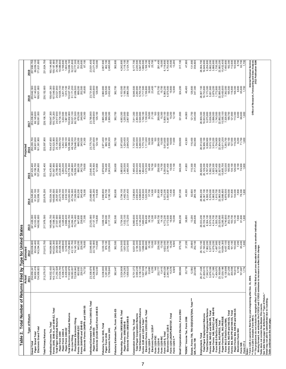| Table 2. Total Number of Returns Filed b                                                                                                                                                                                                                                                                                                                                                                                                                           |                                                                                                                                                                                                                                                                           | y Type for United States                                                                                                                                                          |                                                                                                                                                                                                                                                           |                                                                                                                                                                                                                                                                                                           |                                                                                                                                                                                                                                                          |                                                                                                                                                                                                                                                           |                                                                                                                                                                                                                                                                       |                                                                                                                                                                                                                                                                    |                                                                                                                                                                                                                                                               |
|--------------------------------------------------------------------------------------------------------------------------------------------------------------------------------------------------------------------------------------------------------------------------------------------------------------------------------------------------------------------------------------------------------------------------------------------------------------------|---------------------------------------------------------------------------------------------------------------------------------------------------------------------------------------------------------------------------------------------------------------------------|-----------------------------------------------------------------------------------------------------------------------------------------------------------------------------------|-----------------------------------------------------------------------------------------------------------------------------------------------------------------------------------------------------------------------------------------------------------|-----------------------------------------------------------------------------------------------------------------------------------------------------------------------------------------------------------------------------------------------------------------------------------------------------------|----------------------------------------------------------------------------------------------------------------------------------------------------------------------------------------------------------------------------------------------------------|-----------------------------------------------------------------------------------------------------------------------------------------------------------------------------------------------------------------------------------------------------------|-----------------------------------------------------------------------------------------------------------------------------------------------------------------------------------------------------------------------------------------------------------------------|--------------------------------------------------------------------------------------------------------------------------------------------------------------------------------------------------------------------------------------------------------------------|---------------------------------------------------------------------------------------------------------------------------------------------------------------------------------------------------------------------------------------------------------------|
| Type of Return                                                                                                                                                                                                                                                                                                                                                                                                                                                     | Actual<br>2011                                                                                                                                                                                                                                                            | Estimated                                                                                                                                                                         | 2013                                                                                                                                                                                                                                                      |                                                                                                                                                                                                                                                                                                           |                                                                                                                                                                                                                                                          | Projected<br>2016                                                                                                                                                                                                                                         | 2017                                                                                                                                                                                                                                                                  |                                                                                                                                                                                                                                                                    |                                                                                                                                                                                                                                                               |
| Electronic Grand Total<br>Paper Grand Total<br>Grand Total                                                                                                                                                                                                                                                                                                                                                                                                         | 234,859,241<br>99,900,418<br>134,958,823                                                                                                                                                                                                                                  | 2012<br>238,838,600<br>95,544,400<br>143,294,200                                                                                                                                  | 93,333,400<br>241,426,000<br>148,092,600                                                                                                                                                                                                                  | $\frac{2014}{244,549,200}$<br>91,591,100<br>152,958,100                                                                                                                                                                                                                                                   | 2015<br>247,423,400<br>90,158,700<br>157,264,600                                                                                                                                                                                                         | 250,283,700<br>88,901,800<br>161,381,900                                                                                                                                                                                                                  | 253,206,600<br>88,145,600<br>165,061,000                                                                                                                                                                                                                              | $\frac{2018}{255,642,500}$<br>87,140,600<br>168,501,800                                                                                                                                                                                                            | $\frac{2019}{257,690,700}$<br>86,059,100<br>171,631,600                                                                                                                                                                                                       |
| <b>Total Primary Returns</b>                                                                                                                                                                                                                                                                                                                                                                                                                                       | 213,279,513                                                                                                                                                                                                                                                               | 215,812,700                                                                                                                                                                       | 217,978,500                                                                                                                                                                                                                                               | 220,676,200                                                                                                                                                                                                                                                                                               | 223, 142, 400                                                                                                                                                                                                                                            | 225,597,900                                                                                                                                                                                                                                               | 228, 106, 700                                                                                                                                                                                                                                                         | 230, 152, 600                                                                                                                                                                                                                                                      | 231,824,700                                                                                                                                                                                                                                                   |
| Forms 1040, 1040-A, and 1040-EZ, Total<br>Total Paper Individual Returns<br>Individual Income Tax, Total                                                                                                                                                                                                                                                                                                                                                           |                                                                                                                                                                                                                                                                           |                                                                                                                                                                                   | 148,484,700                                                                                                                                                                                                                                               | $[ \begin{smallmatrix} 160.554, 100 \\ 149.660.500 \\ 26.597, 500 \\ 20.273, 100 \\ 20.273, 100 \\ 3.692, 300 \\ 45, 754, 000 \\ 245, 754, 000 \\ 123.063, 000 \\ 45, 754, 000 \\ 77, 309, 000 \\ \end{smallmatrix} ]$                                                                                    |                                                                                                                                                                                                                                                          |                                                                                                                                                                                                                                                           |                                                                                                                                                                                                                                                                       |                                                                                                                                                                                                                                                                    |                                                                                                                                                                                                                                                               |
| Paper Form 1040-EZ<br>Total Electronic Individual Returns<br>Paper Form 1040-A<br>Paper Form 1040                                                                                                                                                                                                                                                                                                                                                                  |                                                                                                                                                                                                                                                                           | $\begin{array}{l} 146,694,800\\ 145,823,300\\ 28,526,500\\ 20,408,700\\ 4,899,800\\ 4,3218,000\\ 17,296,800\\ 171,296,800\\ 143,151,700\\ 74,315,700\\ 74,43,151,700 \end{array}$ | $\begin{array}{l} 1417,598,300\\ 27,557,600\\ 20,362,800\\ 20,362,400\\ 4,326,400\\ 2,436,400\\ 2,436,400\\ 2,436,400\\ 2,436,300\\ 2,436,400\\ 2,436,400\\ 2,436,400\\ 2,436,400\\ 2,436,400\\ 2,436,400\\ 2,436,400\\ 2,436,400\\ 2,436,400\\ 2,436,40$ |                                                                                                                                                                                                                                                                                                           | $\begin{array}{l} 152,470,800\\ 151,567,900\\ 25,789,600\\ 20,220,400\\ 3,294,200\\ 2,275,000\\ 2,275,000\\ 2,478,300\\ 2,47,268,600\\ 74,786,600\\ 78,509,700\\ \end{array}$                                                                            | $[\begin{array}{l} 154,437,600\\ 153,523,900\\ 25,134,900\\ 19,893,700\\ 3,242,100\\ 3,242,100\\ 1,999,100\\ 1,2000\\ 1,2000\\ 48,740.300\\ 48,48,740.300 \end{array}$                                                                                    | $\begin{array}{l} 156,647,300\\ 155,720,200\\ 24,917,600\\ 19,734,100\\ 3,222,500\\ 1,961,000\\ 1,961,000\\ 1,961,000\\ 50,021,100 \end{array}$                                                                                                                       | $[\begin{array}{l} 158,491,300\\ 157,549,800\\ 24,521,900\\ 19,505,100\\ 3,201,700\\ 1,815,100\\ 1,815,100\\ 1,815,100\\ 1,913,027,700\\ 51,171,200\\ 81,806,500 \end{array}$                                                                                      |                                                                                                                                                                                                                                                               |
| Electronic Forms 1040PR- and 1040-SS<br>Practitioner Electronic Filing<br>Forms 1040-PR and 1040-SS<br>Forms 1040-NR/NR-EZ/C<br>On-Line Filing                                                                                                                                                                                                                                                                                                                     | $\begin{array}{l} 144,002,430\\ 143,173,207\\ 231,250,528\\ 31,303,744\\ 51,503,440\\ 61,909,409\\ 71,922,679\\ 71,922,633\\ 720,833\\ 720,831\\ 74,733 \end{array}$                                                                                                      | 643,200<br>228,300<br>76,600                                                                                                                                                      | 238,600<br>77,300                                                                                                                                                                                                                                         | 653,200<br>240,400<br>78,300                                                                                                                                                                                                                                                                              | 660,200<br>242,700<br>79,600                                                                                                                                                                                                                             | 79,648,700<br>668,200<br>245,500<br>81,300                                                                                                                                                                                                                | 80,781,500<br>678,200<br>248,900<br>83,300                                                                                                                                                                                                                            | 689,200<br>252,500<br>85,600                                                                                                                                                                                                                                       | $[160, 144, 600\n159, 187, 800\n159, 181, 700\n24, 188, 700\n19, 308, 800\n19, 198, 600, 200\n19, 198, 221, 1800\n19, 200\n200\n200\n200\n200$<br>87,100                                                                                                      |
| Individual Estimated Tax, Form 1040-ES, Total<br>Electronic (Credit Card) Form 1040-ES<br>Paper Form 1040-ES                                                                                                                                                                                                                                                                                                                                                       | 23,308,676<br>23,206,646<br>102,030                                                                                                                                                                                                                                       | 22,846,600<br>22,732,800<br>113,800                                                                                                                                               | 23,253,900<br>23,137,100<br>116,800                                                                                                                                                                                                                       | 23,468,600<br>23,349,200<br>119,400                                                                                                                                                                                                                                                                       | 23,640,300<br>23,518,500<br>121,800                                                                                                                                                                                                                      | 23,775,700<br>23,651,600<br>124,100                                                                                                                                                                                                                       | 126,100<br>23,785,900<br>23,659,800                                                                                                                                                                                                                                   | 23,731,800<br>23,603,800<br>128,000                                                                                                                                                                                                                                | 23,501,400<br>23,371,400<br>130,000                                                                                                                                                                                                                           |
| Fiduciary, Form 1041, Total<br>Electronic Form 1041<br>Paper Form 1041                                                                                                                                                                                                                                                                                                                                                                                             | 3,036,900<br>1,755,840                                                                                                                                                                                                                                                    | ,030,100<br>976,100<br>054,000<br>ω.                                                                                                                                              | ,006,100<br>889,000<br>,117,100<br>ω.<br>$\sim$                                                                                                                                                                                                           | 2,990,800<br>810,700<br>2,180,100                                                                                                                                                                                                                                                                         | ,979,600<br>736,400<br>,243,200<br>$\sim$<br>$\sim$                                                                                                                                                                                                      | 2,971,400<br>665,100<br>2,306,300                                                                                                                                                                                                                         | 2,965,300<br>596,000<br>2,369,300                                                                                                                                                                                                                                     | 2,960,900<br>528,500<br>2,432,400                                                                                                                                                                                                                                  | 2,957,600<br>462,100<br>2,495,500                                                                                                                                                                                                                             |
| Fiduciary Estimated Tax, Form 1041-ES                                                                                                                                                                                                                                                                                                                                                                                                                              | 382,447                                                                                                                                                                                                                                                                   | 382,500                                                                                                                                                                           | 382,500                                                                                                                                                                                                                                                   | 382,600                                                                                                                                                                                                                                                                                                   | 382,600                                                                                                                                                                                                                                                  | 382,700                                                                                                                                                                                                                                                   | 382,700                                                                                                                                                                                                                                                               | 382,700                                                                                                                                                                                                                                                            | 382,800                                                                                                                                                                                                                                                       |
| Partnership, Forms 1065/1065-B, Total<br>Paper Forms 1065/1065-B<br>Electronic Forms 1065/1065-B                                                                                                                                                                                                                                                                                                                                                                   | 888<br>3,524,8<br>1,724,21<br>1,800,5                                                                                                                                                                                                                                     | ,614,500<br>,601,600<br>,012,900<br>$\omega \leftarrow \alpha$                                                                                                                    | 3,704,300<br>1,532,100<br>2,172,200                                                                                                                                                                                                                       | 3,794,100<br>1,462,700<br>2,331,400                                                                                                                                                                                                                                                                       | 3,883,800<br>1,393,500<br>2,490,300                                                                                                                                                                                                                      | 3,973,600<br>1,324,400<br>2,649,200                                                                                                                                                                                                                       | 4,063,300<br>1,255,500<br>2,807,800                                                                                                                                                                                                                                   | 4,153,000<br>1,186,700<br>2,966,300                                                                                                                                                                                                                                | 4,242,800<br>1,118,100<br>3,124,700                                                                                                                                                                                                                           |
| Total Electronic Corporation Returns<br>Forms 1120 and 1120-A Total *<br>Electronic Forms 1120/1120-A, Total<br>Total Paper Corporation Returns<br>Corporation Income Tax, Total<br>Electronic Form 1120-F<br>Form 1120-F                                                                                                                                                                                                                                          |                                                                                                                                                                                                                                                                           | 6,831,900<br>3,194,300<br>3,637,600<br>1,896,000<br>1880,900<br>35,100<br>10,000                                                                                                  | 960,600<br>2,816,400<br>4,144,200<br>1,865,000<br>959,400<br>36,700<br>12,300<br>ဖဴလံ                                                                                                                                                                     | $\begin{array}{l} \mathbf{7}, 238, 800 \\ 2, 650, 200 \\ 4, 588, 600 \\ 4, 834, 500 \\ \mathbf{1}, 834, 300 \\ \mathbf{1}, 023, 300 \\ \mathbf{3}, 7, 000 \end{array}$<br>14,500                                                                                                                          | 7,495,400<br>2,534,000<br>4,961,400<br>1,804,600<br>1,073,300<br>38,400<br>16,700                                                                                                                                                                        | 7,737,000<br>2,446,500<br>5,290,500<br>1,775,100<br>1,111,000<br>39,000<br>18,900                                                                                                                                                                         | 7,911,300<br>2,364,500<br>5,546,900<br>1,746,100<br>1,138,300<br>39,500<br>21,100                                                                                                                                                                                     | 8,046,500<br>2,290,900<br>5,755,700<br>1,717,500<br>1,156,800<br>39,900<br>23,400                                                                                                                                                                                  | 8,177,700<br>2,230,500<br>5,947,200<br>1,168,100<br>1,168,100<br>40,400<br>25,700                                                                                                                                                                             |
| Form 1120-S, Total<br>Electronic Form 1120-S<br>Form 1120-L/ND/PC/REIT/SF, Total<br>Form 1120-FSC<br>Form 1120-RIC<br>Form 1120-C **<br>Form 1120-H                                                                                                                                                                                                                                                                                                                | $\begin{array}{l} 6,701,373\\ 6,701,373\\ 3,665,238\\ 7,8136,741\\ 7,80,704\\ 8,80\\ 7,80,704\\ 8,80\\ 8,80\\ 2,30,74\\ 14,40\\ 2,30,74\\ 4,40\\ 2,30\\ 6,80\\ 8\end{array}$                                                                                              | $\frac{8}{2}$<br>239,300<br>13,700<br>,622,000<br>746,700<br>16,200<br>9,500<br>4. U                                                                                              | $\frac{6}{2}$<br>245,700<br>14,100<br>4,772,200<br>3,172,500<br>16,800<br>10,000                                                                                                                                                                          | 251,900<br>$\frac{8}{100}$<br>17,400<br>10,600                                                                                                                                                                                                                                                            | $\frac{8}{100}$<br>5,350,600<br>3,871,400<br>258,000<br>14,700<br>18,000<br>11,100                                                                                                                                                                       | 264,000<br>15,000<br>5,613,600<br>4,160,600<br>$\frac{00}{2}$<br>18,600<br>11,600                                                                                                                                                                         | 100<br>269,900<br>15,300<br>5,809,100<br>4,387,500<br>12,100<br>19,200                                                                                                                                                                                                | $\circ$<br>275,700<br>15,700<br>5,965,200<br>4,575,500<br>19,800<br>12,600                                                                                                                                                                                         | 0<br>281,400<br>16,000<br>6,116,800<br>4,753,400<br>20,500<br>13,200                                                                                                                                                                                          |
| Small Corporation Election, Form 2553                                                                                                                                                                                                                                                                                                                                                                                                                              | 84<br>388,6                                                                                                                                                                                                                                                               | 375,700                                                                                                                                                                           | 366,200                                                                                                                                                                                                                                                   | 357,000                                                                                                                                                                                                                                                                                                   | 348,200                                                                                                                                                                                                                                                  | 339,800                                                                                                                                                                                                                                                   | 331,800                                                                                                                                                                                                                                                               | 324,200                                                                                                                                                                                                                                                            | 317,100                                                                                                                                                                                                                                                       |
| "REMIC" Income Tax, Form 1066                                                                                                                                                                                                                                                                                                                                                                                                                                      | 35,719                                                                                                                                                                                                                                                                    | 37,200                                                                                                                                                                            | 38,800                                                                                                                                                                                                                                                    | 40,300                                                                                                                                                                                                                                                                                                    | 41,800                                                                                                                                                                                                                                                   | 43,300                                                                                                                                                                                                                                                    | 44,900                                                                                                                                                                                                                                                                | 46,400                                                                                                                                                                                                                                                             | 47,900                                                                                                                                                                                                                                                        |
| Estate, Forms 706, 706-GS(D)/GS(T)/NA, Total ***<br>Gift, Form 709                                                                                                                                                                                                                                                                                                                                                                                                 | 12,582<br>223,090                                                                                                                                                                                                                                                         | 29,800                                                                                                                                                                            | 13,200<br>246,600                                                                                                                                                                                                                                         | 82,600<br>285,100                                                                                                                                                                                                                                                                                         | 110,300<br>317,300                                                                                                                                                                                                                                       | 116,400<br>332,900                                                                                                                                                                                                                                        | 121,700<br>340,400                                                                                                                                                                                                                                                    | 126,600<br>347,300                                                                                                                                                                                                                                                 | 131,900<br>354,600                                                                                                                                                                                                                                            |
| Paper Forms 940, 940-EZ and 940-PR<br>Total Electronic Employment Returns<br>Forms 940, 940-EZ and 940-PR, Total<br>Total Paper Employment Returns<br>Employment, Total                                                                                                                                                                                                                                                                                            | $\begin{smallmatrix} 29, 371, 428 \\ 21, 329, 015 \\ 71, 829, 019 \\ 1, 676, 336 \\ 676, 371, 368 \\ 71, 368, 368 \\ 81, 368, 368 \\ 1, 368, 368 \\ 1, 368, 368 \\ 1, 368, 368 \\ 1, 368, 368 \\ 1, 368, 368 \\ 1, 368, 368 \\ 1, 368, 368 \\ 1, 368, 368 \\ 1, 368, 368$ | 29,153,100<br>27,190,900<br>7,962,200<br>5,577,000<br>6,693,200<br>4,497,900<br>2,16,664,300<br>16,664,300                                                                        | $\begin{array}{l} 29,033,200\\ 20,729,100\\ 20,729,100\\ 8,304,100\\ 9,570,300\\ 4,414,700\\ 1,555,000\\ 1,4055,700\\ 1,5300\\ 6,740,800\\ 6,740,800\\ \end{array}$                                                                                       | $\begin{smallmatrix} 26 & 962 & 200 \\ 26 & 367 & 100 \\ 26 & 367 & 100 \\ 26 & 368 & 360 \\ 26 & 366 & 360 \\ 26 & 366 & 360 \\ 26 & 366 & 360 \\ 27 & 366 & 360 \\ 28 & 360 & 360 \\ 29 & 360 & 360 \\ 20 & 20 & 360 \\ 20 & 20 & 360 \\ 21 & 20 & 360 \\ 22 & 23 & 360 \\ 23 & 24 & 360 \\ 24 & 25 & $ | $\begin{array}{l} 28,926,600\\ 28,929,200\\ 20,129,200\\ 20,129,200\\ 20,129,200\\ 20,129,200\\ 20,129,200\\ 20,129,200\\ 20,129,200\\ 20,129,200\\ 20,129,200\\ 20,129,200\\ 20,129,200\\ 20,129,200\\ 20,129,200\\ 20,129,200\\ 20,129,200\\ 20,129,2$ | $\begin{array}{l} 26,913,000\\ 26,910,000\\ 19,900,6,101\\ 19,900,6,101\\ 19,900,6,101\\ 19,900,6,101\\ 19,900,6,101\\ 19,900,6,101\\ 19,900,700\\ 19,900,700\\ 19,900,700\\ 19,900,700\\ 19,900,700\\ 19,900\\ 19,900\\ 19,900\\ 19,900\\ 19,900\\ 19,9$ | $\begin{array}{l} 26.909.300\\ 26.903\\ 27.803\\ 28.900\\ 6.900\\ 6.900\\ 6.900\\ 7.400\\ 7.500\\ 8.900\\ 7.401\\ 7.500\\ 7.500\\ 7.500\\ 7.500\\ 7.500\\ 7.500\\ 7.500\\ 7.500\\ 7.500\\ 8.60\\ 8.60\\ 8.60\\ 8.60\\ 8.60\\ 8.60\\ 8.60\\ 8.60\\ 8.60\\ 8.60\\ 8.60$ | $\begin{array}{l} 28,907,100\\ 29,723,800\\ 19,733,800\\ \vdots\\ 17,73,300\\ 9,173,300\\ 19,172,800\\ 19,72,800\\ 19,72,800\\ 19,800\\ 19,800\\ 19,800\\ 19,800\\ 19,800\\ 19,800\\ 19,800\\ 19,800\\ 19,800\\ 19,800\\ 19,800\\ 19,800\\ 19,800\\ 19,800\\ 19,8$ | $\begin{array}{l} 28,904,700\\ 28,904,90\\ 9,649,900\\ 9,649,800\\ 9,654,80\\ 9,656,300\\ 9,7,95,300\\ 9,7,95,300\\ 1,7,95,300\\ 1,7,432,402\\ 1,7,60\\ 1,7,80\\ 1,7,80\\ 1,7,80\\ 1,7,80\\ 1,7,80\\ 1,7,80\\ 1,7,80\\ 1,7,80\\ 1,7,80\\ 1,7,80\\ 1,7,80\\ 1$ |
| Paper Forms 941, 941-PR/SS/E<br>Form 940 E-File/On-Line/XML<br>Forms 941, 941-PR/SS, Total                                                                                                                                                                                                                                                                                                                                                                         |                                                                                                                                                                                                                                                                           |                                                                                                                                                                                   |                                                                                                                                                                                                                                                           |                                                                                                                                                                                                                                                                                                           |                                                                                                                                                                                                                                                          |                                                                                                                                                                                                                                                           |                                                                                                                                                                                                                                                                       |                                                                                                                                                                                                                                                                    |                                                                                                                                                                                                                                                               |
| Form 941 E-File/On-Line/XML<br>Forms 943, 943-PR and 943-SS, Total<br>Forms 944, 944-PR and 944-SS, Total                                                                                                                                                                                                                                                                                                                                                          |                                                                                                                                                                                                                                                                           |                                                                                                                                                                                   | 150,700                                                                                                                                                                                                                                                   |                                                                                                                                                                                                                                                                                                           |                                                                                                                                                                                                                                                          |                                                                                                                                                                                                                                                           |                                                                                                                                                                                                                                                                       |                                                                                                                                                                                                                                                                    |                                                                                                                                                                                                                                                               |
| Paper Forms 944, 944-PR and 944-SS<br>Electronic Form 944<br>Form CT-1<br>Form 945                                                                                                                                                                                                                                                                                                                                                                                 |                                                                                                                                                                                                                                                                           | 6,457,100<br>206,400<br>161,100<br>163,900<br>1,200<br>85,400<br>1,800                                                                                                            | $\begin{array}{r} 143,100 \\ 7,800 \\ 81,800 \\ 1,800 \end{array}$                                                                                                                                                                                        |                                                                                                                                                                                                                                                                                                           |                                                                                                                                                                                                                                                          |                                                                                                                                                                                                                                                           | 600                                                                                                                                                                                                                                                                   | 8,600<br>65,600<br>,600<br>700                                                                                                                                                                                                                                     |                                                                                                                                                                                                                                                               |
| " Form 11:20-C includes Form 990-C.<br>"" The projections do not include the marginal effect of Forms 706 filed to port<br>Moving forward, we anticipate the CY2012 and CY2013 estimates to increase<br>Form 1120-A cannot be filed for tax years beginning after Dec. 31, 2006.<br>Table does not contain Non-Master File counts.<br>See Table Notes page for definitions of "Type of Return."<br>Detail may not add to subtotal/total due to rounding.<br>Notes: |                                                                                                                                                                                                                                                                           | one decedent's estate to another individual<br>to reflect this change.                                                                                                            |                                                                                                                                                                                                                                                           |                                                                                                                                                                                                                                                                                                           |                                                                                                                                                                                                                                                          |                                                                                                                                                                                                                                                           |                                                                                                                                                                                                                                                                       | Office of Research, Forecasting and Data Analysis<br>2012 Publication 6186                                                                                                                                                                                         | Internal Revenue Service                                                                                                                                                                                                                                      |
| Table continues on the next page.                                                                                                                                                                                                                                                                                                                                                                                                                                  |                                                                                                                                                                                                                                                                           |                                                                                                                                                                                   |                                                                                                                                                                                                                                                           |                                                                                                                                                                                                                                                                                                           |                                                                                                                                                                                                                                                          |                                                                                                                                                                                                                                                           |                                                                                                                                                                                                                                                                       |                                                                                                                                                                                                                                                                    |                                                                                                                                                                                                                                                               |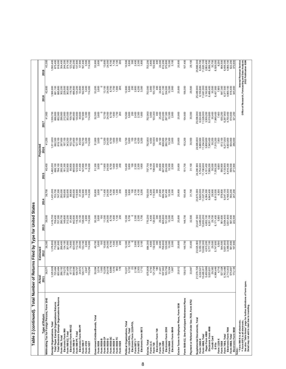|                                                                                                                    | Actual                                                                                                                                                                                                                                                             | Estimated                                                   |                                 |                         |                              | Projected               |                         |                                                                            |                                                                                  |
|--------------------------------------------------------------------------------------------------------------------|--------------------------------------------------------------------------------------------------------------------------------------------------------------------------------------------------------------------------------------------------------------------|-------------------------------------------------------------|---------------------------------|-------------------------|------------------------------|-------------------------|-------------------------|----------------------------------------------------------------------------|----------------------------------------------------------------------------------|
| Withholding Tax for Foreign Persons, Form 1042<br>Type of Return                                                   | 36,57<br>2011                                                                                                                                                                                                                                                      | 38,300<br>2012                                              | 39,000<br>2013                  | 39,700<br>2014          | 40,400<br>ю<br>ă             | 41,200<br>2016          | 41,900<br>2017          | 42,600<br>2018                                                             | 43,300<br>2019                                                                   |
| Exempt Organizations, Total                                                                                        |                                                                                                                                                                                                                                                                    |                                                             | ,416,700                        | ,451,000                | ,482,200                     | ,511,600                | ,539,700                | 1,566,900                                                                  | 1,593,400                                                                        |
| Total Electronic Exempt Organizations Returns<br>Total Paper Exempt Organizations Returns                          |                                                                                                                                                                                                                                                                    | ,376,800<br>715,000<br>661,800                              | 707,300<br>709,400              | 747,300<br>703,700      | 784,100<br>698,100           | 692,500<br>819,100      | 686,800<br>852,900      | 681,100<br>885,800                                                         | 675,400<br>918,000                                                               |
| Form 990, Total                                                                                                    |                                                                                                                                                                                                                                                                    |                                                             | 290,700<br>149,800              | 293,000                 | 295,300                      | 297,600                 | 299,900<br>212,800      | 302,200                                                                    |                                                                                  |
| Electronic Form 990<br>Form 990-EZ, Total                                                                          | $\begin{smallmatrix} 1.225,928\\ 725,464\\ 725,464\\ 800,461\\ 200,462\\ 200,130\\ 200,140\\ 200,150\\ 200,170\\ 200,170\\ 200,170\\ 200,171\\ 200,171\\ 200,171\\ 200,171\\ 200,171\\ 200,171\\ 200,171\\ 200,171\\ 200,171\\ 200,171\\ 200,171\\ 200,171\\ 200,$ | 288,400<br>134,100<br>134,800<br>28,000<br>28,000<br>28,000 | 312,200                         | 165,600<br>322,600      | 181,300<br>332,900           | 197,100<br>343,200      | 353,500                 | 228,500<br>363,800                                                         | 304,400<br>244,200<br>374,100                                                    |
| Electronic Form 990-EZ<br>Form 990-N*                                                                              |                                                                                                                                                                                                                                                                    |                                                             | 442,600<br>81,800               | 455,600<br>88,800       | 95,800<br>465,600            | 102,700<br>473,800      | 109,700<br>480,800      | 116,700<br>486,800                                                         |                                                                                  |
| Form 990-PF, Total                                                                                                 |                                                                                                                                                                                                                                                                    |                                                             |                                 | 119,900                 | $123,500$<br>$41,400$        | 127,100<br>45,500       | 130,600<br>49,600       | 134,200                                                                    | $\begin{array}{l} 123,700 \\ 492,200 \\ 137,800 \\ 57,900 \\ 67,400 \end{array}$ |
| Electronic Form 990-PF<br>Form 990-T                                                                               |                                                                                                                                                                                                                                                                    | 133,100                                                     | 116,300<br>33,100<br>138,000    | 37,300<br>142,900       | 147,800                      | 152,700                 |                         | 53,800<br>162,500                                                          |                                                                                  |
| Form 4720                                                                                                          |                                                                                                                                                                                                                                                                    | 2,800                                                       | 2,900                           | 3,000                   | 3,100                        | 3,200                   | 157,600<br>3,300        | 3,400                                                                      | 3,500                                                                            |
| Form 5227                                                                                                          |                                                                                                                                                                                                                                                                    | 114,000                                                     | 114,000                         | 114,000                 | 114,000                      | 114,000                 | 114,000                 | 114,000                                                                    | 114,000                                                                          |
| Government Entities/Bonds, Total                                                                                   |                                                                                                                                                                                                                                                                    | 49,700                                                      | 50,300                          | 50,800                  | 51,300                       | 51,800                  | 52,500                  | 53,200                                                                     | 53,900                                                                           |
| Form 8038-B<br>Form 8038                                                                                           |                                                                                                                                                                                                                                                                    | 3,600<br>$\frac{8}{2}$                                      | 3,600<br>$\overline{100}$       | 3,600                   | 3,600                        | 3,600                   | 3,600                   | 3,600                                                                      | 3,600                                                                            |
| Form 8038-CP                                                                                                       |                                                                                                                                                                                                                                                                    | 10,600<br>24,000                                            | 11,000                          | 11,400<br>24,000        | 11,800<br>24,000             | 12,200<br>24,000        | 12,700                  | 13,100<br>24,000                                                           | 13,600<br>24,000                                                                 |
| Form 8038-G                                                                                                        |                                                                                                                                                                                                                                                                    |                                                             | 24,000                          |                         |                              |                         | 24,000                  |                                                                            |                                                                                  |
| Form 8038-GC<br>Form 8038-T                                                                                        |                                                                                                                                                                                                                                                                    | 1,500<br>8,700                                              | 1,600<br>8,700                  | 8,700<br>1,600          | 8,700<br>1,600               | 8,700<br>1,600          | 8,700<br>1,600          | 8,700                                                                      | 8,700                                                                            |
| Form 8038-TC                                                                                                       |                                                                                                                                                                                                                                                                    | 1,000                                                       | 1,100                           | 1,300                   | 1,400<br>200                 | 1,500<br>200            | 1,700                   | $7,000$<br>$7,900$<br>$200$                                                | $\frac{1,700}{2,100}$                                                            |
| Form 8328                                                                                                          |                                                                                                                                                                                                                                                                    |                                                             | 200                             | 200                     |                              |                         | 200                     |                                                                            | 200                                                                              |
| Political Organizations, Total                                                                                     |                                                                                                                                                                                                                                                                    | 12,300                                                      | 10,300                          | 12,600                  | 10,400                       | 12,700                  | 10,500                  | 12,800                                                                     | 10,500                                                                           |
| Electronic Form 1120-POL<br>Form 1120-POL, Total                                                                   |                                                                                                                                                                                                                                                                    | 5,700                                                       | 5,700                           | 5,800<br>$\frac{8}{2}$  | 100<br>5,800                 | 5,800<br>$\frac{00}{2}$ | 5,800<br>200            | 5,800                                                                      | 5,800<br>300                                                                     |
| Form 8871 **                                                                                                       |                                                                                                                                                                                                                                                                    | 2,600                                                       | 2,300<br>2,300                  | 2,700                   |                              | 2,700                   |                         | 200<br>2,800                                                               |                                                                                  |
| Electronic Form 8872<br>Form 8872                                                                                  | 10221<br>10222<br>1032021<br>10321                                                                                                                                                                                                                                 | 4,000<br>3,100                                              | 1,700                           | 4,100<br>3,200          | 2,300<br>2,300<br>1,800      | 4,200                   | 2,400<br>2,300<br>1,800 | 4,200<br>3,300                                                             | 2,400<br>2,300<br>1,800                                                          |
|                                                                                                                    |                                                                                                                                                                                                                                                                    |                                                             |                                 |                         |                              |                         |                         |                                                                            |                                                                                  |
| Excise, Total<br>Form 11-C                                                                                         |                                                                                                                                                                                                                                                                    | 884,300<br>4,600                                            | 770,200<br>4,400                | 4,200<br>763,000        | 757,700<br>4,100             | 752,800<br>4,000        | 752,900<br>3,900        | 753,000<br>3,900                                                           | 753,200<br>3,800                                                                 |
| Electronic Form 720<br>Form 720                                                                                    |                                                                                                                                                                                                                                                                    | 300<br>132,400                                              | 300<br>120,900                  | 113,900<br>300          | 108,600<br>400               | 103,500<br>400          | 103,300<br>400          | 103,100<br>400                                                             | 400<br>102,900                                                                   |
| Form 730                                                                                                           |                                                                                                                                                                                                                                                                    | 30,400                                                      | 29,000                          | 27,900                  |                              |                         |                         | 24,600                                                                     | 24,000                                                                           |
| Form 2290                                                                                                          |                                                                                                                                                                                                                                                                    | 706,600<br>129,500                                          | 605,600                         | 606,700                 | 26,900<br>607,800<br>224,000 | 26,100<br>608,900       | 25,400<br>610,000       | 611,100                                                                    |                                                                                  |
| Electronic Form 2290<br>Form 8849                                                                                  | 675,808<br>4,743<br>121,798<br>12,758<br>507,562<br>50,756<br>1,867<br>1,867                                                                                                                                                                                       | 10,300                                                      | 151,000<br>10,300               | 187,400<br>10,300       | 10,300                       | 260,700<br>10,300       | 297,300<br>10,300       | 334,000<br>10,300                                                          | 612,200<br>370,800<br>10,300                                                     |
| Electronic Form 8849                                                                                               |                                                                                                                                                                                                                                                                    | 2,000                                                       | 2,200                           | 2,300                   | 2,500                        | 2,600                   | 2,800                   | 2,900                                                                      | 3,100                                                                            |
| Excise Taxes re Employee Plans, Form 5330                                                                          | Z<br>20,81                                                                                                                                                                                                                                                         | 20,800                                                      | 20,800                          | 20,800                  | 20,800                       | 20,800                  | 20,800                  | 20,800                                                                     | 20,800                                                                           |
| Form 5500-EZ, One-Participant Retirement Plans                                                                     | 5<br>138,01                                                                                                                                                                                                                                                        | 148,700                                                     | 148,700                         | 150,400                 | 151,700                      | 153,200                 | 154,600                 | 156,000                                                                    | 157,400                                                                          |
| Payment or Refund Under Sec.7519, Form 8752                                                                        | 33,94                                                                                                                                                                                                                                                              | 33,400                                                      | 32,500                          | 31,700                  | 31,100                       | 30,500                  | 30,000                  | 29,500                                                                     | 29,100                                                                           |
| Supplemental Documents, Total                                                                                      |                                                                                                                                                                                                                                                                    |                                                             | 23,447,500                      | 23,873,000              | 24,280,900                   | 24,685,800              | 25,099,900              | 25,489,900                                                                 | 25,866,000                                                                       |
| Form 4868, Total<br>Form 1040-X                                                                                    |                                                                                                                                                                                                                                                                    | 23,025,900<br>5,350,100<br>10,692,300                       | 5,485,000<br>10,853,200         | 5,620,000<br>11,027,700 | 5,754,900<br>11,190,600      | 5,889,900<br>11,354,000 | 6,024,800<br>11,529,000 | 6,159,800<br>11,681,000                                                    | 6,294,700<br>11,820,100                                                          |
| Paper Form 4868                                                                                                    |                                                                                                                                                                                                                                                                    | 4,915,200                                                   | 4,652,100                       | 4,384,300               | 4,101,400                    | 3,808,600               | 3,509,200               | 3,192,600                                                                  | 2,863,400                                                                        |
| Electronic Form 4868                                                                                               |                                                                                                                                                                                                                                                                    | 5,777,100                                                   | 6,201,100                       | 6,643,400               | 7,089,200                    | 7,545,400               | 8,019,800               | 8,488,400                                                                  | 8,956,700                                                                        |
| Credit Card<br>e<br>Fi                                                                                             |                                                                                                                                                                                                                                                                    | 29,500<br>5,747,600                                         | 6,171,400<br>29,700             | 29,900<br>6,613,500     | 30,000<br>7,059,200          | 30,200                  | 30,400<br>7,989,400     | 30,500<br>8,457,900                                                        | 30,700                                                                           |
| Form 1120-X                                                                                                        |                                                                                                                                                                                                                                                                    | 5,500                                                       | 5,900                           | 6,300                   | 6,600                        | 7,515,200<br>7,000      | 7,400                   | 7,800                                                                      | 8,926,000                                                                        |
| Form 7004, Total<br>Form 5558                                                                                      |                                                                                                                                                                                                                                                                    | 544,500                                                     | 561,600<br>5,954,400            | 578,800                 | 6,133,900<br>595,900         | 613,100<br>6,217,000    | 6,297,900<br>630,200    | 647,300<br>6,377,500                                                       | 664,500<br>6,456,300                                                             |
| Electronic Form 7004                                                                                               |                                                                                                                                                                                                                                                                    |                                                             |                                 | 6,047,100<br>4,168,300  | 4,416,300                    | 4,603,800               | 4,750,400               | 4,869,100                                                                  | 4,969,100                                                                        |
| Form 8868, Total                                                                                                   |                                                                                                                                                                                                                                                                    | 5,851,900<br>3,366,000<br>581,600<br>197,800                | 3,831,800<br>587,400<br>222,500 | 593,200<br>247,200      | 599,000                      | 604,800                 | 610,600<br>321,200      | 616,400<br>345,900                                                         | 622,200                                                                          |
| Electronic Form 8868<br>Notes:                                                                                     |                                                                                                                                                                                                                                                                    |                                                             |                                 |                         | 271,900                      | 296,600                 |                         |                                                                            |                                                                                  |
| * Form 990-N is all electronic.                                                                                    |                                                                                                                                                                                                                                                                    |                                                             |                                 |                         |                              |                         |                         |                                                                            | Internal Revenue Service                                                         |
| ** Form 8871 is all electronic.                                                                                    |                                                                                                                                                                                                                                                                    |                                                             |                                 |                         |                              |                         |                         | Office of Research, Forecasting and Data Analysis<br>2012 Publication 6186 |                                                                                  |
| See also "Table Notes" page for further definitions of form types.<br>Detail may not add to total due to rounding. |                                                                                                                                                                                                                                                                    |                                                             |                                 |                         |                              |                         |                         |                                                                            |                                                                                  |
|                                                                                                                    |                                                                                                                                                                                                                                                                    |                                                             |                                 |                         |                              |                         |                         |                                                                            |                                                                                  |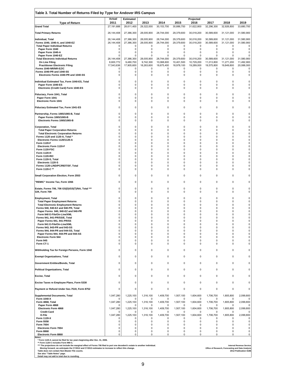| <b>Type of Return</b><br><b>Grand Total</b>                                                                                                                                                                                                                                                                                                                                                                                                | Actual<br>2011<br>27,191,688 | <b>Estimated</b><br>2012<br>28,611,400 | 2013<br>29,322,000      | 2014<br>30,153,700 | 2015<br>30,886,700     | Projected<br>2016<br>31,622,800 | 2017<br>32,296,300     | 2018<br>32,926,800                                | 2019<br>33,680,700                                       |
|--------------------------------------------------------------------------------------------------------------------------------------------------------------------------------------------------------------------------------------------------------------------------------------------------------------------------------------------------------------------------------------------------------------------------------------------|------------------------------|----------------------------------------|-------------------------|--------------------|------------------------|---------------------------------|------------------------|---------------------------------------------------|----------------------------------------------------------|
| <b>Total Primary Returns</b>                                                                                                                                                                                                                                                                                                                                                                                                               | 26, 144, 408                 | 27,386,300                             | 28,005,900              | 28,744,000         | 29,379,600             | 30,018,200                      | 30,589,600             | 31,121,000                                        | 31,580,900                                               |
| Individual, Total                                                                                                                                                                                                                                                                                                                                                                                                                          | 26, 144, 408                 | 27,386,300                             | 28,005,900              | 28,744,000         | 29,379,600             | 30,018,200                      | 30,589,600             | 31,121,000                                        | 31,580,900                                               |
| Forms 1040, 1040-A, and 1040-EZ<br><b>Total Paper Individual Returns</b>                                                                                                                                                                                                                                                                                                                                                                   | 26, 144, 408<br>0            | 27,386,300<br>0                        | 28,005,900<br>0         | 28,744,000<br>0    | 29,379,600<br>0        | 30,018,200<br>0                 | 30,589,600<br>0        | 31,121,000<br>0                                   | 31,580,900<br>0                                          |
| Paper Form 1040<br>Paper Form 1040-A                                                                                                                                                                                                                                                                                                                                                                                                       | 0<br>0                       | 0<br>0                                 | 0<br>0                  | 0<br>0             | 0<br>$\mathbf 0$       | 0<br>0                          | 0<br>0                 | $\Omega$<br>0                                     | 0<br>0                                                   |
| Paper Form 1040-EZ<br><b>Total Electronic Individual Returns</b>                                                                                                                                                                                                                                                                                                                                                                           | 0<br>26,144,408              | $\Omega$<br>27,386,300                 | 0<br>28,005,900         | 0<br>28,744,000    | $\Omega$<br>29,379,600 | $\mathbf 0$<br>30,018,200       | $\Omega$<br>30,589,600 | $\Omega$<br>31,121,000                            | $\Omega$<br>31,580,900                                   |
| On Line Filing                                                                                                                                                                                                                                                                                                                                                                                                                             | 8,600,772                    | 9,480,700                              | 9,742,300<br>18,263,600 | 10,068,600         | 10,401,500             | 10,729,200                      | 11,013,800             | 11,271,200<br>19,849,800                          | 11,492,900                                               |
| <b>Practitioner Electronic Filing</b><br>Forms 1040-NR/NR-EZ/C                                                                                                                                                                                                                                                                                                                                                                             | 17,543,636<br>0              | 17,905,600<br>0                        | 0                       | 18,675,400<br>0    | 18,978,100<br>0        | 19,289,000<br>0                 | 19,575,800<br>0        | 0                                                 | 20,088,000<br>0                                          |
| Forms 1040-PR and 1040-SS<br>Electronic Forms 1040-PR and 1040-SS                                                                                                                                                                                                                                                                                                                                                                          | 0<br>0                       | 0<br>0                                 | $\pmb{0}$<br>0          | 0<br>0             | 0<br>0                 | 0<br>$\mathbf 0$                | 0<br>0                 | 0<br>0                                            | 0<br>0                                                   |
| Individual Estimated Tax, Form 1040-ES, Total                                                                                                                                                                                                                                                                                                                                                                                              | 0                            | 0                                      | 0                       | 0                  | 0                      | $\mathbf 0$                     | 0                      | 0                                                 | 0                                                        |
| Paper Form 1040-ES<br>Electronic (Credit Card) Form 1040-ES                                                                                                                                                                                                                                                                                                                                                                                | 0<br>0                       | $\mathbf 0$<br>0                       | 0<br>0                  | 0<br>0             | 0<br>0                 | 0<br>0                          | 0<br>0                 | 0<br>0                                            | 0<br>0                                                   |
| Fiduciary, Form 1041, Total                                                                                                                                                                                                                                                                                                                                                                                                                | $\Omega$                     | 0                                      | 0                       | 0                  | 0                      | 0                               | 0                      | 0                                                 | 0                                                        |
| Paper Form 1041<br><b>Electronic Form 1041</b>                                                                                                                                                                                                                                                                                                                                                                                             | 0<br>0                       | 0<br>0                                 | 0<br>0                  | 0<br>0             | 0<br>0                 | 0<br>0                          | 0<br>0                 | 0<br>0                                            | 0<br>0                                                   |
| Fiduciary Estimated Tax, Form 1041-ES                                                                                                                                                                                                                                                                                                                                                                                                      | 0                            | 0                                      | $\pmb{0}$               | 0                  | 0                      | $\mathbf 0$                     | 0                      | 0                                                 | 0                                                        |
| Partnership, Forms 1065/1065-B, Total                                                                                                                                                                                                                                                                                                                                                                                                      | 0                            | 0                                      | 0                       | 0                  | 0                      | 0                               | 0                      | 0                                                 | 0                                                        |
| Paper Forms 1065/1065-B<br>Electronic Forms 1065/1065-B                                                                                                                                                                                                                                                                                                                                                                                    | 0<br>0                       | 0<br>0                                 | 0<br>0                  | 0<br>0             | 0<br>0                 | 0<br>0                          | 0<br>0                 | 0<br>0                                            | 0<br>0                                                   |
| <b>Corporation, Total</b>                                                                                                                                                                                                                                                                                                                                                                                                                  | 0                            | 0                                      | 0                       | 0                  | 0                      | 0                               | 0                      | 0                                                 | 0                                                        |
| <b>Total Paper Corporation Returns</b><br><b>Total Electronic Corporation Returns</b>                                                                                                                                                                                                                                                                                                                                                      | $\Omega$<br>0                | 0<br>0                                 | 0<br>0                  | 0<br>0             | 0<br>0                 | 0<br>0                          | 0<br>0                 | $\Omega$<br>0                                     | 0<br>0                                                   |
| Forms 1120 and 1120-A, Total *<br>Electronic Forms 1120/1120-A                                                                                                                                                                                                                                                                                                                                                                             | 0<br>$\Omega$                | 0<br>0                                 | 0<br>0                  | 0<br>0             | 0<br>0                 | $\mathbf 0$<br>$\mathbf 0$      | 0<br>0                 | 0<br>0                                            | 0<br>0                                                   |
| Form 1120-F<br>Electronic Form 1120-F                                                                                                                                                                                                                                                                                                                                                                                                      | 0<br>0                       | 0<br>0                                 | 0<br>0                  | 0<br>0             | 0<br>0                 | 0<br>$\mathbf 0$                | 0<br>0                 | 0<br>0                                            | 0<br>0                                                   |
| Form 1120-FSC<br>Form 1120-H                                                                                                                                                                                                                                                                                                                                                                                                               | $\Omega$<br>0                | 0<br>0                                 | 0<br>0                  | 0<br>0             | 0<br>0                 | 0<br>$\mathbf 0$                | 0<br>0                 | $\Omega$<br>0                                     | 0<br>0                                                   |
| Form 1120-RIC<br>Form 1120-S, Total                                                                                                                                                                                                                                                                                                                                                                                                        | 0<br>0                       | 0<br>0                                 | 0<br>0                  | 0<br>0             | 0<br>0                 | 0<br>0                          | 0<br>0                 | 0<br>$\Omega$                                     | 0<br>0                                                   |
| Electronic 1120-S                                                                                                                                                                                                                                                                                                                                                                                                                          | 0<br>0                       | 0<br>0                                 | $\mathbf 0$<br>0        | 0<br>0             | 0<br>0                 | $\mathbf 0$<br>0                | $\Omega$<br>0          | 0<br>0                                            | 0<br>0                                                   |
| Forms 1120-L/ND/PC/REIT/SF, Total<br>Form 1120-C **                                                                                                                                                                                                                                                                                                                                                                                        | 0                            | 0                                      | 0                       | 0                  | 0                      | 0                               | 0                      | 0                                                 | 0                                                        |
| Small Corporation Election, Form 2553                                                                                                                                                                                                                                                                                                                                                                                                      | 0                            | 0                                      | 0                       | 0                  | 0                      | 0                               | $\mathbf 0$            | 0                                                 | 0                                                        |
| 'REMIC" Income Tax, Form 1066                                                                                                                                                                                                                                                                                                                                                                                                              | 0                            | $\mathbf 0$                            | 0                       | 0                  | 0                      | $\mathbf 0$                     | 0                      | 0                                                 | 0                                                        |
| Estate, Forms 706, 706 GS(D)/GS(T)/NA, Total ***                                                                                                                                                                                                                                                                                                                                                                                           | 0<br>0                       | 0<br>0                                 | $\pmb{0}$<br>0          | 0<br>0             | 0<br>0                 | 0<br>0                          | 0<br>0                 | 0<br>0                                            | 0                                                        |
| Gift, Form 709                                                                                                                                                                                                                                                                                                                                                                                                                             | 0                            | 0                                      | 0                       | 0                  | 0                      | 0                               |                        | 0                                                 | 0                                                        |
| <b>Employment, Total</b><br><b>Total Paper Employment Returns</b>                                                                                                                                                                                                                                                                                                                                                                          | 0                            | 0                                      | 0                       | $\mathbf 0$        | 0                      | 0                               | 0<br>0                 | 0                                                 | 0<br>0                                                   |
| <b>Total Electronic Employment Returns</b><br>Forms 940, 940-EZ and 940-PR, Total                                                                                                                                                                                                                                                                                                                                                          | 0<br>0                       | 0<br>0                                 | 0<br>0                  | 0<br>0             | 0<br>0                 | 0<br>0                          | 0<br>0                 | 0<br>0                                            | 0<br>0                                                   |
| Paper Forms 940, 940-EZ and 940-PR<br>Form 940 E-File/On-Line/XML                                                                                                                                                                                                                                                                                                                                                                          | 0<br>0                       | 0<br>0                                 | 0<br>0                  | 0<br>0             | 0<br>0                 | 0<br>0                          | $\mathbf 0$<br>0       | 0<br>0<br>$\Omega$                                | 0<br>0                                                   |
| Forms 941, 941-PR/SS/E, Total<br>Paper Forms 941, 941-PR/SS                                                                                                                                                                                                                                                                                                                                                                                | 0<br>0                       | 0<br>0                                 | 0<br>0                  | 0<br>0             | 0<br>0                 | $\mathbf 0$<br>0                | 0<br>0                 | 0                                                 | 0<br>0                                                   |
| Form 941 E-File/On-Line/XML<br>Forms 943, 943-PR and 943-SS                                                                                                                                                                                                                                                                                                                                                                                | 0<br>0                       | 0<br>$\mathbf 0$                       | 0<br>0                  | 0<br>0             | 0<br>0                 | $\mathbf 0$<br>$\mathbf 0$      | 0<br>0                 | 0<br>0                                            | 0<br>0                                                   |
| Forms 944, 944-PR and 944-SS. Total<br>Paper Forms 944, 944-PR and 944-SS                                                                                                                                                                                                                                                                                                                                                                  | 0<br>0                       | 0<br>$\mathbf 0$                       | 0<br>$\mathbf 0$        | 0<br>0             | 0<br>$\mathbf 0$       | 0<br>$\Omega$                   | 0<br>$\Omega$          | 0<br>$\Omega$                                     | 0<br>0                                                   |
| <b>Electronic Form 944</b><br><b>Form 945</b>                                                                                                                                                                                                                                                                                                                                                                                              | 0<br>0                       | 0<br>0                                 | 0<br>0                  | 0<br>0             | 0<br>0                 | $\mathbf 0$<br>0                | 0<br>0                 | 0<br>$\Omega$                                     | 0<br>0                                                   |
| Form CT-1                                                                                                                                                                                                                                                                                                                                                                                                                                  | 0                            | $\mathbf 0$                            | $\mathbf 0$             | 0                  | 0                      | $\mathbf 0$                     | $\Omega$               | 0                                                 | 0                                                        |
| Withholding Tax for Foreign Persons, Form 1042                                                                                                                                                                                                                                                                                                                                                                                             | 0                            | 0                                      | 0                       | 0                  | 0                      | 0                               | $\mathbf 0$            | 0                                                 | 0                                                        |
| <b>Exempt Organizations, Total</b>                                                                                                                                                                                                                                                                                                                                                                                                         | 0                            | 0                                      | 0                       | 0                  | 0                      | 0                               | 0                      | 0                                                 | 0                                                        |
| Government Entities/Bonds, Total                                                                                                                                                                                                                                                                                                                                                                                                           | 0                            | $\mathbf 0$                            | 0                       | 0                  | 0                      | 0                               | 0                      | 0                                                 | 0                                                        |
| <b>Political Organizations, Total</b>                                                                                                                                                                                                                                                                                                                                                                                                      | 0                            | 0                                      | 0                       | 0                  | $\mathbf 0$            | 0                               | 0                      | $\mathbf 0$                                       | 0                                                        |
| <b>Excise, Total</b>                                                                                                                                                                                                                                                                                                                                                                                                                       | 0                            | 0                                      | 0                       | 0                  | $\Omega$               | 0                               | 0                      | 0                                                 | 0                                                        |
| Excise Taxes re Employee Plans, Form 5330                                                                                                                                                                                                                                                                                                                                                                                                  | 0                            | 0                                      | 0                       | 0                  | 0                      | 0                               | 0                      | $\mathbf 0$                                       | 0                                                        |
| Payment or Refund Under Sec.7519, Form 8752                                                                                                                                                                                                                                                                                                                                                                                                | 0                            | 0                                      | 0                       | 0                  | 0                      | 0                               | 0                      | 0                                                 | 0                                                        |
| <b>Supplemental Documents, Total</b><br>Form 1040-X                                                                                                                                                                                                                                                                                                                                                                                        | 1,047,280                    | 1,225,100<br>$\Omega$                  | 1,316,100<br>$\Omega$   | 1,409,700<br>0     | 1,507,100<br>0         | 1,604,600<br>$\Omega$           | 1,706,700<br>$\Omega$  | 1,805,800<br>0                                    | 2,099,800                                                |
| Form 4868, Total<br>Paper Form 4868                                                                                                                                                                                                                                                                                                                                                                                                        | 1,047,280<br>n               | 1,225,100<br>$\Omega$                  | 1,316,100<br>0          | 1,409,700<br>0     | 1,507,100<br>0         | 1,604,600<br>0                  | 1,706,700<br>0         | 1,805,800<br>0                                    | 2,099,800<br>0                                           |
| <b>Electronic Form 4868</b><br><b>Credit Card</b>                                                                                                                                                                                                                                                                                                                                                                                          | 1,047,280<br>0               | 1,225,100<br>$\Omega$                  | 1,316,100<br>0          | 1,409,700<br>0     | 1,507,100<br>$\Omega$  | 1,604,600<br>0                  | 1,706,700<br>0         | 1,805,800<br>0                                    | 2,099,800<br>0                                           |
| E-File<br><b>Form 1120-X</b>                                                                                                                                                                                                                                                                                                                                                                                                               | 1,047,280<br>0               | 1,225,100<br>0                         | 1,316,100<br>0          | 1,409,700<br>0     | 1,507,100<br>0         | 1,604,600<br>$\mathbf 0$        | 1,706,700<br>0         | 1,805,800<br>$\mathbf 0$                          | 2,099,800<br>0                                           |
| Form 5558<br><b>Form 7004</b>                                                                                                                                                                                                                                                                                                                                                                                                              | 0<br>0                       | 0<br>$\mathbf 0$                       | 0<br>$\mathbf 0$        | 0<br>0             | 0<br>$\mathbf 0$       | 0<br>$\mathbf 0$                | 0<br>$\mathbf 0$       | 0<br>$\mathbf 0$                                  | 0<br>0                                                   |
| <b>Electronic Form 7004</b><br><b>Form 8868</b>                                                                                                                                                                                                                                                                                                                                                                                            | 0<br>0                       | 0<br>0                                 | 0<br>0                  | 0<br>0             | 0<br>0                 | $\mathbf 0$<br>0                | 0<br>0                 | 0<br>0                                            | 0<br>0                                                   |
| Electronic Form 8868<br>Notes:                                                                                                                                                                                                                                                                                                                                                                                                             | 0                            | 0                                      | $\mathbf 0$             | $\mathbf 0$        | 0                      | $\mathbf 0$                     | $\mathbf 0$            | $\Omega$                                          | 0                                                        |
| * Form 1120-A cannot be filed for tax years beginning after Dec. 31, 2006.<br>** Form 1120-C includes Form 990-C.<br>*** The projections do not include the marginal effect of Forms 706 filed to port one decedent's estate to another individual.<br>Moving forward, we anticipate the CY2012 and CY2013 estimates to increase to reflect this change.<br>Table does not contain Non-Master File counts.<br>See also "Table Notes" page. |                              |                                        |                         |                    |                        |                                 |                        | Office of Research, Forecasting and Data Analysis | <b>Internal Revenue Service</b><br>2012 Publication 6186 |

 $\Gamma$ 

9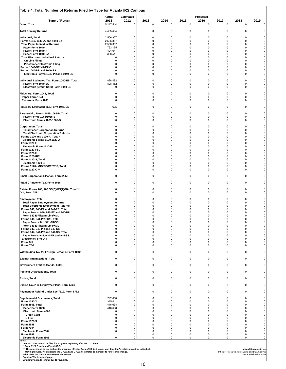| Table 4. Total Number of Returns Filed by Type for Atlanta IRS Campus                                                                                                                                                                                                      |                        |                          |                  |               |                            |                      |                            |                                                   |                                 |
|----------------------------------------------------------------------------------------------------------------------------------------------------------------------------------------------------------------------------------------------------------------------------|------------------------|--------------------------|------------------|---------------|----------------------------|----------------------|----------------------------|---------------------------------------------------|---------------------------------|
| <b>Type of Return</b>                                                                                                                                                                                                                                                      | Actual<br>2011         | <b>Estimated</b><br>2012 | 2013             | 2014          | 2015                       | Projected<br>2016    | 2017                       | 2018                                              | 2019                            |
| <b>Grand Total</b>                                                                                                                                                                                                                                                         | 5,247,514              | $\pmb{0}$                | $\mathsf 0$      | 0             | $\pmb{0}$                  | 0                    | $\pmb{0}$                  | 0                                                 | $\pmb{0}$                       |
| <b>Total Primary Returns</b>                                                                                                                                                                                                                                               | 4,455,464              | 0                        | 0                | 0             | 0                          | 0                    | 0                          | 0                                                 | 0                               |
| Individual, Total<br>Forms 1040, 1040-A, and 1040-EZ                                                                                                                                                                                                                       | 2,556,357<br>2,556,357 | 0<br>0                   | 0<br>0           | 0<br>0        | 0<br>0                     | 0<br>0               | 0<br>0                     | 0<br>0                                            | 0<br>$\pmb{0}$                  |
| <b>Total Paper Individual Returns</b>                                                                                                                                                                                                                                      | 2,556,357              | 0<br>0                   | 0                | 0<br>0        | $\mathbf 0$<br>$\mathbf 0$ | $\Omega$             | $\mathbf 0$                | $\mathbf 0$                                       | 0                               |
| Paper Form 1040<br>Paper Form 1040-A                                                                                                                                                                                                                                       | 1,793,175<br>424,641   | 0                        | 0<br>0           | $\Omega$      | 0                          | 0<br>0               | 0<br>0                     | 0<br>0                                            | 0<br>$\pmb{0}$                  |
| Paper Form 1040-EZ<br><b>Total Electronic Individual Returns</b>                                                                                                                                                                                                           | 338,541<br>$\Omega$    | 0<br>0                   | 0<br>0           | $\Omega$<br>0 | $\Omega$<br>$\Omega$       | $\Omega$<br>0        | $\Omega$<br>$\mathbf 0$    | $\mathbf 0$<br>$\mathbf 0$                        | 0<br>0                          |
| On Line Filing                                                                                                                                                                                                                                                             | 0                      | 0                        | 0                | 0<br>0        | 0<br>$\mathbf 0$           | 0                    | $\mathbf 0$<br>$\mathbf 0$ | $\mathbf 0$<br>$\mathbf 0$                        | $\mathbf 0$<br>$\pmb{0}$        |
| <b>Practitioner Electronic Filing</b><br>Forms 1040-NR/NR-EZ/C                                                                                                                                                                                                             | 0<br>$\Omega$          | 0<br>0                   | 0<br>0           | 0             | $\mathbf 0$                | 0<br>0               | $\mathbf 0$                | $\mathbf 0$                                       | 0                               |
| Forms 1040-PR and 1040-SS<br>Electronic Forms 1040-PR and 1040-SS                                                                                                                                                                                                          | 0<br>$\Omega$          | 0<br>0                   | 0<br>0           | 0<br>0        | $\mathbf 0$<br>$\mathbf 0$ | 0<br>0               | $\mathbf 0$<br>$\mathbf 0$ | $\mathbf 0$<br>0                                  | 0<br>0                          |
| Individual Estimated Tax, Form 1040-ES, Total                                                                                                                                                                                                                              | 1,898,482              | $\mathbf 0$              | 0                | 0             | $\mathbf 0$                | $\mathbf 0$          | $\Omega$                   | $\mathbf 0$                                       | 0                               |
| Paper Form 1040-ES<br>Electronic (Credit Card) Form 1040-ES                                                                                                                                                                                                                | 1,898,482<br>$\Omega$  | 0<br>0                   | 0<br>0           | 0<br>0        | 0<br>0                     | 0<br>0               | 0<br>0                     | 0<br>0                                            | 0<br>0                          |
| Fiduciary, Form 1041, Total                                                                                                                                                                                                                                                | $\Omega$               | 0                        | $\mathbf 0$      | 0             | $\mathbf 0$                | $\mathbf 0$          | $\mathbf 0$                | $\mathbf 0$                                       | 0                               |
| Paper Form 1041                                                                                                                                                                                                                                                            | $\Omega$               | 0                        | 0                | 0             | 0                          | 0                    | 0                          | 0                                                 | 0                               |
| Electronic Form 1041                                                                                                                                                                                                                                                       | $\Omega$               | 0                        | 0                | 0             | 0                          | 0                    | $\mathbf 0$                | $\mathbf 0$                                       | 0                               |
| Fiduciary Estimated Tax, Form 1041-ES                                                                                                                                                                                                                                      | 625                    | 0                        | 0                | 0             | 0                          | 0                    | 0                          | 0                                                 | $\pmb{0}$                       |
| Partnership, Forms 1065/1065-B, Total<br>Paper Forms 1065/1065-B                                                                                                                                                                                                           | 0<br>$\Omega$          | 0<br>0                   | 0<br>0           | 0<br>0        | 0<br>0                     | 0<br>0               | 0<br>$\mathbf 0$           | $\mathbf 0$<br>$\mathbf 0$                        | 0<br>0                          |
| Electronic Forms 1065/1065-B                                                                                                                                                                                                                                               | $\Omega$               | $\mathbf 0$              | 0                | 0             | 0                          | 0                    | $\mathbf 0$                | 0                                                 | 0                               |
| <b>Corporation, Total</b>                                                                                                                                                                                                                                                  | 0                      | 0                        | 0                | 0             | $\mathbf 0$                | $\mathbf 0$          | $\mathbf 0$                | $\mathbf 0$                                       | 0                               |
| <b>Total Paper Corporation Returns</b><br><b>Total Electronic Corporation Returns</b>                                                                                                                                                                                      | $\Omega$<br>$\Omega$   | 0<br>$\pmb{0}$           | 0<br>0           | 0<br>0        | 0<br>0                     | 0<br>0               | 0<br>0                     | 0<br>0                                            | 0<br>$\pmb{0}$                  |
| Forms 1120 and 1120-A, Total *<br>Electronic Forms 1120/1120-A                                                                                                                                                                                                             | $\Omega$<br>0          | 0<br>0                   | 0<br>0           | 0<br>$\Omega$ | $\mathbf 0$<br>$\Omega$    | $\Omega$<br>$\Omega$ | $\Omega$<br>0              | $\mathbf 0$<br>0                                  | 0<br>0                          |
| <b>Form 1120-F</b>                                                                                                                                                                                                                                                         | 0                      | $\mathbf 0$              | 0                | $\Omega$      | 0                          | $\Omega$             | 0                          | 0                                                 | 0                               |
| Electronic Form 1120-F<br>Form 1120-FSC                                                                                                                                                                                                                                    | $\Omega$<br>$\Omega$   | $\pmb{0}$<br>0           | 0<br>0           | 0<br>0        | $\mathbf 0$<br>0           | 0<br>$\mathbf 0$     | $\mathbf 0$<br>$\mathbf 0$ | 0<br>0                                            | $\pmb{0}$<br>$\pmb{0}$          |
| <b>Form 1120-H</b><br>Form 1120-RIC                                                                                                                                                                                                                                        | $\Omega$<br>$\Omega$   | 0<br>0                   | 0<br>0           | 0<br>0        | $\mathbf 0$<br>$\Omega$    | 0<br>0               | $\mathbf 0$<br>$\mathbf 0$ | $\mathbf 0$<br>$\mathbf 0$                        | 0<br>$\pmb{0}$                  |
| Form 1120-S, Total<br>Electronic 1120-S                                                                                                                                                                                                                                    | $\Omega$<br>0          | 0<br>0                   | 0<br>0           | 0<br>0        | $\Omega$<br>$\mathbf 0$    | O<br>$\Omega$        | $\Omega$<br>$\mathbf 0$    | 0<br>0                                            | 0<br>0                          |
| Forms 1120-L/ND/PC/REIT/SF, Total<br>Form 1120-C **                                                                                                                                                                                                                        | 0<br>0                 | 0<br>0                   | 0<br>0           | 0<br>0        | 0<br>0                     | 0<br>0               | 0<br>0                     | $\mathbf 0$<br>0                                  | 0<br>0                          |
| Small Corporation Election, Form 2553                                                                                                                                                                                                                                      | 0                      | $\mathbf 0$              | $\mathbf 0$      | 0             | $\mathbf 0$                | $\mathbf 0$          | $\mathbf 0$                | 0                                                 | 0                               |
| "REMIC" Income Tax, Form 1066                                                                                                                                                                                                                                              | $\Omega$               | 0                        | 0                | 0             | 0                          | 0                    | $\mathbf 0$                | $\mathbf 0$                                       | 0                               |
| Estate, Forms 706, 706 GS(D)/GS(T)/NA, Total ***                                                                                                                                                                                                                           | $\Omega$               | 0                        | 0                | 0             | 0                          | 0                    | 0                          | $\mathbf 0$                                       | 0                               |
| Gift, Form 709                                                                                                                                                                                                                                                             | 0                      | 0                        | 0                | 0             | $\pmb{0}$                  | 0                    | 0                          | 0                                                 | 0                               |
| <b>Employment, Total</b><br><b>Total Paper Employment Returns</b>                                                                                                                                                                                                          | $\Omega$<br>0          | $\mathbf 0$<br>0         | 0<br>0           | 0<br>0        | $\mathbf 0$<br>0           | $\mathbf 0$<br>0     | $\mathbf 0$<br>0           | $\mathbf 0$<br>0                                  | 0<br>0                          |
| <b>Total Electronic Employment Returns</b>                                                                                                                                                                                                                                 | ŋ<br>n                 | 0<br>0                   | 0<br>0           | 0<br>$\Omega$ | 0<br>$\Omega$              | 0<br>0               | 0<br>$\Omega$              | 0<br>0                                            | 0<br>0                          |
| Forms 940, 940-EZ and 940-PR, Total<br>Paper Forms 940, 940-EZ and 940-PR                                                                                                                                                                                                  | 0                      | 0                        | 0                | $\Omega$      | $\Omega$                   | $\Omega$             | 0                          | 0                                                 | 0                               |
| Form 940 E-File/On-Line/XML<br>Forms 941, 941-PR/SS/E, Total                                                                                                                                                                                                               | n<br>$\Omega$          | 0<br>0                   | 0<br>0           | n<br>0        | n<br>0                     | U<br>0               | $\Omega$<br>0              | O<br>0                                            | $\mathbf 0$<br>0                |
| Paper Forms 941, 941-PR/SS<br>Form 941 E-File/On-Line/XML                                                                                                                                                                                                                  | 0<br>0                 | 0<br>$\pmb{0}$           | 0<br>0           | 0<br>0        | 0<br>0                     | 0<br>0               | 0<br>0                     | $\mathbf 0$<br>0                                  | 0<br>0                          |
| Forms 943, 943-PR and 943-SS                                                                                                                                                                                                                                               | 0<br>$\Omega$          | $\pmb{0}$<br>0           | 0<br>0           | 0<br>0        | 0<br>0                     | 0<br>$\Omega$        | $\mathbf 0$<br>$\mathbf 0$ | 0<br>$\mathbf 0$                                  | $\mathsf 0$                     |
| Forms 944, 944-PR and 944-SS, Total<br>Paper Forms 944, 944-PR and 944-SS                                                                                                                                                                                                  | $\Omega$               | 0                        | 0                | 0             | 0                          | 0                    | 0                          | 0                                                 | 0<br>0                          |
| <b>Electronic Form 944</b><br><b>Form 945</b>                                                                                                                                                                                                                              | 0<br>$\Omega$          | $\pmb{0}$<br>0           | 0<br>0           | 0<br>0        | $\mathbf 0$<br>0           | 0<br>0               | $\mathbf 0$<br>0           | 0<br>0                                            | $\pmb{0}$<br>0                  |
| Form CT-1                                                                                                                                                                                                                                                                  | 0                      | 0                        | 0                | 0             | 0                          | 0                    | 0                          | $\mathbf 0$                                       | 0                               |
| Withholding Tax for Foreign Persons, Form 1042                                                                                                                                                                                                                             | 0                      | $\mathbf 0$              | 0                | 0             | 0                          | 0                    | 0                          | 0                                                 | 0                               |
| <b>Exempt Organizations, Total</b>                                                                                                                                                                                                                                         | 0                      | 0                        | 0                | 0             | 0                          | 0                    | $\mathbf 0$                | $\mathbf 0$                                       | 0                               |
| Government Entities/Bonds, Total                                                                                                                                                                                                                                           | 0                      | 0                        | $\mathbf 0$      | 0             | 0                          | 0                    | $\mathbf 0$                | $\mathbf 0$                                       | 0                               |
| <b>Political Organizations, Total</b>                                                                                                                                                                                                                                      | 0<br>0                 | 0<br>0                   | 0<br>$\mathbf 0$ | 0<br>0        | 0<br>0                     | 0<br>0               | 0<br>0                     | $\mathbf 0$<br>$\mathbf 0$                        | 0<br>0                          |
| <b>Excise, Total</b><br>Excise Taxes re Employee Plans, Form 5330                                                                                                                                                                                                          | 0                      | 0                        | 0                | 0             | 0                          | 0                    | 0                          | 0                                                 | 0                               |
| Payment or Refund Under Sec.7519, Form 8752                                                                                                                                                                                                                                | 0                      | $\mathbf 0$              | 0                | 0             | 0                          | 0                    | $\mathbf 0$                | $\mathbf 0$                                       | 0                               |
| <b>Supplemental Documents, Total</b>                                                                                                                                                                                                                                       | 792,050                | 0                        | 0                | 0             | 0                          | 0                    | 0                          | 0                                                 | 0                               |
| Form 1040-X<br>Form 4868, Total                                                                                                                                                                                                                                            | 345,411<br>446,638     | 0<br>0                   | 0<br>0           | 0<br>0        | 0<br>$\mathbf 0$           | $\mathbf 0$<br>0     | $\mathbf 0$<br>$\mathbf 0$ | $\mathbf 0$<br>$\mathbf 0$                        | 0<br>0                          |
| Paper Form 4868                                                                                                                                                                                                                                                            | 446,638                | $\mathbf 0$              | 0                | 0             | 0                          | 0                    | 0                          | 0                                                 | 0                               |
| <b>Electronic Form 4868</b><br><b>Credit Card</b>                                                                                                                                                                                                                          | 0<br>0                 | $\pmb{0}$<br>0           | 0<br>0           | 0<br>0        | 0<br>0                     | 0<br>0               | $\mathbf 0$<br>0           | 0<br>$\mathbf 0$                                  | $\pmb{0}$<br>$\pmb{0}$          |
| E-File<br><b>Form 1120-X</b>                                                                                                                                                                                                                                               | $\Omega$<br>$\Omega$   | 0<br>$\mathbf 0$         | 0<br>0           | 0<br>0        | 0<br>$\mathbf 0$           | 0<br>$\mathbf 0$     | 0<br>$\mathbf 0$           | 0<br>0                                            | 0<br>$\pmb{0}$                  |
| Form 5558<br><b>Form 7004</b>                                                                                                                                                                                                                                              | $\Omega$<br>$\Omega$   | 0<br>$\mathbf 0$         | 0<br>0           | 0<br>0        | $\mathbf 0$<br>$\mathbf 0$ | $\Omega$<br>$\Omega$ | $\mathbf 0$<br>$\mathbf 0$ | $\mathbf 0$<br>$\mathbf 0$                        | 0<br>0                          |
| <b>Electronic Form 7004</b>                                                                                                                                                                                                                                                | 0                      | 0                        | 0                | 0             | 0                          | 0                    | 0                          | 0                                                 | 0                               |
| <b>Form 8868</b><br><b>Electronic Form 8868</b>                                                                                                                                                                                                                            | 1<br>0                 | 0<br>0                   | 0<br>0           | 0<br>0        | 0<br>0                     | 0<br>0               | 0<br>$\mathbf 0$           | 0<br>$\mathbf 0$                                  | $\pmb{0}$<br>0                  |
| Notes:<br>* Form 1120-A cannot be filed for tax years beginning after Dec. 31, 2006.                                                                                                                                                                                       |                        |                          |                  |               |                            |                      |                            |                                                   |                                 |
| ** Form 1120-C includes Form 990-C.<br>*** The projections do not include the marginal effect of Forms 706 filed to port one decedent's estate to another individual.<br>Moving forward, we anticipate the CY2012 and CY2013 estimates to increase to reflect this change. |                        |                          |                  |               |                            |                      |                            | Office of Research, Forecasting and Data Analysis | <b>Internal Revenue Service</b> |
| Table does not contain Non-Master File counts.<br>See also "Table Notes" page.<br>Detail may not add to total due to rounding.                                                                                                                                             |                        |                          |                  |               |                            |                      |                            |                                                   | 2012 Publication 6186           |

 $\overline{1}$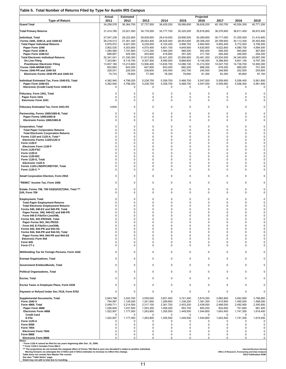| Table 5. Total Number of Returns Filed by Type for Austin IRS Campus                                                                                                                                                                                                                                                                                                                                                                                                                                 |                                                                                                                                                                      |                                                                                                                                                         |                                                                                                                                                         |                                                                                                                                                         |                                                                                                                                                                    |                                                                                                                                                       |                                                                                                                                                       |                                                                                                                                                       |                                                                                                                                                       |
|------------------------------------------------------------------------------------------------------------------------------------------------------------------------------------------------------------------------------------------------------------------------------------------------------------------------------------------------------------------------------------------------------------------------------------------------------------------------------------------------------|----------------------------------------------------------------------------------------------------------------------------------------------------------------------|---------------------------------------------------------------------------------------------------------------------------------------------------------|---------------------------------------------------------------------------------------------------------------------------------------------------------|---------------------------------------------------------------------------------------------------------------------------------------------------------|--------------------------------------------------------------------------------------------------------------------------------------------------------------------|-------------------------------------------------------------------------------------------------------------------------------------------------------|-------------------------------------------------------------------------------------------------------------------------------------------------------|-------------------------------------------------------------------------------------------------------------------------------------------------------|-------------------------------------------------------------------------------------------------------------------------------------------------------|
| <b>Type of Return</b><br><b>Grand Total</b>                                                                                                                                                                                                                                                                                                                                                                                                                                                          | Actual<br>2011<br>34,258,578                                                                                                                                         | <b>Estimated</b><br>2012<br>36,364,700                                                                                                                  | 2013<br>37,737,500                                                                                                                                      | 2014<br>38,429,200                                                                                                                                      | 2015<br>39,066,600                                                                                                                                                 | Projected<br>2016<br>39,636,200                                                                                                                       | 2017<br>40,160,700                                                                                                                                    | 2018<br>40,554,300                                                                                                                                    | 2019<br>40,771,200                                                                                                                                    |
| <b>Total Primary Returns</b>                                                                                                                                                                                                                                                                                                                                                                                                                                                                         | 31,414,780                                                                                                                                                           |                                                                                                                                                         |                                                                                                                                                         |                                                                                                                                                         |                                                                                                                                                                    |                                                                                                                                                       |                                                                                                                                                       |                                                                                                                                                       |                                                                                                                                                       |
| Individual, Total<br>Forms 1040, 1040-A, and 1040-EZ<br><b>Total Paper Individual Returns</b><br>Paper Form 1040<br>Paper Form 1040-A<br>Paper Form 1040-EZ<br><b>Total Electronic Individual Returns</b><br>On Line Filing<br><b>Practitioner Electronic Filing</b><br>Forms 1040-NR/NR-EZ/C<br>Forms 1040-PR and 1040-SS                                                                                                                                                                           | 27,047,236<br>26,218,013<br>5,876,972<br>3,902,530<br>1,285,585<br>688,857<br>20,341,041<br>7,333,861<br>13,007,180<br>602,692<br>226,531                            | 33,021,000<br>28,222,800<br>27,351,300<br>6,021,000<br>4,303,900<br>1,191,800<br>525,300<br>21,330,300<br>8,116,700<br>13,213,600<br>643,200<br>228,300 | 34,178,500<br>28,939,800<br>28,053,400<br>6,239,500<br>4,570,400<br>1,215,300<br>453,800<br>21,813,900<br>8,307,500<br>13,506,400<br>647,800<br>238,600 | 34,777,700<br>29,419,000<br>28,525,400<br>6,104,200<br>4,601,100<br>1,084,200<br>418,900<br>22,421,200<br>8,585,500<br>13,835,700<br>653,200<br>240,400 | 35,325,200<br>29,856,500<br>28,953,600<br>5,996,700<br>4,649,900<br>989,500<br>357,300<br>22,956,900<br>8,868,800<br>14,088,100<br>660,200<br>242,700              | 35,816,900<br>30,269,900<br>29,356,200<br>5,894,900<br>4,630,800<br>952,400<br>311,700<br>23,461,300<br>9,148,300<br>14,313,000<br>668,200<br>245,500 | 36,276,900<br>30,717,000<br>29,789,900<br>5,855,400<br>4,622,800<br>948,200<br>284,400<br>23,934,500<br>9,386,800<br>14,547,700<br>678,200<br>248,900 | 36,611,400<br>31,055,000<br>30,113,300<br>5,772,500<br>4,580,700<br>945,800<br>246,000<br>24,340,800<br>9,601,100<br>14,739,700<br>689,200<br>252,500 | 36,972,400<br>31,410,600<br>30,453,800<br>5,756,500<br>4,594,500<br>957,800<br>204,200<br>24,697,300<br>9,797,300<br>14,900,000<br>701,200<br>255,600 |
| Electronic Forms 1040-PR and 1040-SS<br>Individual Estimated Tax, Form 1040-ES, Total<br>Paper Form 1040-ES                                                                                                                                                                                                                                                                                                                                                                                          | 74,733<br>4,362,940<br>4,362,940                                                                                                                                     | 76,600<br>4,798,200<br>4,798,200                                                                                                                        | 77,300<br>5,238,700<br>5,238,700                                                                                                                        | 78,300<br>5,358,700<br>5,358,700                                                                                                                        | 79,600<br>5,468,700<br>5,468,700                                                                                                                                   | 81,300<br>5,547,000<br>5,547,000                                                                                                                      | 83,300<br>5,559,900<br>5,559,900                                                                                                                      | 85,600<br>5,556,400<br>5,556,400                                                                                                                      | 87,100<br>5,561,800<br>5,561,800                                                                                                                      |
| Electronic (Credit Card) Form 1040-ES<br>Fiduciary, Form 1041, Total<br>Paper Form 1041<br><b>Electronic Form 1041</b>                                                                                                                                                                                                                                                                                                                                                                               | 0<br>$\mathbf 0$<br>0<br>$\Omega$                                                                                                                                    | 0<br>0<br>0<br>0                                                                                                                                        | 0<br>0<br>0<br>0                                                                                                                                        | 0<br>0<br>0<br>0                                                                                                                                        | 0<br>0<br>0<br>$\mathbf 0$                                                                                                                                         | 0<br>0<br>0<br>0                                                                                                                                      | 0<br>$\mathbf 0$<br>0<br>0                                                                                                                            | 0<br>0<br>0<br>0                                                                                                                                      | 0<br>0<br>0<br>0                                                                                                                                      |
| Fiduciary Estimated Tax, Form 1041-ES                                                                                                                                                                                                                                                                                                                                                                                                                                                                | 4,604                                                                                                                                                                | $\mathbf 0$                                                                                                                                             | $\mathbf 0$                                                                                                                                             | $\Omega$                                                                                                                                                | $\mathbf 0$                                                                                                                                                        | $\mathbf 0$                                                                                                                                           | $\mathbf 0$                                                                                                                                           | 0                                                                                                                                                     | 0                                                                                                                                                     |
| Partnership, Forms 1065/1065-B, Total<br>Paper Forms 1065/1065-B<br>Electronic Forms 1065/1065-B                                                                                                                                                                                                                                                                                                                                                                                                     | 0<br>0<br>$\Omega$                                                                                                                                                   | 0<br>0<br>0                                                                                                                                             | 0<br>0<br>0                                                                                                                                             | 0<br>0<br>$\Omega$                                                                                                                                      | 0<br>0<br>$\mathbf 0$                                                                                                                                              | 0<br>$\mathbf 0$<br>$\Omega$                                                                                                                          | 0<br>0<br>$\mathbf 0$                                                                                                                                 | 0<br>0<br>$\mathbf 0$                                                                                                                                 | $\pmb{0}$<br>0<br>0                                                                                                                                   |
| <b>Corporation, Total</b><br><b>Total Paper Corporation Returns</b><br><b>Total Electronic Corporation Returns</b><br>Forms 1120 and 1120-A, Total *<br>Electronic Forms 1120/1120-A<br>Form 1120-F<br><b>Electronic Form 1120-F</b><br>Form 1120-FSC<br><b>Form 1120-H</b><br>Form 1120-RIC<br>Form 1120-S, Total<br>Electronic 1120-S<br>Forms 1120-L/ND/PC/REIT/SF, Total<br>Form 1120-C **                                                                                                       | $\Omega$<br>$\Omega$<br>$\Omega$<br>$\Omega$<br>$\Omega$<br>$\Omega$<br>$\Omega$<br>$\Omega$<br>$\Omega$<br>$\Omega$<br>$\Omega$<br>$\Omega$<br>$\Omega$<br>$\Omega$ | 0<br>0<br>0<br>0<br>0<br>0<br>0<br>$\pmb{0}$<br>0<br>0<br>0<br>0<br>0<br>0                                                                              | 0<br>0<br>0<br>0<br>0<br>0<br>0<br>0<br>0<br>0<br>0<br>0<br>0<br>0                                                                                      | $\overline{0}$<br>0<br>0<br>$\Omega$<br>0<br>$\Omega$<br>0<br>0<br>$\Omega$<br>0<br>$\Omega$<br>$\Omega$<br>0<br>0                                      | $\pmb{0}$<br>0<br>0<br>0<br>0<br>$\Omega$<br>0<br>0<br>$\mathbf 0$<br>0<br>0<br>$\mathbf 0$<br>0<br>0                                                              | 0<br>$\Omega$<br>0<br>$\Omega$<br>$\Omega$<br>$\Omega$<br>$\Omega$<br>0<br>0<br>0<br>$\Omega$<br>$\Omega$<br>0<br>0                                   | $\mathbf 0$<br>0<br>0<br>0<br>0<br>0<br>$\mathbf 0$<br>0<br>$\Omega$<br>0<br>0<br>$\Omega$<br>0<br>0                                                  | 0<br>0<br>0<br>0<br>0<br>0<br>$\mathbf 0$<br>0<br>$\mathbf 0$<br>0<br>0<br>0<br>0<br>0                                                                | $\pmb{0}$<br>0<br>0<br>$\pmb{0}$<br>$\pmb{0}$<br>0<br>0<br>$\pmb{0}$<br>0<br>0<br>$\pmb{0}$<br>0<br>0<br>0                                            |
| Small Corporation Election, Form 2553                                                                                                                                                                                                                                                                                                                                                                                                                                                                | 0                                                                                                                                                                    | 0                                                                                                                                                       | 0                                                                                                                                                       | 0                                                                                                                                                       | 0                                                                                                                                                                  | 0                                                                                                                                                     | 0                                                                                                                                                     | 0                                                                                                                                                     | 0                                                                                                                                                     |
| "REMIC" Income Tax, Form 1066                                                                                                                                                                                                                                                                                                                                                                                                                                                                        | 0                                                                                                                                                                    | 0                                                                                                                                                       | 0                                                                                                                                                       | 0                                                                                                                                                       | $\pmb{0}$                                                                                                                                                          | 0                                                                                                                                                     | 0                                                                                                                                                     | 0                                                                                                                                                     | 0                                                                                                                                                     |
| Estate, Forms 706, 706 GS(D)/GS(T)/NA, Total ***<br>Gift, Form 709                                                                                                                                                                                                                                                                                                                                                                                                                                   | $\Omega$<br>$\Omega$                                                                                                                                                 | $\mathbf 0$<br>0                                                                                                                                        | 0<br>0                                                                                                                                                  | 0<br>0                                                                                                                                                  | 0<br>0                                                                                                                                                             | $\mathbf 0$<br>0                                                                                                                                      | $\mathbf 0$<br>0                                                                                                                                      | 0<br>0                                                                                                                                                | 0<br>0                                                                                                                                                |
| <b>Employment, Total</b><br><b>Total Paper Employment Returns</b><br><b>Total Electronic Employment Returns</b><br>Forms 940, 940-EZ and 940-PR, Total<br>Paper Forms 940, 940-EZ and 940-PR<br>Form 940 E-File/On-Line/XML<br>Forms 941, 941-PR/SS/E, Total<br>Paper Forms 941, 941-PR/SS<br>Form 941 E-File/On-Line/XML<br>Forms 943, 943-PR and 943-SS<br>Forms 944, 944-PR and 944-SS, Total<br>Paper Forms 944, 944-PR and 944-SS<br><b>Electronic Form 944</b><br><b>Form 945</b><br>Form CT-1 | $\Omega$<br>$\Omega$<br>$\Omega$<br>O<br>$\Omega$<br>$\Omega$<br>$\Omega$<br>$\Omega$<br>$\Omega$<br>$\Omega$<br>$\Omega$<br>$\Omega$<br>$\Omega$<br>0<br>$\Omega$   | 0<br>0<br>0<br>0<br>0<br>0<br>0<br>0<br>0<br>$\mathbf 0$<br>0<br>0<br>0<br>$\pmb{0}$<br>0                                                               | 0<br>0<br>0<br>0<br>0<br>0<br>0<br>0<br>0<br>0<br>0<br>0<br>0<br>0<br>0                                                                                 | $\Omega$<br>$\Omega$<br>$\Omega$<br>$\Omega$<br>0<br>O<br>0<br>0<br>$\Omega$<br>$\Omega$<br>0<br>$\Omega$<br>$\Omega$<br>0<br>0                         | $\mathbf 0$<br>$\mathbf 0$<br>0<br>$\Omega$<br>$\Omega$<br>$\Omega$<br>0<br>0<br>$\mathbf 0$<br>$\mathbf 0$<br>0<br>$\mathbf 0$<br>$\mathbf 0$<br>0<br>$\mathbf 0$ | $\mathbf 0$<br>$\Omega$<br>0<br>$\Omega$<br>$\Omega$<br>O<br>0<br>0<br>$\Omega$<br>$\Omega$<br>$\Omega$<br>$\Omega$<br>$\mathbf 0$<br>0<br>$\Omega$   | $\mathbf 0$<br>0<br>0<br>$\Omega$<br>0<br>0<br>0<br>0<br>$\mathbf 0$<br>$\mathbf 0$<br>$\mathbf 0$<br>0<br>$\mathbf 0$<br>0<br>$\Omega$               | $\mathbf 0$<br>0<br>0<br>0<br>0<br>0<br>0<br>0<br>0<br>$\mathbf 0$<br>0<br>0<br>$\mathbf 0$<br>0<br>$\mathbf 0$                                       | 0<br>0<br>0<br>0<br>0<br>0<br>0<br>0<br>0<br>$\pmb{0}$<br>$\pmb{0}$<br>0<br>0<br>0<br>0                                                               |
| Withholding Tax for Foreign Persons, Form 1042                                                                                                                                                                                                                                                                                                                                                                                                                                                       | $\Omega$                                                                                                                                                             | $\mathbf 0$                                                                                                                                             | 0                                                                                                                                                       | $\Omega$                                                                                                                                                | $\mathbf 0$                                                                                                                                                        | $\mathbf 0$                                                                                                                                           | $\mathbf 0$                                                                                                                                           | $\mathbf 0$                                                                                                                                           | $\mathbf 0$                                                                                                                                           |
| <b>Exempt Organizations, Total</b>                                                                                                                                                                                                                                                                                                                                                                                                                                                                   | $\Omega$                                                                                                                                                             | 0                                                                                                                                                       | $\mathbf 0$                                                                                                                                             | 0                                                                                                                                                       | $\mathbf 0$                                                                                                                                                        | 0                                                                                                                                                     | $\mathbf 0$                                                                                                                                           | $\mathbf 0$                                                                                                                                           | $\Omega$                                                                                                                                              |
| Government Entities/Bonds, Total                                                                                                                                                                                                                                                                                                                                                                                                                                                                     | 0                                                                                                                                                                    | 0                                                                                                                                                       | 0                                                                                                                                                       | 0                                                                                                                                                       | $\mathbf 0$                                                                                                                                                        | 0                                                                                                                                                     | $\mathbf 0$                                                                                                                                           | 0                                                                                                                                                     | 0                                                                                                                                                     |
| <b>Political Organizations, Total</b>                                                                                                                                                                                                                                                                                                                                                                                                                                                                | $\Omega$                                                                                                                                                             | $\mathbf 0$                                                                                                                                             | 0                                                                                                                                                       | 0                                                                                                                                                       | $\mathbf 0$                                                                                                                                                        | 0                                                                                                                                                     | 0                                                                                                                                                     | 0                                                                                                                                                     | 0                                                                                                                                                     |
| <b>Excise, Total</b>                                                                                                                                                                                                                                                                                                                                                                                                                                                                                 | 0<br>$\Omega$                                                                                                                                                        | 0<br>0                                                                                                                                                  | 0<br>0                                                                                                                                                  | 0<br>$\Omega$                                                                                                                                           | 0<br>$\mathbf 0$                                                                                                                                                   | 0<br>$\mathbf 0$                                                                                                                                      | 0<br>0                                                                                                                                                | $\mathbf 0$<br>0                                                                                                                                      | $\mathbf 0$                                                                                                                                           |
| Excise Taxes re Employee Plans, Form 5330<br>Payment or Refund Under Sec.7519, Form 8752                                                                                                                                                                                                                                                                                                                                                                                                             | 0                                                                                                                                                                    | 0                                                                                                                                                       | 0                                                                                                                                                       | $\Omega$                                                                                                                                                | $\mathbf 0$                                                                                                                                                        | $\mathbf 0$                                                                                                                                           | $\mathbf 0$                                                                                                                                           | $\mathbf 0$                                                                                                                                           | 0<br>0                                                                                                                                                |
| <b>Supplemental Documents, Total</b>                                                                                                                                                                                                                                                                                                                                                                                                                                                                 | 2,843,798                                                                                                                                                            | 3,343,700                                                                                                                                               | 3,559,000                                                                                                                                               | 3,651,500                                                                                                                                               | 3,741,400                                                                                                                                                          | 3,819,300                                                                                                                                             | 3,883,800                                                                                                                                             | 3,942,900                                                                                                                                             | 3,798,800                                                                                                                                             |
| <b>Form 1040-X</b><br>Form 4868, Total<br>Paper Form 4868<br><b>Electronic Form 4868</b><br><b>Credit Card</b><br>E-File<br><b>Form 1120-X</b><br><b>Form 5558</b><br><b>Form 7004</b><br><b>Electronic Form 7004</b><br><b>Form 8868</b><br><b>Electronic Form 8868</b><br>Notes:                                                                                                                                                                                                                   | 794,087<br>2,049,711<br>1,026,805<br>1,022,907<br>$\Omega$<br>1,022,907<br>0<br>0<br><sup>0</sup><br>$\Omega$<br>$\Omega$<br>0                                       | 1,129,200<br>2,214,500<br>1,037,500<br>1,177,000<br>0<br>1,177,000<br>$\Omega$<br>0<br>0<br>0<br>0<br>0                                                 | 1,241,900<br>2,317,100<br>1,053,300<br>1,263,800<br>0<br>1,263,800<br>0<br>0<br>0<br>$\mathbf 0$<br>0<br>0                                              | 1,289,800<br>2,361,700<br>1,006,200<br>1,355,500<br>0<br>1,355,500<br>0<br>0<br>0<br>$\Omega$<br>0<br>0                                                 | 1,338,200<br>2,403,200<br>953,700<br>1,449,500<br>0<br>1,449,500<br>0<br>0<br>$\mathbf 0$<br>$\mathbf 0$<br>0<br>$\mathsf 0$                                       | 1,381,300<br>2,438,000<br>893,200<br>1,544,800<br>0<br>1,544,800<br>0<br>0<br>$\Omega$<br>$\Omega$<br>0<br>0                                          | 1,415,800<br>2,468,000<br>824,600<br>1,643,400<br>0<br>1,643,400<br>0<br>0<br>$\Omega$<br>0<br>0<br>0                                                 | 1,450,000<br>2,492,900<br>751,600<br>1,741,300<br>0<br>1,741,300<br>0<br>0<br>0<br>0<br>0<br>0                                                        | 1,498,000<br>2,300,800<br>681,400<br>1,619,400<br>0<br>1,619,400<br>0<br>0<br>0<br>0<br>0<br>0                                                        |
| * Form 1120-A cannot be filed for tax years beginning after Dec. 31, 2006.<br>** Form 1120-C includes Form 990-C.<br>*** The projections do not include the marginal effect of Forms 706 filed to port one decedent's estate to another individual.<br>Moving forward, we anticipate the CY2012 and CY2013 estimates to increase to reflect this change.<br>Table does not contain Non-Master File counts.<br>See also "Table Notes" page.<br>Detail may not add to total due to rounding.           |                                                                                                                                                                      |                                                                                                                                                         |                                                                                                                                                         |                                                                                                                                                         |                                                                                                                                                                    |                                                                                                                                                       |                                                                                                                                                       | Office of Research, Forecasting and Data Analysis                                                                                                     | <b>Internal Revenue Service</b><br>2012 Publication 6186                                                                                              |

 $\overline{1}$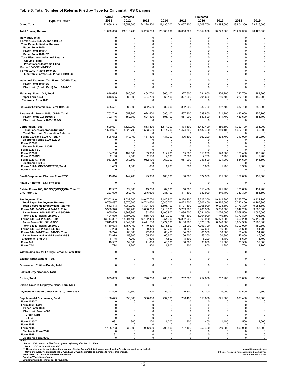| Table 6. Total Number of Returns Filed by Type for Cincinnati IRS Campus              |                         |                         |                         |                         |                         |                            |                         |                         |                            |
|---------------------------------------------------------------------------------------|-------------------------|-------------------------|-------------------------|-------------------------|-------------------------|----------------------------|-------------------------|-------------------------|----------------------------|
|                                                                                       | Actual                  | <b>Estimated</b>        |                         |                         |                         | Projected                  |                         |                         |                            |
| <b>Type of Return</b><br><b>Grand Total</b>                                           | 2011<br>22,866,343      | 2012<br>22,651,500      | 2013<br>24,228,200      | 2014<br>24,136,000      | 2015<br>24,067,100      | 2016<br>24,008,700         | 2017<br>23,894,600      | 2018<br>23,804,300      | 2019<br>23,716,500         |
| <b>Total Primary Returns</b>                                                          | 21,699,868              | 21,812,700              | 23,260,200              | 23,339,000              | 23,358,800              | 23,354,900                 | 23,273,600              | 23,202,900              | 23,126,900                 |
|                                                                                       |                         |                         |                         |                         |                         |                            |                         |                         |                            |
| <b>Individual, Total</b><br>Forms 1040, 1040-A, and 1040-EZ                           | 0<br>0                  | 0<br>0                  | 0<br>0                  | 0<br>$\mathbf 0$        | 0<br>$\mathbf 0$        | 0<br>0                     | 0<br>0                  | 0<br>$\Omega$           | 0<br>$\overline{0}$        |
| <b>Total Paper Individual Returns</b>                                                 | 0                       | 0                       | 0                       | $\Omega$                | 0                       | $\Omega$                   | 0                       | 0                       | 0                          |
| Paper Form 1040<br>Paper Form 1040-A                                                  | 0<br>$\Omega$           | 0<br>0                  | 0<br>0                  | $\Omega$<br>$\mathbf 0$ | $\Omega$<br>0           | $\mathbf 0$<br>0           | 0<br>0                  | 0<br>0                  | 0<br>$\Omega$              |
| Paper Form 1040-EZ                                                                    | 0                       | $\mathbf 0$             | 0                       | $\mathbf 0$             | 0                       | $\Omega$                   | 0                       | $\Omega$                | $\Omega$                   |
| <b>Total Electronic Individual Returns</b><br>On Line Filing                          | 0<br>$\Omega$           | 0<br>0                  | 0<br>0                  | $\Omega$<br>$\mathbf 0$ | $\Omega$<br>0           | $\mathbf 0$<br>0           | 0<br>0                  | 0<br>0                  | $\overline{0}$<br>$\Omega$ |
| <b>Practitioner Electronic Filing</b>                                                 | 0                       | $\mathbf 0$             | 0                       | 0                       | 0                       | 0                          | 0                       | $\Omega$                | $\Omega$                   |
| Forms 1040-NR/NR-EZ/C<br>Forms 1040-PR and 1040-SS                                    | 0<br>$\Omega$           | 0<br>0                  | 0<br>0                  | $\mathbf 0$<br>0        | 0<br>0                  | $\mathbf 0$<br>$\mathbf 0$ | 0<br>0                  | 0<br>0                  | $\Omega$<br>0              |
| Electronic Forms 1040-PR and 1040-SS                                                  | $\Omega$                | $\mathbf 0$             | 0                       | $\mathbf 0$             | $\mathbf 0$             | $\mathbf 0$                | 0                       | $\Omega$                | $\overline{0}$             |
| Individual Estimated Tax, Form 1040-ES, Total                                         | $\mathbf 0$             | 0                       | 0                       | $\Omega$                | $\mathbf 0$             | $\Omega$                   | 0                       | 0                       | 0                          |
| Paper Form 1040-ES                                                                    | $\Omega$                | $\mathbf 0$             | 0                       | $\mathbf 0$             | 0                       | $\mathbf 0$                | 0                       | $\mathbf 0$             | 0                          |
| Electronic (Credit Card) Form 1040-ES                                                 | 0                       | 0                       | 0                       | $\mathbf 0$             | 0                       | 0                          | 0                       | $\Omega$                | 0                          |
| Fiduciary, Form 1041, Total                                                           | 646,685                 | 380,600                 | 404,700                 | 365,100                 | 327,600                 | 291,600                    | 256,700                 | 222,700                 | 189,200                    |
| Paper Form 1041<br><b>Electronic Form 1041</b>                                        | 646,685<br>0            | 380,600<br>0            | 404,700<br>0            | 365,100<br>0            | 327,600<br>0            | 291,600<br>0               | 256,700<br>0            | 222,700<br>0            | 189,200<br>$\Omega$        |
|                                                                                       |                         |                         |                         |                         |                         |                            |                         |                         |                            |
| <b>Fiduciary Estimated Tax, Form 1041-ES</b>                                          | 365,521                 | 382,500                 | 382,500                 | 382,600                 | 382,600                 | 382,700                    | 382,700                 | 382,700                 | 382,800                    |
| Partnership, Forms 1065/1065-B, Total                                                 | 702.746                 | 652,700                 | 624,400                 | 596.100                 | 567.900                 | 539.800                    | 511,700                 | 483,600                 | 455,700                    |
| Paper Forms 1065/1065-B<br>Electronic Forms 1065/1065-B                               | 702,746<br>$\mathbf 0$  | 652,700<br>0            | 624,400<br>0            | 596,100<br>0            | 567,900<br>0            | 539,800<br>0               | 511,700<br>0            | 483,600<br>$\mathbf 0$  | 455,700<br>0               |
|                                                                                       |                         |                         |                         |                         |                         |                            |                         |                         |                            |
| <b>Corporation, Total</b>                                                             | 1,599,627               | 1.529.700               | 1,553,500               | 1.514.700               | 1,474,300               | 1,432,400                  | 1,380,100               | 1,322,700               | 1,265,000                  |
| <b>Total Paper Corporation Returns</b><br><b>Total Electronic Corporation Returns</b> | 1,599,627               | 1,529,700<br>0          | 1,553,500<br>0          | 1,514,700<br>$\Omega$   | 1,474,300<br>0          | 1,432,400<br>0             | 1,380,100<br>0          | 1,322,700<br>0          | 1,265,000<br>$\Omega$      |
| Forms 1120 and 1120-A, Total *                                                        | 508,612                 | 449,100                 | 487,300                 | 437,700                 | 396,600                 | 362,200                    | 333,700                 | 310,000<br>0            | 289,800                    |
| Electronic Forms 1120/1120-A<br><b>Form 1120-F</b>                                    | $\Omega$<br>0           | 0<br>0                  | 0<br>0                  | 0<br>$\mathbf 0$        | 0<br>0                  | 0<br>0                     | 0<br>0                  | 0                       | 0<br>0                     |
| <b>Electronic Form 1120-F</b>                                                         | 0                       | 0                       | 0                       | $\Omega$                | 0                       | 0                          | $\mathbf 0$             | $\Omega$                | $\mathbf 0$                |
| Form 1120-FSC<br><b>Form 1120-H</b>                                                   | 0<br>104,236            | 0<br>107,100            | 0<br>109,900            | $\Omega$<br>112,700     | 0<br>115,500            | $\Omega$<br>118,200        | 0<br>120,800            | 0<br>123,400            | $\mathbf 0$<br>125,900     |
| Form 1120-RIC                                                                         | 2,100                   | 2,500                   | 2,500                   | 2,600                   | 2,600                   | 2,700                      | 2,700                   | 2,800                   | 2,900                      |
| Form 1120-S, Total<br>Electronic 1120-S                                               | 983,220<br>$\Omega$     | 969,500<br>0            | 952,100<br>0            | 960,000<br>0            | 957,900<br>0            | 947,500<br>0               | 921,000<br>0            | 884,600<br>0            | 844,500<br>-0              |
| Forms 1120-L/ND/PC/REIT/SF, Total                                                     | 1,459                   | 1,600                   | 1,600                   | 1,700                   | 1,700                   | 1,800                      | 1,900                   | 1,900                   | 2,000                      |
| Form 1120-C **                                                                        | 0                       | $\Omega$                | 0                       | $\Omega$                | $\Omega$                | $\Omega$                   | 0                       | 0                       | $\Omega$                   |
| Small Corporation Election, Form 2553                                                 | 149,014                 | 142,700                 | 195,900                 | 188,000                 | 180,300                 | 172,900                    | 165,800                 | 159,000                 | 152,500                    |
| "REMIC" Income Tax, Form 1066                                                         | 0                       | 0                       | 0                       | 0                       | 0                       | 0                          | $\mathbf 0$             | $\mathbf 0$             | 0                          |
| Estate, Forms 706, 706 GS(D)/GS(T)/NA, Total ***                                      | 12,582                  | 29,800                  | 13,200                  | 82,600                  | 110,300                 | 116,400                    | 121,700                 | 126,600                 | 131,900                    |
| Gift, Form 709                                                                        | 223,090                 | 252,100                 | 246,600                 | 285,100                 | 317,300                 | 332,900                    | 340,400                 | 347,300                 | 354,600                    |
| <b>Employment, Total</b>                                                              | 17,302,910              | 17,537,500              | 19,047,700              | 19,140,800              | 19,220,200              | 19,313,300                 | 19,341,800              | 19,385,700              | 19,422,700                 |
| <b>Total Paper Employment Returns</b>                                                 | 9,760,497               | 9,575,300               | 10,743,600              | 10,545,700              | 10,422,700              | 10,306,400                 | 10,266,000              | 10,212,400              | 10,167,900                 |
| <b>Total Electronic Employment Returns</b><br>Forms 940, 940-EZ and 940-PR, Total     | 7,542,413<br>3,360,370  | 7,962,200<br>3,367,700  | 8,304,100<br>3,688,300  | 8,595,100<br>3,716,600  | 8,797,400<br>3,753,900  | 9,006,900<br>3,785,900     | 9,075,800<br>3,816,500  | 9,173,300<br>3,842,200  | 9,254,800<br>3.860.800     |
| Paper Forms 940, 940-EZ and 940-PR                                                    | 1,955,400               | 1,869,900               | 2,132,600               | 2,105,900               | 2,086,500               | 2,081,000                  | 2,076,000               | 2,069,500               | 2,065,500                  |
| Form 940 E-File/On-Line/XML                                                           | 1,404,970               | 1,497,900               | 1,555,700               | 1,610,700               | 1,667,400               | 1,704,900                  | 1,740,500               | 1,772,800               | 1,795,300                  |
| Forms 941, 941-PR/SS/E, Total<br>Paper Forms 941, 941-PR/SS                           | 13,744,337<br>7,613,639 | 14,004,100<br>7,547,000 | 15,182,400<br>8,441,500 | 15,254,300<br>8,277,800 | 15,302,900<br>8,180,900 | 15,369,900<br>8,076,100    | 15,373,200<br>8,046,300 | 15,396,200<br>8,004,300 | 15,419,200<br>7,968,300    |
| Form 941 E-File/On-Line/XML                                                           | 6,130,698               | 6,457,100               | 6,740,800               | 6,976,500               | 7,122,000               | 7,293,700                  | 7,326,900               | 7,392,000               | 7,450,800                  |
| Forms 943, 943-PR and 943-SS                                                          | 67,203                  | 58,300                  | 60,800                  | 59,700                  | 58,600                  | 57,600                     | 56,600                  | 55,600                  | 54,700                     |
| Forms 944, 944-PR and 944-SS, Total<br>Paper Forms 944, 944-PR and 944-SS             | 80,724<br>73,979        | 66,000<br>58,800        | 72,800<br>65,200        | 68,400<br>60,600        | 64,700<br>56,700        | 61,500<br>53,300           | 58,800<br>50,300        | 56,400<br>47,800        | 54,400<br>45,600           |
| <b>Electronic Form 944</b>                                                            | 6,745                   | 7,200                   | 7,600                   | 7,800                   | 8,100                   | 8,200                      | 8,400                   | 8,600                   | 8,700                      |
| <b>Form 945</b><br>Form CT-1                                                          | 48,502<br>1,774         | 39,600<br>1,800         | 41,800<br>1,800         | 40,000<br>1,800         | 38,300<br>1,800         | 36,600<br>1,800            | 35,000<br>1,800         | 33,500<br>1,700         | 32,000<br>1,700            |
|                                                                                       |                         |                         |                         |                         |                         |                            |                         |                         |                            |
| Withholding Tax for Foreign Persons, Form 1042                                        | 0                       | 0                       | 0                       | 0                       | 0                       | 0                          | 0                       | 0                       | 0                          |
| <b>Exempt Organizations, Total</b>                                                    | 0                       | 0                       | 0                       | 0                       | 0                       | 0                          | 0                       | 0                       | 0                          |
| Government Entities/Bonds, Total                                                      | $\Omega$                | 0                       | 0                       | 0                       | $\mathbf 0$             | 0                          | 0                       | $\Omega$                | $\Omega$                   |
| <b>Political Organizations, Total</b>                                                 | 0                       | 0                       | 0                       | 0                       | 0                       | 0                          | 0                       | 0                       | 0                          |
|                                                                                       |                         |                         |                         |                         |                         |                            |                         |                         |                            |
| <b>Excise, Total</b>                                                                  | 675,803                 | 884,300                 | 770,200                 | 763,000                 | 757,700                 | 752,800                    | 752,900                 | 753,000                 | 753,200                    |
| Excise Taxes re Employee Plans, Form 5330                                             | 0                       | 0                       | 0                       | 0                       | 0                       | 0                          | 0                       | 0                       | 0                          |
| Payment or Refund Under Sec.7519, Form 8752                                           | 21,890                  | 20,800                  | 21,500                  | 21,000                  | 20,600                  | 20,200                     | 19,900                  | 19,600                  | 19,300                     |
| <b>Supplemental Documents, Total</b>                                                  | 1,166,475               | 838,800                 | 968,000                 | 797,000                 | 708,400                 | 653,800                    | 621,000                 | 601,400                 | 589,600                    |
| Form 1040-X                                                                           | ŋ                       | 0                       | 0                       | 0                       | $\Omega$                | 0                          | 0                       | ŋ                       | $\mathbf 0$                |
| Form 4868, Total<br>Paper Form 4868                                                   | 0<br>0                  | 0<br>0                  | 0<br>0                  | 0<br>$\mathbf 0$        | 0<br>0                  | 0<br>0                     | 0<br>0                  | 0<br>0                  | 0<br>0                     |
| <b>Electronic Form 4868</b>                                                           | 0                       | 0                       | 0                       | $\Omega$                | 0                       | 0                          | 0                       | 0                       | 0                          |
| <b>Credit Card</b>                                                                    | 0                       | 0                       | 0                       | $\Omega$<br>0           | 0                       | 0<br>0                     | 0                       | 0<br>0                  | $\mathbf 0$<br>$\mathbf 0$ |
| E-File<br>Form 1120-X                                                                 | 0<br>691                | 0<br>800                | 0<br>1,100              | 1,200                   | 0<br>1,300              | 1,400                      | 0<br>1,400              | 1,500                   | 1,600                      |
| <b>Form 5558</b>                                                                      | 0                       | 0                       | 0                       | 0                       | 0                       | 0                          | 0                       | 0                       | $\mathbf 0$                |
| <b>Form 7004</b><br><b>Electronic Form 7004</b>                                       | 1,165,753<br>$\Omega$   | 838,000<br>0            | 966,900<br>0            | 795,800<br>0            | 707,100<br>0            | 652,400<br>0               | 619,600<br>0            | 599,900<br>0            | 588,000<br>$\mathbf 0$     |
| <b>Form 8868</b>                                                                      | 31                      | 0                       | 0                       | 0                       | 0                       | 0                          | 0                       | 0                       | 0                          |
| <b>Electronic Form 8868</b>                                                           | 0                       | 0                       | 0                       | 0                       | 0                       | 0                          | 0                       | 0                       | $\mathbf 0$                |

Notes:<br>"Torm 1120-A cannot be filed for tax years beginning after Dec. 31, 2006.<br>""The projections do not includes Form 990-C. Includes Form 990-C.<br>""The projections do not include the marginal effect of Forms 706 filed to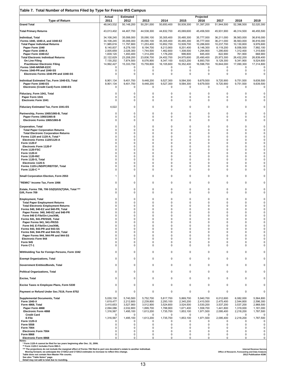| Table 7. Total Number of Returns Filed by Type for Fresno IRS Campus                                                                                                                                                                                                                                                                                                                                                                                                                                 |                                                                                                                                                               |                                                                                                                                       |                                                                                                                                                |                                                                                                                                              |                                                                                                                                               |                                                                                                                                                |                                                                                                                                               |                                                                                                                                     |                                                                                                                                           |
|------------------------------------------------------------------------------------------------------------------------------------------------------------------------------------------------------------------------------------------------------------------------------------------------------------------------------------------------------------------------------------------------------------------------------------------------------------------------------------------------------|---------------------------------------------------------------------------------------------------------------------------------------------------------------|---------------------------------------------------------------------------------------------------------------------------------------|------------------------------------------------------------------------------------------------------------------------------------------------|----------------------------------------------------------------------------------------------------------------------------------------------|-----------------------------------------------------------------------------------------------------------------------------------------------|------------------------------------------------------------------------------------------------------------------------------------------------|-----------------------------------------------------------------------------------------------------------------------------------------------|-------------------------------------------------------------------------------------------------------------------------------------|-------------------------------------------------------------------------------------------------------------------------------------------|
| <b>Type of Return</b><br><b>Grand Total</b>                                                                                                                                                                                                                                                                                                                                                                                                                                                          | Actual<br>2011<br>48,043,532                                                                                                                                  | <b>Estimated</b><br>2012<br>50,148,200                                                                                                | 2013<br>50,291,000                                                                                                                             | 2014<br>50,650,400                                                                                                                           | 2015<br>50,939,300                                                                                                                            | Projected<br>2016<br>51,397,200                                                                                                                | 2017<br>51,944,500                                                                                                                            | 2018<br>52,396,500                                                                                                                  | 2019<br>52,020,300                                                                                                                        |
| <b>Total Primary Returns</b>                                                                                                                                                                                                                                                                                                                                                                                                                                                                         | 43,013,402                                                                                                                                                    | 44,407,700                                                                                                                            | 44,538,300                                                                                                                                     | 44,832,700                                                                                                                                   | 45,069,600                                                                                                                                    | 45,456,500                                                                                                                                     | 45,931,900                                                                                                                                    | 46,314,500                                                                                                                          | 46,455,500                                                                                                                                |
| Individual, Total<br>Forms 1040, 1040-A, and 1040-EZ<br><b>Total Paper Individual Returns</b><br>Paper Form 1040<br>Paper Form 1040-A<br>Paper Form 1040-EZ<br><b>Total Electronic Individual Returns</b><br>On Line Filing<br><b>Practitioner Electronic Filing</b><br>Forms 1040-NR/NR-EZ/C<br>Forms 1040-PR and 1040-SS<br>Electronic Forms 1040-PR and 1040-SS                                                                                                                                   | 34,108,245<br>34,108,245<br>11,985,616<br>8,140,837<br>2,005,659<br>1,839,120<br>22,122,629<br>7,130,202<br>14,992,427<br>0<br>0<br>0                         | 35,006,000<br>35,006,000<br>11,797,800<br>8,278,100<br>2,026,300<br>1,493,400<br>23,208,200<br>7,874,500<br>15,333,700<br>0<br>0<br>0 | 35,090,100<br>35,090,100<br>11,253,400<br>8,194,700<br>1,744,500<br>1,314,200<br>23,836,700<br>8,076,900<br>15,759,800<br>$^{\circ}$<br>0<br>0 | 35,305,400<br>35,305,400<br>10,852,700<br>8,213,900<br>1,462,600<br>1,176,200<br>24,452,700<br>8,347,100<br>16,105,600<br>0<br>0<br>$\Omega$ | 35,485,300<br>35,485,300<br>10,509,700<br>8,201,400<br>1,308,500<br>999,800<br>24,975,600<br>8,623,200<br>16,352,400<br>0<br>0<br>$\mathbf 0$ | 35,777,000<br>35,777,000<br>10,286,600<br>8,146,300<br>1,294,900<br>845,400<br>25,490,400<br>8,893,700<br>16,596,700<br>0<br>0<br>$\mathbf 0$  | 36,211,000<br>36,211,000<br>10,237,700<br>8,119,200<br>1,295,600<br>822,900<br>25,973,300<br>9,129,300<br>16,844,000<br>0<br>0<br>$\mathbf 0$ | 36,563,000<br>36,563,000<br>10,130,800<br>8,056,500<br>1,312,400<br>761,900<br>26,432,200<br>9,341,900<br>17,090,300<br>0<br>0<br>0 | 36,816,000<br>36,816,000<br>9,976,600<br>7,992,100<br>1,315,600<br>668,900<br>26,839,400<br>9,524,600<br>17,314,800<br>$\Omega$<br>0<br>0 |
| Individual Estimated Tax, Form 1040-ES, Total<br>Paper Form 1040-ES<br>Electronic (Credit Card) Form 1040-ES                                                                                                                                                                                                                                                                                                                                                                                         | 8,901,134<br>8,901,134<br>$\Omega$                                                                                                                            | 9,401,700<br>9,401,700<br>0                                                                                                           | 9,448,200<br>9,448,200<br>0                                                                                                                    | 9,527,300<br>9,527,300<br>0                                                                                                                  | 9,584,300<br>9,584,300<br>0                                                                                                                   | 9,679,500<br>9,679,500<br>0                                                                                                                    | 9,720,900<br>9,720,900<br>0                                                                                                                   | 9,751,500<br>9,751,500<br>0                                                                                                         | 9,639,500<br>9,639,500<br>0                                                                                                               |
| Fiduciary, Form 1041, Total<br>Paper Form 1041<br><b>Electronic Form 1041</b>                                                                                                                                                                                                                                                                                                                                                                                                                        | $\Omega$<br>0<br>$\Omega$                                                                                                                                     | 0<br>0<br>0                                                                                                                           | 0<br>0<br>0                                                                                                                                    | 0<br>0<br>$\Omega$                                                                                                                           | 0<br>0<br>$\mathbf 0$                                                                                                                         | 0<br>0<br>$\Omega$                                                                                                                             | 0<br>0<br>0                                                                                                                                   | 0<br>0<br>0                                                                                                                         | 0<br>0<br>0                                                                                                                               |
| Fiduciary Estimated Tax, Form 1041-ES                                                                                                                                                                                                                                                                                                                                                                                                                                                                | 4,022                                                                                                                                                         | 0                                                                                                                                     | 0                                                                                                                                              | 0                                                                                                                                            | 0                                                                                                                                             | 0                                                                                                                                              | 0                                                                                                                                             | 0                                                                                                                                   | 0                                                                                                                                         |
| Partnership, Forms 1065/1065-B, Total<br>Paper Forms 1065/1065-B<br>Electronic Forms 1065/1065-B                                                                                                                                                                                                                                                                                                                                                                                                     | 0<br>$\Omega$<br>$\Omega$                                                                                                                                     | 0<br>0<br>0                                                                                                                           | 0<br>0<br>0                                                                                                                                    | 0<br>0<br>0                                                                                                                                  | 0<br>0<br>$\mathbf 0$                                                                                                                         | $\mathbf 0$<br>0<br>$\mathbf 0$                                                                                                                | $\mathbf 0$<br>0<br>$\mathbf 0$                                                                                                               | $\mathbf 0$<br>0<br>0                                                                                                               | 0<br>0<br>0                                                                                                                               |
| <b>Corporation, Total</b><br><b>Total Paper Corporation Returns</b><br><b>Total Electronic Corporation Returns</b><br>Forms 1120 and 1120-A, Total *<br>Electronic Forms 1120/1120-A<br><b>Form 1120-F</b><br><b>Electronic Form 1120-F</b><br>Form 1120-FSC<br><b>Form 1120-H</b><br>Form 1120-RIC<br>Form 1120-S, Total<br>Electronic 1120-S<br>Forms 1120-L/ND/PC/REIT/SF, Total<br>Form 1120-C **                                                                                                | $\Omega$<br>$\Omega$<br>$\Omega$<br>$\Omega$<br>$\Omega$<br>$\Omega$<br>$\Omega$<br>$\Omega$<br>$\Omega$<br>$\Omega$<br>$\Omega$<br>$\Omega$<br>$\Omega$<br>0 | $\mathbf 0$<br>0<br>0<br>0<br>0<br>0<br>0<br>0<br>0<br>0<br>0<br>0<br>$\mathsf 0$<br>0                                                | 0<br>0<br>0<br>0<br>0<br>0<br>0<br>0<br>0<br>0<br>0<br>0<br>0<br>0                                                                             | $\Omega$<br>$\overline{0}$<br>0<br>$\Omega$<br>0<br>0<br>$\Omega$<br>0<br>0<br>$\Omega$<br>$\Omega$<br>$\Omega$<br>0<br>0                    | $\mathbf 0$<br>0<br>0<br>$\Omega$<br>0<br>0<br>$\mathbf 0$<br>0<br>0<br>$\Omega$<br>$\Omega$<br>0<br>0<br>0                                   | $\mathbf 0$<br>$\Omega$<br>0<br>0<br>$\Omega$<br>$\Omega$<br>$\Omega$<br>$\Omega$<br>0<br>$\Omega$<br>$\Omega$<br>$\Omega$<br>0<br>$\mathbf 0$ | $\Omega$<br>0<br>0<br>$\mathbf 0$<br>$\mathbf 0$<br>0<br>$\Omega$<br>$\mathbf 0$<br>$\mathbf 0$<br>$\Omega$<br>0<br>0<br>0<br>$\mathbf 0$     | $\mathbf 0$<br>0<br>0<br>0<br>0<br>0<br>$\mathbf 0$<br>0<br>0<br>$\mathbf 0$<br>0<br>0<br>0<br>0                                    | 0<br>0<br>0<br>0<br>$\pmb{0}$<br>$\pmb{0}$<br>0<br>0<br>$\mathbf 0$<br>0<br>0<br>0<br>0<br>0                                              |
| Small Corporation Election, Form 2553                                                                                                                                                                                                                                                                                                                                                                                                                                                                | 1                                                                                                                                                             | 0                                                                                                                                     | 0                                                                                                                                              | 0                                                                                                                                            | 0                                                                                                                                             | 0                                                                                                                                              | 0                                                                                                                                             | 0                                                                                                                                   | 0                                                                                                                                         |
| "REMIC" Income Tax, Form 1066                                                                                                                                                                                                                                                                                                                                                                                                                                                                        | $\Omega$                                                                                                                                                      | 0                                                                                                                                     | 0                                                                                                                                              | 0                                                                                                                                            | $\mathbf 0$                                                                                                                                   | $\mathbf 0$                                                                                                                                    | $\mathbf 0$                                                                                                                                   | 0                                                                                                                                   | 0                                                                                                                                         |
| Estate, Forms 706, 706 GS(D)/GS(T)/NA, Total ***<br>Gift, Form 709                                                                                                                                                                                                                                                                                                                                                                                                                                   | $\Omega$<br>$\Omega$                                                                                                                                          | 0<br>0                                                                                                                                | 0<br>0                                                                                                                                         | 0<br>0                                                                                                                                       | $\pmb{0}$<br>$\mathbf 0$                                                                                                                      | 0<br>$\mathbf 0$                                                                                                                               | 0<br>$\mathbf 0$                                                                                                                              | 0<br>$\mathbf 0$                                                                                                                    | 0<br>0                                                                                                                                    |
| <b>Employment, Total</b><br><b>Total Paper Employment Returns</b><br><b>Total Electronic Employment Returns</b><br>Forms 940, 940-EZ and 940-PR, Total<br>Paper Forms 940, 940-EZ and 940-PR<br>Form 940 E-File/On-Line/XML<br>Forms 941, 941-PR/SS/E, Total<br>Paper Forms 941, 941-PR/SS<br>Form 941 E-File/On-Line/XML<br>Forms 943, 943-PR and 943-SS<br>Forms 944, 944-PR and 944-SS, Total<br>Paper Forms 944, 944-PR and 944-SS<br><b>Electronic Form 944</b><br><b>Form 945</b><br>Form CT-1 | $\Omega$<br>$\Omega$<br>$\Omega$<br>$\Omega$<br>$\Omega$<br>0<br>$\Omega$<br>0<br>$\Omega$<br>$\Omega$<br>$\Omega$<br>$\Omega$<br>$\Omega$<br>$\Omega$        | 0<br>0<br>0<br>0<br>0<br>$\Omega$<br>0<br>0<br>$\mathsf 0$<br>0<br>$\mathbf 0$<br>0<br>0<br>0<br>0                                    | 0<br>0<br>0<br>0<br>0<br>0<br>0<br>0<br>0<br>0<br>0<br>0<br>0<br>0<br>0                                                                        | 0<br>$\Omega$<br>0<br>0<br>$\Omega$<br>O<br>0<br>0<br>0<br>$\Omega$<br>$\Omega$<br>$\Omega$<br>$\Omega$<br>$\Omega$<br>0                     | 0<br>$\mathbf 0$<br>0<br>$\Omega$<br>$\Omega$<br>$\Omega$<br>0<br>0<br>0<br>$\mathbf 0$<br>$\mathbf 0$<br>0<br>$\Omega$<br>$\mathbf 0$<br>0   | $\mathbf 0$<br>0<br>0<br>$\Omega$<br>$\Omega$<br>O<br>0<br>0<br>0<br>$\Omega$<br>$\Omega$<br>$\Omega$<br>$\Omega$<br>0<br>0                    | 0<br>0<br>$\mathbf 0$<br>0<br>$\mathbf 0$<br>$\Omega$<br>0<br>0<br>0<br>$\Omega$<br>$\mathbf 0$<br>0<br>$\Omega$<br>0<br>0                    | 0<br>$\mathbf 0$<br>0<br>0<br>0<br>O<br>0<br>$\mathbf 0$<br>0<br>$\mathbf 0$<br>0<br>0<br>$\mathbf 0$<br>0<br>0                     | 0<br>0<br>0<br>0<br>0<br>0<br>0<br>$\pmb{0}$<br>$\pmb{0}$<br>0<br>0<br>$\pmb{0}$<br>0<br>0<br>0                                           |
| Withholding Tax for Foreign Persons, Form 1042                                                                                                                                                                                                                                                                                                                                                                                                                                                       | 0                                                                                                                                                             | $\mathbf 0$                                                                                                                           | $\mathbf 0$                                                                                                                                    | $\Omega$                                                                                                                                     | $\mathbf 0$                                                                                                                                   | $\mathbf 0$                                                                                                                                    | $\mathbf 0$                                                                                                                                   | $\mathbf 0$                                                                                                                         | 0                                                                                                                                         |
| <b>Exempt Organizations, Total</b>                                                                                                                                                                                                                                                                                                                                                                                                                                                                   | $\Omega$                                                                                                                                                      | 0                                                                                                                                     | 0                                                                                                                                              | 0                                                                                                                                            | $\mathbf 0$                                                                                                                                   | 0                                                                                                                                              | 0                                                                                                                                             | 0                                                                                                                                   | 0                                                                                                                                         |
| Government Entities/Bonds, Total                                                                                                                                                                                                                                                                                                                                                                                                                                                                     | $\Omega$                                                                                                                                                      | 0                                                                                                                                     | 0                                                                                                                                              | 0                                                                                                                                            | $\mathbf 0$                                                                                                                                   | $\mathbf 0$                                                                                                                                    | 0                                                                                                                                             | 0                                                                                                                                   | 0                                                                                                                                         |
| <b>Political Organizations, Total</b>                                                                                                                                                                                                                                                                                                                                                                                                                                                                | 0                                                                                                                                                             | 0                                                                                                                                     | 0                                                                                                                                              | 0                                                                                                                                            | $\mathbf 0$                                                                                                                                   | 0                                                                                                                                              | $\mathbf 0$                                                                                                                                   | $\mathbf 0$                                                                                                                         | $\mathbf 0$                                                                                                                               |
| <b>Excise, Total</b>                                                                                                                                                                                                                                                                                                                                                                                                                                                                                 | $\Omega$                                                                                                                                                      | 0                                                                                                                                     | 0                                                                                                                                              | 0                                                                                                                                            | $\Omega$                                                                                                                                      | $\mathbf 0$                                                                                                                                    | 0                                                                                                                                             | 0                                                                                                                                   | 0                                                                                                                                         |
| Excise Taxes re Employee Plans, Form 5330<br>Payment or Refund Under Sec.7519, Form 8752                                                                                                                                                                                                                                                                                                                                                                                                             | 0<br>$\Omega$                                                                                                                                                 | 0<br>$\mathbf 0$                                                                                                                      | 0<br>0                                                                                                                                         | 0<br>$\Omega$                                                                                                                                | $\mathbf 0$<br>$\mathbf 0$                                                                                                                    | 0<br>$\mathbf 0$                                                                                                                               | $\mathbf 0$<br>0                                                                                                                              | $\mathbf 0$<br>$\mathbf 0$                                                                                                          | 0<br>$\pmb{0}$                                                                                                                            |
| <b>Supplemental Documents, Total</b>                                                                                                                                                                                                                                                                                                                                                                                                                                                                 | 5,030,130                                                                                                                                                     | 5,740,500                                                                                                                             | 5,752,700                                                                                                                                      | 5,817,700                                                                                                                                    | 5,869,700                                                                                                                                     | 5,940,700                                                                                                                                      | 6,012,600                                                                                                                                     | 6,082,000                                                                                                                           | 5,564,800                                                                                                                                 |
| <b>Form 1040-X</b><br>Form 4868, Total<br>Paper Form 4868<br>Electronic Form 4868<br><b>Credit Card</b><br>E-File<br>Form 1120-X<br><b>Form 5558</b><br><b>Form 7004</b><br><b>Electronic Form 7004</b><br><b>Form 8868</b><br><b>Electronic Form 8868</b><br>Notes:                                                                                                                                                                                                                                 | 1,619,477<br>3,410,653<br>2,094,086<br>1,316,567<br>0<br>1,316,567<br><sup>0</sup><br>0<br>$\Omega$<br>0<br>0<br>0                                            | 2,212,600<br>3,527,900<br>2,032,800<br>1,495,100<br>0<br>1,495,100<br>0<br>0<br>$\mathbf 0$<br>0<br>0<br>0                            | 2,239,800<br>3,512,900<br>1,899,700<br>1,613,200<br>$^{\circ}$<br>1,613,200<br>0<br>0<br>0<br>0<br>0<br>0                                      | 2,293,100<br>3,524,600<br>1,788,900<br>1,735,700<br>0<br>1,735,700<br>$\Omega$<br>$\Omega$<br>$\Omega$<br>$\Omega$<br>0<br>0                 | 2,345,200<br>3,524,500<br>1,671,400<br>1,853,100<br>0<br>1,853,100<br>0<br>$\mathbf 0$<br>0<br>0<br>0<br>0                                    | 2,410,500<br>3,530,200<br>1,558,700<br>1,971,500<br>0<br>1,971,500<br>0<br>0<br>0<br>0<br>0<br>0                                               | 2,475,400<br>3,537,200<br>1,441,800<br>2,095,400<br>0<br>2,095,400<br>0<br>0<br>0<br>$\mathbf 0$<br>0<br>0                                    | 2,544,800<br>3,537,200<br>1,319,000<br>2,218,200<br>0<br>2,218,200<br>0<br>0<br>0<br>0<br>0<br>0                                    | 2,596,300<br>2,968,500<br>1,181,000<br>1,787,500<br>0<br>1,787,500<br>0<br>0<br>0<br>0<br>0<br>0                                          |
| * Form 1120-A cannot be filed for tax years beginning after Dec. 31, 2006.<br>** Form 1120-C includes Form 990-C.<br>*** The projections do not include the marginal effect of Forms 706 filed to port one decedent's estate to another individual.<br>Moving forward, we anticipate the CY2012 and CY2013 estimates to increase to reflect this change.<br>Table does not contain Non-Master File counts.<br>See also "Table Notes" page.<br>Detail may not add to total due to rounding.           |                                                                                                                                                               |                                                                                                                                       |                                                                                                                                                |                                                                                                                                              |                                                                                                                                               |                                                                                                                                                |                                                                                                                                               | Office of Research, Forecasting and Data Analysis                                                                                   | <b>Internal Revenue Service</b><br>2012 Publication 6186                                                                                  |

 $\overline{1}$ 

٦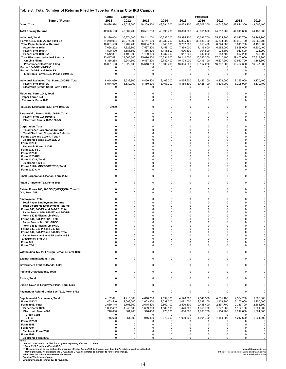| Table 8. Total Number of Returns Filed by Type for Kansas City IRS Campus                                                                                                                                                                                                                                                                                                                                                                                                                            |                                                                                                                                                                      |                                                                                                                                  |                                                                                                                                  |                                                                                                                                       |                                                                                                                                                          |                                                                                                                                                 |                                                                                                                                             |                                                                                                                              |                                                                                                                              |
|------------------------------------------------------------------------------------------------------------------------------------------------------------------------------------------------------------------------------------------------------------------------------------------------------------------------------------------------------------------------------------------------------------------------------------------------------------------------------------------------------|----------------------------------------------------------------------------------------------------------------------------------------------------------------------|----------------------------------------------------------------------------------------------------------------------------------|----------------------------------------------------------------------------------------------------------------------------------|---------------------------------------------------------------------------------------------------------------------------------------|----------------------------------------------------------------------------------------------------------------------------------------------------------|-------------------------------------------------------------------------------------------------------------------------------------------------|---------------------------------------------------------------------------------------------------------------------------------------------|------------------------------------------------------------------------------------------------------------------------------|------------------------------------------------------------------------------------------------------------------------------|
| <b>Type of Return</b><br><b>Grand Total</b>                                                                                                                                                                                                                                                                                                                                                                                                                                                          | Actual<br>2011<br>46,428,874                                                                                                                                         | <b>Estimated</b><br>2012<br>48,522,300                                                                                           | 2013<br>48,209,900                                                                                                               | 2014<br>48,294,500                                                                                                                    | 2015<br>48,439,200                                                                                                                                       | Projected<br>2016<br>48,508,300                                                                                                                 | 2017<br>48,745,300                                                                                                                          | 2018<br>48,824,300                                                                                                           | 2019<br>49,506,100                                                                                                           |
| <b>Total Primary Returns</b>                                                                                                                                                                                                                                                                                                                                                                                                                                                                         | 42,326,183                                                                                                                                                           | 43,807,200                                                                                                                       | 43,591,200                                                                                                                       | 43,695,400                                                                                                                            | 43,860,900                                                                                                                                               | 43,961,800                                                                                                                                      | 44,213,900                                                                                                                                  | 44,319,600                                                                                                                   | 44,439,800                                                                                                                   |
| Individual, Total<br>Forms 1040, 1040-A, and 1040-EZ<br><b>Total Paper Individual Returns</b><br>Paper Form 1040<br>Paper Form 1040-A<br>Paper Form 1040-EZ<br><b>Total Electronic Individual Returns</b><br>On Line Filing<br><b>Practitioner Electronic Filing</b><br>Forms 1040-NR/NR-EZ/C<br>Forms 1040-PR and 1040-SS                                                                                                                                                                           | 34,279,054<br>34,279,054<br>10,831,583<br>7,698,202<br>1,590,490<br>1,542,891<br>23,447,471<br>8,356,288<br>15,091,183<br>0<br>$\mathbf 0$                           | 35,274,300<br>35,274,300<br>10,707,700<br>7,826,800<br>1,681,600<br>1,199,300<br>24,566,600<br>9,244,600<br>15,322,000<br>0<br>0 | 35,141,000<br>35,141,000<br>10,064,700<br>7,597,800<br>1,366,600<br>1,100,300<br>25,076,300<br>9,457,500<br>15,618,800<br>0<br>0 | 35,232,200<br>35,232,200<br>9,640,600<br>7,458,100<br>1,145,500<br>1,037,000<br>25,591,600<br>9,782,400<br>15,809,200<br>0<br>0       | 35,395,400<br>35,395,400<br>9,282,900<br>7,369,000<br>996,100<br>917,800<br>26,112,500<br>10,108,000<br>16,004,500<br>0<br>$\mathbf 0$                   | 35,536,700<br>35,536,700<br>8,953,400<br>7,116,600<br>994,800<br>842,000<br>26,583,300<br>10,416,100<br>16, 167, 200<br>0<br>$\mathbf 0$        | 35,834,900<br>35,834,900<br>8,824,500<br>6,992,000<br>978,800<br>853,700<br>27,010,400<br>10,677,900<br>16,332,500<br>0<br>$\mathbf 0$      | 36,023,700<br>36,023,700<br>8,618,700<br>6,868,000<br>943,500<br>807,200<br>27,405,000<br>10,912,700<br>16,492,300<br>0<br>0 | 36,269,700<br>36,269,700<br>8,455,800<br>6,800,400<br>925,200<br>730,200<br>27,813,900<br>11,166,600<br>16,647,300<br>0<br>0 |
| Electronic Forms 1040-PR and 1040-SS                                                                                                                                                                                                                                                                                                                                                                                                                                                                 | 0                                                                                                                                                                    | 0                                                                                                                                | 0                                                                                                                                | 0                                                                                                                                     | 0                                                                                                                                                        | $\mathbf 0$                                                                                                                                     | 0                                                                                                                                           | 0                                                                                                                            | 0                                                                                                                            |
| Individual Estimated Tax, Form 1040-ES, Total<br>Paper Form 1040-ES<br>Electronic (Credit Card) Form 1040-ES                                                                                                                                                                                                                                                                                                                                                                                         | 8,044,090<br>8,044,090<br>0                                                                                                                                          | 8,532,900<br>8,532,900<br>0                                                                                                      | 8,450,200<br>8,450,200<br>0                                                                                                      | 8,463,200<br>8,463,200<br>0                                                                                                           | 8,465,500<br>8,465,500<br>0                                                                                                                              | 8,425,100<br>8,425,100<br>0                                                                                                                     | 8,379,000<br>8,379,000<br>0                                                                                                                 | 8,295,900<br>8,295,900<br>0                                                                                                  | 8,170,100<br>8,170,100<br>0                                                                                                  |
| Fiduciary, Form 1041, Total<br>Paper Form 1041<br><b>Electronic Form 1041</b>                                                                                                                                                                                                                                                                                                                                                                                                                        | 0<br>0<br>$\Omega$                                                                                                                                                   | 0<br>0<br>0                                                                                                                      | 0<br>0<br>0                                                                                                                      | 0<br>0<br>0                                                                                                                           | 0<br>$\mathbf 0$<br>$\mathbf 0$                                                                                                                          | 0<br>0<br>0                                                                                                                                     | $\mathbf 0$<br>0<br>0                                                                                                                       | 0<br>0<br>0                                                                                                                  | 0<br>0<br>0                                                                                                                  |
| Fiduciary Estimated Tax, Form 1041-ES                                                                                                                                                                                                                                                                                                                                                                                                                                                                | 3,039                                                                                                                                                                | $\mathbf 0$                                                                                                                      | 0                                                                                                                                | $\Omega$                                                                                                                              | $\mathbf 0$                                                                                                                                              | $\mathbf 0$                                                                                                                                     | $\mathbf 0$                                                                                                                                 | 0                                                                                                                            | 0                                                                                                                            |
| Partnership, Forms 1065/1065-B, Total<br>Paper Forms 1065/1065-B<br>Electronic Forms 1065/1065-B                                                                                                                                                                                                                                                                                                                                                                                                     | 0<br>$\Omega$<br>$\Omega$                                                                                                                                            | 0<br>0<br>0                                                                                                                      | 0<br>0<br>0                                                                                                                      | 0<br>0<br>$\Omega$                                                                                                                    | 0<br>0<br>$\mathbf 0$                                                                                                                                    | 0<br>$\mathbf 0$<br>$\Omega$                                                                                                                    | 0<br>$\mathbf 0$<br>$\mathbf 0$                                                                                                             | 0<br>0<br>$\mathbf 0$                                                                                                        | 0<br>0<br>0                                                                                                                  |
| <b>Corporation, Total</b><br><b>Total Paper Corporation Returns</b><br><b>Total Electronic Corporation Returns</b><br>Forms 1120 and 1120-A, Total *<br>Electronic Forms 1120/1120-A<br>Form 1120-F<br><b>Electronic Form 1120-F</b><br>Form 1120-FSC<br><b>Form 1120-H</b><br>Form 1120-RIC<br>Form 1120-S, Total<br>Electronic 1120-S<br>Forms 1120-L/ND/PC/REIT/SF, Total<br>Form 1120-C **                                                                                                       | $\Omega$<br>$\Omega$<br>$\Omega$<br>$\Omega$<br>$\Omega$<br>$\Omega$<br>$\Omega$<br>$\Omega$<br>$\Omega$<br>$\Omega$<br>$\Omega$<br>$\Omega$<br>$\Omega$<br>$\Omega$ | 0<br>0<br>0<br>0<br>0<br>0<br>0<br>0<br>0<br>0<br>0<br>0<br>0<br>0                                                               | 0<br>0<br>0<br>0<br>0<br>0<br>0<br>0<br>0<br>0<br>0<br>0<br>0<br>0                                                               | $\overline{0}$<br>$\Omega$<br>0<br>$\Omega$<br>0<br>$\Omega$<br>$\Omega$<br>0<br>$\Omega$<br>0<br>$\Omega$<br>$\Omega$<br>0<br>0      | $\pmb{0}$<br>0<br>0<br>0<br>0<br>$\Omega$<br>0<br>0<br>$\mathbf 0$<br>0<br>0<br>$\Omega$<br>0<br>0                                                       | 0<br>$\Omega$<br>0<br>$\Omega$<br>$\Omega$<br>$\Omega$<br>$\Omega$<br>0<br>$\Omega$<br>$\Omega$<br>$\Omega$<br>$\Omega$<br>0<br>0               | $\mathbf 0$<br>0<br>0<br>0<br>$\Omega$<br>0<br>$\mathbf 0$<br>0<br>$\Omega$<br>0<br>0<br>$\Omega$<br>0<br>0                                 | 0<br>0<br>0<br>0<br>0<br>0<br>$\mathbf 0$<br>0<br>$\mathbf 0$<br>0<br>0<br>0<br>0<br>0                                       | $\pmb{0}$<br>0<br>0<br>$\pmb{0}$<br>$\pmb{0}$<br>0<br>0<br>$\pmb{0}$<br>0<br>0<br>$\pmb{0}$<br>0<br>0<br>0                   |
| Small Corporation Election, Form 2553                                                                                                                                                                                                                                                                                                                                                                                                                                                                | 0                                                                                                                                                                    | 0                                                                                                                                | 0                                                                                                                                | 0                                                                                                                                     | 0                                                                                                                                                        | 0                                                                                                                                               | 0                                                                                                                                           | 0                                                                                                                            | 0                                                                                                                            |
| "REMIC" Income Tax, Form 1066                                                                                                                                                                                                                                                                                                                                                                                                                                                                        | 0                                                                                                                                                                    | 0                                                                                                                                | 0                                                                                                                                | 0                                                                                                                                     | $\pmb{0}$                                                                                                                                                | 0                                                                                                                                               | 0                                                                                                                                           | 0                                                                                                                            | 0                                                                                                                            |
| Estate, Forms 706, 706 GS(D)/GS(T)/NA, Total ***<br>Gift, Form 709                                                                                                                                                                                                                                                                                                                                                                                                                                   | $\Omega$<br>$\Omega$                                                                                                                                                 | $\mathbf 0$<br>0                                                                                                                 | 0<br>0                                                                                                                           | $\Omega$<br>0                                                                                                                         | 0<br>0                                                                                                                                                   | $\mathbf 0$<br>0                                                                                                                                | $\mathbf 0$<br>$\mathbf 0$                                                                                                                  | 0<br>0                                                                                                                       | 0<br>0                                                                                                                       |
| <b>Employment, Total</b><br><b>Total Paper Employment Returns</b><br><b>Total Electronic Employment Returns</b><br>Forms 940, 940-EZ and 940-PR, Total<br>Paper Forms 940, 940-EZ and 940-PR<br>Form 940 E-File/On-Line/XML<br>Forms 941, 941-PR/SS/E, Total<br>Paper Forms 941, 941-PR/SS<br>Form 941 E-File/On-Line/XML<br>Forms 943, 943-PR and 943-SS<br>Forms 944, 944-PR and 944-SS, Total<br>Paper Forms 944, 944-PR and 944-SS<br><b>Electronic Form 944</b><br><b>Form 945</b><br>Form CT-1 | $\Omega$<br>$\Omega$<br>O<br>O<br>$\Omega$<br>$\Omega$<br>0<br>$\Omega$<br>$\Omega$<br>$\Omega$<br>$\Omega$<br>$\Omega$<br>0<br>$\Omega$                             | 0<br>0<br>0<br>0<br>0<br>0<br>0<br>0<br>0<br>$\mathbf 0$<br>0<br>0<br>0<br>$\mathsf 0$<br>0                                      | 0<br>0<br>0<br>0<br>0<br>0<br>0<br>0<br>0<br>0<br>0<br>0<br>0<br>0<br>0                                                          | $\Omega$<br>$\Omega$<br>0<br>$\Omega$<br>0<br>O<br>0<br>0<br>$\Omega$<br>$\Omega$<br>$\overline{0}$<br>$\Omega$<br>$\Omega$<br>0<br>0 | $\mathbf 0$<br>0<br>0<br>$\Omega$<br>$\Omega$<br>$\Omega$<br>0<br>0<br>$\mathbf 0$<br>$\mathbf 0$<br>0<br>$\mathbf 0$<br>$\mathbf 0$<br>0<br>$\mathbf 0$ | $\mathbf 0$<br>$\Omega$<br>0<br>$\Omega$<br>$\Omega$<br>ŋ<br>0<br>$\mathbf 0$<br>0<br>0<br>$\Omega$<br>$\Omega$<br>$\mathbf 0$<br>0<br>$\Omega$ | $\Omega$<br>0<br>0<br>$\Omega$<br>0<br>$\Omega$<br>0<br>0<br>$\mathbf 0$<br>$\mathbf 0$<br>$\mathbf 0$<br>0<br>$\mathbf 0$<br>0<br>$\Omega$ | $\mathbf 0$<br>0<br>0<br>0<br>0<br>0<br>0<br>0<br>0<br>$\mathbf 0$<br>0<br>0<br>$\mathbf 0$<br>0<br>$\mathbf 0$              | 0<br>0<br>0<br>0<br>0<br>$\mathbf 0$<br>0<br>0<br>0<br>$\pmb{0}$<br>$\pmb{0}$<br>0<br>0<br>0<br>0                            |
| Withholding Tax for Foreign Persons, Form 1042                                                                                                                                                                                                                                                                                                                                                                                                                                                       | $\Omega$                                                                                                                                                             | $\mathbf 0$                                                                                                                      | 0                                                                                                                                | $\Omega$                                                                                                                              | $\mathbf 0$                                                                                                                                              | $\mathbf 0$                                                                                                                                     | $\mathbf 0$                                                                                                                                 | $\mathbf 0$                                                                                                                  | $\mathbf 0$                                                                                                                  |
| <b>Exempt Organizations, Total</b>                                                                                                                                                                                                                                                                                                                                                                                                                                                                   | $\Omega$                                                                                                                                                             | 0                                                                                                                                | $\mathbf 0$                                                                                                                      | 0                                                                                                                                     | $\mathbf 0$                                                                                                                                              | 0                                                                                                                                               | $\mathbf 0$                                                                                                                                 | $\mathbf 0$                                                                                                                  | $\Omega$                                                                                                                     |
| Government Entities/Bonds, Total                                                                                                                                                                                                                                                                                                                                                                                                                                                                     | 0                                                                                                                                                                    | 0                                                                                                                                | 0                                                                                                                                | 0                                                                                                                                     | $\mathbf 0$                                                                                                                                              | 0                                                                                                                                               | $\mathbf 0$                                                                                                                                 | 0                                                                                                                            | 0                                                                                                                            |
| <b>Political Organizations, Total</b>                                                                                                                                                                                                                                                                                                                                                                                                                                                                | $\Omega$                                                                                                                                                             | $\mathbf 0$                                                                                                                      | 0                                                                                                                                | 0                                                                                                                                     | $\mathbf 0$                                                                                                                                              | 0                                                                                                                                               | 0                                                                                                                                           | 0                                                                                                                            | 0                                                                                                                            |
| <b>Excise, Total</b>                                                                                                                                                                                                                                                                                                                                                                                                                                                                                 | 0                                                                                                                                                                    | 0                                                                                                                                | 0                                                                                                                                | 0                                                                                                                                     | 0                                                                                                                                                        | 0                                                                                                                                               | 0                                                                                                                                           | $\mathbf 0$                                                                                                                  | $\mathbf 0$                                                                                                                  |
| Excise Taxes re Employee Plans, Form 5330                                                                                                                                                                                                                                                                                                                                                                                                                                                            | $\Omega$                                                                                                                                                             | 0                                                                                                                                | 0                                                                                                                                | $\Omega$                                                                                                                              | $\mathbf 0$                                                                                                                                              | $\mathbf 0$                                                                                                                                     | 0                                                                                                                                           | 0                                                                                                                            | 0                                                                                                                            |
| Payment or Refund Under Sec.7519, Form 8752<br><b>Supplemental Documents, Total</b>                                                                                                                                                                                                                                                                                                                                                                                                                  | 0<br>4,102,691                                                                                                                                                       | 0<br>4,715,100                                                                                                                   | 0<br>4,618,700                                                                                                                   | $\Omega$<br>4,599,100                                                                                                                 | $\mathbf 0$<br>4,578,300                                                                                                                                 | $\mathbf 0$<br>4,546,500                                                                                                                        | $\mathbf 0$<br>4,531,400                                                                                                                    | $\mathbf 0$<br>4,504,700                                                                                                     | 0<br>5,066,300                                                                                                               |
| <b>Form 1040-X</b><br>Form 4868, Total<br>Paper Form 4868<br><b>Electronic Form 4868</b><br><b>Credit Card</b><br>E-File<br><b>Form 1120-X</b><br><b>Form 5558</b><br><b>Form 7004</b><br><b>Electronic Form 7004</b><br><b>Form 8868</b><br><b>Electronic Form 8868</b><br>Notes:                                                                                                                                                                                                                   | 1,463,546<br>2,639,145<br>1,892,457<br>746,688<br>0<br>746,688<br>0<br>0<br>$\Omega$<br>$\Omega$<br>$\Omega$<br>0                                                    | 2,008,200<br>2,706,900<br>1,845,000<br>861,900<br>$\Omega$<br>861,900<br>$\Omega$<br>0<br>0<br>0<br>0<br>0                       | 2,003,300<br>2,615,400<br>1,699,000<br>916,400<br>0<br>916,400<br>0<br>0<br>0<br>0<br>0<br>0                                     | 2,037,000<br>2,562,100<br>1,589,100<br>973,000<br>0<br>973,000<br>0<br>0<br>0<br>$\Omega$<br>0<br>0                                   | 2,071,500<br>2,506,800<br>1,476,300<br>1,030,500<br>0<br>1,030,500<br>0<br>0<br>$\mathbf 0$<br>$\mathbf 0$<br>0<br>0                                     | 2,098,100<br>2,448,400<br>1,356,700<br>1,091,700<br>0<br>1,091,700<br>0<br>0<br>$\Omega$<br>0<br>0<br>0                                         | 2,133,700<br>2,397,700<br>1,242,800<br>1,154,900<br>0<br>1,154,900<br>0<br>0<br>$\Omega$<br>0<br>0<br>0                                     | 2,165,000<br>2,339,700<br>1,122,100<br>1,217,600<br>0<br>1,217,600<br>0<br>0<br>0<br>0<br>0<br>0                             | 2,200,500<br>2,865,800<br>1,001,000<br>1,864,800<br>0<br>1,864,800<br>0<br>0<br>0<br>0<br>0<br>0                             |
| * Form 1120-A cannot be filed for tax years beginning after Dec. 31, 2006.<br>** Form 1120-C includes Form 990-C.<br>*** The projections do not include the marginal effect of Forms 706 filed to port one decedent's estate to another individual.<br>Moving forward, we anticipate the CY2012 and CY2013 estimates to increase to reflect this change.<br>Table does not contain Non-Master File counts.<br>See also "Table Notes" page.<br>Detail may not add to total due to rounding.           |                                                                                                                                                                      |                                                                                                                                  |                                                                                                                                  |                                                                                                                                       |                                                                                                                                                          |                                                                                                                                                 |                                                                                                                                             | Office of Research, Forecasting and Data Analysis                                                                            | <b>Internal Revenue Service</b><br>2012 Publication 6186                                                                     |

 $\overline{1}$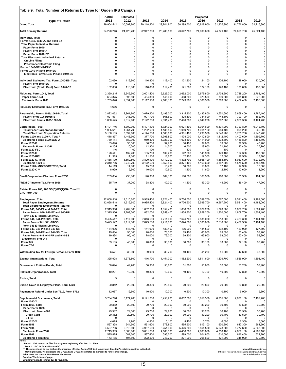| Table 9. Total Number of Returns by Type for Ogden IRS Campus                     |                          |                          |                        |                         |                            |                        |                            |                        |                            |
|-----------------------------------------------------------------------------------|--------------------------|--------------------------|------------------------|-------------------------|----------------------------|------------------------|----------------------------|------------------------|----------------------------|
|                                                                                   | Actual                   | <b>Estimated</b>         |                        |                         |                            | Projected              |                            |                        |                            |
| <b>Type of Return</b><br><b>Grand Total</b>                                       | 2011<br>29,954,542       | 2012<br>30,597,800       | 2013<br>29,118,800     | 2014<br>29,741,800      | 2015<br>30,299,700         | 2016<br>30,818,900     | 2017<br>31,326,900         | 2018<br>31,776,800     | 2019<br>32,216,800         |
| <b>Total Primary Returns</b>                                                      | 24,220,246               | 24,423,700               | 22,947,800             | 23,283,500              | 23,642,700                 | 24,000,600             | 24,371,400                 | 24,698,700             | 25,024,400                 |
|                                                                                   |                          |                          |                        |                         |                            |                        |                            |                        |                            |
| Individual, Total<br>Forms 1040, 1040-A, and 1040-EZ                              | 0<br>0                   | 0<br>0                   | 0<br>0                 | 0<br>0                  | 0<br>0                     | 0<br>0                 | 0<br>0                     | 0<br>0                 | 0<br>$\mathbf 0$           |
| <b>Total Paper Individual Returns</b>                                             | $\mathbf 0$              | 0                        | 0                      | $\mathbf 0$             | $\mathbf 0$                | 0                      | 0                          | $\mathbf 0$            | 0                          |
| Paper Form 1040<br>Paper Form 1040-A                                              | $\Omega$<br>0            | 0<br>0                   | 0<br>0                 | $\Omega$<br>$\Omega$    | 0<br>0                     | 0<br>$\Omega$          | $\mathbf 0$<br>0           | $\Omega$<br>0          | 0<br>0                     |
| Paper Form 1040-EZ<br><b>Total Electronic Individual Returns</b>                  | $\Omega$<br>0            | $\mathsf 0$<br>0         | 0<br>0                 | $\Omega$<br>0           | $\Omega$<br>0              | $\mathbf 0$<br>0       | 0<br>$\mathbf 0$           | 0<br>0                 | $\mathbf 0$<br>0           |
| On Line Filing                                                                    | $\mathbf 0$              | 0                        | 0                      | $\Omega$                | 0                          | 0                      | 0                          | 0                      | 0                          |
| <b>Practitioner Electronic Filing</b><br>Forms 1040-NR/NR-EZ/C                    | $\Omega$<br>$\mathbf 0$  | 0<br>0                   | 0<br>0                 | $\Omega$<br>$\mathbf 0$ | $\mathbf 0$<br>$\mathbf 0$ | $\mathbf 0$<br>0       | 0<br>$\mathbf 0$           | 0<br>0                 | $\mathbf 0$<br>$\mathbf 0$ |
| Forms 1040-PR and 1040-SS                                                         | 0                        | $\mathbf 0$              | 0                      | 0                       | 0                          | 0                      | $\mathbf 0$                | $\Omega$               | 0                          |
| Electronic Forms 1040-PR and 1040-SS                                              | 0                        | 0                        | 0                      | $\mathbf 0$             | 0                          | $\mathbf 0$            | 0                          | 0                      | 0                          |
| Individual Estimated Tax, Form 1040-ES, Total                                     | 102,030                  | 113,800                  | 116,800<br>0           | 119,400                 | 121,800<br>0               | 124,100<br>0           | 126,100<br>0               | 128,000<br>$\Omega$    | 130,000                    |
| Paper Form 1040-ES<br>Electronic (Credit Card) Form 1040-ES                       | 102,030                  | 113,800                  | 116,800                | 119,400                 | 121,800                    | 124,100                | 126,100                    | 128,000                | 130,000                    |
| Fiduciary, Form 1041, Total                                                       | 2,390,215                | 2,649,500                | 2,601,400              | 2,625,700               | 2,652,000                  | 2,679,800              | 2,708,600                  | 2,738,200              | 2,768,400                  |
| Paper Form 1041                                                                   | 634,375                  | 595,500                  | 484,300                | 445,600                 | 408,800                    | 373,500                | 339,300                    | 305,800                | 272,900                    |
| <b>Electronic Form 1041</b>                                                       | 1,755,840                | 2,054,000                | 2,117,100              | 2,180,100               | 2,243,200                  | 2,306,300              | 2,369,300                  | 2,432,400              | 2,495,500                  |
| Fiduciary Estimated Tax, Form 1041-ES                                             | 4,636                    | 0                        | 0                      | 0                       | 0                          | 0                      | 0                          | 0                      | $\mathbf 0$                |
| Partnership, Forms 1065/1065-B, Total                                             | 2,822,062                | 2,961,800                | 3,079,900              | 3,198,000               | 3,315,900                  | 3,433,800              | 3,551,600                  | 3,669,400              | 3,787,100                  |
| Paper Forms 1065/1065-B<br>Electronic Forms 1065/1065-B                           | 1,021,537<br>1,800,525   | 948,900<br>2,012,900     | 907,700<br>2,172,200   | 866,600<br>2,331,400    | 825.600<br>2,490,300       | 784,600<br>2,649,200   | 743,800<br>2,807,800       | 703,100<br>2,966,300   | 662,400<br>3,124,700       |
|                                                                                   |                          |                          |                        |                         |                            |                        |                            |                        |                            |
| <b>Corporation, Total</b><br><b>Total Paper Corporation Returns</b>               | 5,101,746<br>1,965,611   | 5,302,300<br>1,664,700   | 5,407,100<br>1,262,900 | 5,724,000<br>1,135,500  | 6,021,100<br>1,059,700     | 6,304,600<br>1,014,100 | 6,531,200<br>984,400       | 6,723,800<br>968,200   | 6,912,700<br>965,500       |
| <b>Total Electronic Corporation Returns</b>                                       | 3,136,135                | 3,637,600                | 4,144,200              | 4,588,600               | 4,961,400                  | 5,290,500              | 5,546,900                  | 5,755,700              | 5,947,200                  |
| Forms 1120 and 1120-A, Total<br>Electronic Forms 1120/1120-A                      | 1,418,897<br>789,114     | 1,446,900<br>880,900     | 1,377,700<br>959,400   | 1,396,800<br>1,023,300  | 1,408,000<br>1,073,300     | 1,412,800<br>1,111,000 | 1,412,400<br>1,138,300     | 1,407,600<br>1,156,800 | 1,399,700<br>1,168,100     |
| Form 1120-F                                                                       | 33,690                   | 35,100                   | 36,700                 | 37,700                  | 38,400                     | 39,000                 | 39,500                     | 39,900                 | 40,400                     |
| <b>Electronic Form 1120-F</b><br>Form 1120-FSC                                    | 6,255<br>146             | 10,000<br>100            | 12,300<br>100          | 14,500<br>100           | 16,700<br>100              | 18,900<br>100          | 21,100<br>100              | 23,400<br>0            | 25,700<br>$\mathbf 0$      |
| <b>Form 1120-H</b>                                                                | 128,541                  | 132,200                  | 135,700                | 139,200                 | 142,500                    | 145,900                | 149,100                    | 152,300                | 155,500                    |
| Form 1120-RIC<br>Form 1120-S, Total                                               | 11,315<br>3,486,109      | 11,300<br>3,652,500      | 11,500<br>3,820,100    | 11,800<br>4,112,200     | 12,100<br>4,392,700        | 12,300<br>4,666,100    | 12,600<br>4,888,100        | 12,900<br>5,080,600    | 13,100<br>5,272,300        |
| Electronic 1120-S<br>Forms 1120-L/ND/PC/REIT/SF, Total                            | 2,340,766<br>14,119      | 2,746,700<br>14,600      | 3,172,500<br>15,200    | 3,550,800<br>15,700     | 3,871,400<br>16,300        | 4,160,600<br>16,800    | 4,387,500<br>17,400        | 4,575,500<br>17,900    | 4,753,400<br>18,500        |
| Form 1120-C **                                                                    | 8,929                    | 9,500                    | 10,000                 | 10,600                  | 11,100                     | 11,600                 | 12,100                     | 12,600                 | 13,200                     |
| Small Corporation Election, Form 2553                                             | 239,634                  | 233,000                  | 170,300                | 169,100                 | 168,000                    | 166,900                | 166,000                    | 165,300                | 164,600                    |
| "REMIC" Income Tax, Form 1066                                                     | 35,719                   | 37,200                   | 38,800                 | 40,300                  | 41,800                     | 43,300                 | 44,900                     | 46,400                 | 47,900                     |
|                                                                                   |                          |                          |                        |                         |                            |                        |                            |                        |                            |
| Estate, Forms 706, 706 GS(D)/GS(T)/NA, Total ***<br>Gift, Form 709                | 0<br>0                   | 0<br>0                   | 0<br>0                 | 0<br>0                  | 0<br>$\mathbf 0$           | $\mathbf 0$<br>0       | $\mathbf 0$<br>$\mathbf 0$ | $\Omega$<br>$\Omega$   | 0<br>0                     |
|                                                                                   |                          |                          |                        | 9.821.400               |                            |                        |                            |                        |                            |
| <b>Employment, Total</b><br><b>Total Paper Employment Returns</b>                 | 12,068,518<br>12,068,518 | 11,615,600<br>11,615,600 | 9,985,400<br>9,985,400 | 9,821,400               | 9,706,500<br>9.706.500     | 9,599,700<br>9,599,700 | 9,567,500<br>9,567,500     | 9,521,400<br>9,521,400 | 9,482,000<br>9,482,000     |
| <b>Total Electronic Employment Returns</b><br>Forms 940, 940-EZ and 940-PR, Total | $\Omega$<br>2,315,966    | 0<br>2,209,300           | 0<br>1,882,000         | 0<br>1,859,400          | 0<br>1,838,800             | 0<br>1,829,200         | 0<br>1,820,000             | 0<br>1,809,700         | 0<br>1,801,400             |
| Paper Forms 940, 940-EZ and 940-PR                                                | 2,315,966                | 2,209,300                | 1,882,000              | 1,859,400               | 1,838,800                  | 1,829,200              | 1,820,000                  | 1,809,700              | 1,801,400                  |
| Form 940 E-File/On-Line/XML<br>Forms 941, 941-PR/SS/E, Total                      | 0<br>9,425,547           | 0<br>9,117,300           | 0<br>7,843,500         | 0<br>7,711,000          | $\Omega$<br>7,624,700      | 0<br>7,535,000         | 0<br>7,518,800             | 0<br>7,489,300         | 0<br>7,464,100             |
| Paper Forms 941, 941-PR/SS                                                        | 9,425,547                | 9,117,300                | 7,843,500              | 7,711,000               | 7,624,700                  | 7,535,000              | 7,518,800                  | 7,489,300              | 7,464,100                  |
| Form 941 E-File/On-Line/XML<br>Forms 943, 943-PR and 943-SS                       | 0<br>154,006             | 0<br>148,100             | 0<br>141,900           | $\Omega$<br>139,400     | 0<br>136,900               | 0<br>134,500           | 0<br>132,100               | 0<br>129,900           | 0<br>127,600               |
| Forms 944, 944-PR and 944-SS, Total                                               | 119,834                  | 95,100                   | 78,000                 | 73,300                  | 69,400                     | 65,900                 | 63,000                     | 60,400                 | 58,200                     |
| Paper Forms 944, 944-PR and 944-SS<br><b>Electronic Form 944</b>                  | 119,834<br>$\Omega$      | 95,100<br>0              | 78,000<br>0            | 73,300<br>0             | 69,400<br>0                | 65,900<br>0            | 63,000<br>0                | 60,400<br>$\Omega$     | 58,200<br>0                |
| <b>Form 945</b><br>Form CT-1                                                      | 53,165<br>0              | 45,800<br>0              | 40,000<br>0            | 38,300<br>$\mathbf 0$   | 36,700<br>0                | 35,100<br>0            | 33,600<br>0                | 32,100<br>0            | 30,700<br>$\mathbf 0$      |
|                                                                                   |                          |                          |                        |                         |                            |                        |                            |                        |                            |
| Withholding Tax for Foreign Persons, Form 1042                                    | 36,571                   | 38,300                   | 39,000                 | 39,700                  | 40,400                     | 41,200                 | 41,900                     | 42,600                 | 43,300                     |
| <b>Exempt Organizations, Total</b>                                                | 1,325,928                | 1,376,800                | 1,416,700              | 1,451,000               | 1,482,200                  | 1,511,600              | 1,539,700                  | 1,566,900              | 1,593,400                  |
| Government Entities/Bonds, Total                                                  | 50,094                   | 49,700                   | 50,300                 | 50,800                  | 51,300                     | 51,800                 | 52,500                     | 53,200                 | 53,900                     |
| <b>Political Organizations, Total</b>                                             | 10,221                   | 12,300                   | 10,300                 | 12,600                  | 10,400                     | 12,700                 | 10,500                     | 12,800                 | 10,500                     |
|                                                                                   |                          |                          |                        |                         |                            |                        |                            |                        |                            |
| <b>Excise, Total</b>                                                              | 3                        | 0                        | 0                      | 0                       | 0                          | 0                      | 0                          | 0                      | $\mathsf 0$                |
| Excise Taxes re Employee Plans, Form 5330                                         | 20,812                   | 20,800                   | 20,800                 | 20,800                  | 20,800                     | 20,800                 | 20,800                     | 20,800                 | 20,800                     |
| Payment or Refund Under Sec.7519, Form 8752                                       | 12,057                   | 12,600                   | 10,900                 | 10,700                  | 10,500                     | 10,300                 | 10,100                     | 9,900                  | 9,800                      |
| <b>Supplemental Documents, Total</b>                                              | 5,734,296                | 6,174,200                | 6,171,000              | 6,458,200               | 6,657,000                  | 6,818,300              | 6,955,500                  | 7,078,100              | 7,192,400                  |
| Form 1040-X                                                                       | ŋ                        | 0                        | 0                      | 0                       | $\Omega$                   | 0                      | 0                          | $\Omega$               |                            |
| Form 4868, Total<br>Paper Form 4868                                               | 29,382<br>0              | 29,500<br>0              | 29,700<br>0            | 29,900<br>0             | 30,000<br>$\Omega$         | 30,200<br>0            | 30,400<br>0                | 30,500<br>0            | 30,700<br>$\mathbf 0$      |
| <b>Electronic Form 4868</b>                                                       | 29,382                   | 29,500                   | 29,700                 | 29,900                  | 30,000                     | 30,200                 | 30,400                     | 30,500                 | 30,700                     |
| <b>Credit Card</b><br>E-File                                                      | 29,382<br>0              | 29,500<br>0              | 29,700<br>0            | 29,900<br>0             | 30,000<br>0                | 30,200<br>0            | 30,400<br>0                | 30,500<br>0            | 30,700<br>$\mathfrak{g}$   |
| Form 1120-X                                                                       | 4,025                    | 4,700                    | 4,800                  | 5,100                   | 5,400                      | 5,700                  | 6,000                      | 6,300                  | 6,600                      |
| <b>Form 5558</b><br><b>Form 7004</b>                                              | 527,328<br>4,597,736     | 544,500<br>5,013,900     | 561,600<br>4,987,500   | 578,800<br>5,251,300    | 595,900<br>5,426,800       | 613,100<br>5,564,500   | 630,200<br>5,678,300       | 647,300<br>5,777,600   | 664,500<br>5,868,300       |
| <b>Electronic Form 7004</b><br><b>Form 8868</b>                                   | 2,713,303<br>575,825     | 3,366,000<br>581,600     | 3,831,800<br>587,400   | 4,168,300<br>593,200    | 4,416,300<br>599,000       | 4,603,800<br>604,800   | 4,750,400<br>610,600       | 4,869,100<br>616,400   | 4,969,100<br>622,200       |
| <b>Electronic Form 8868</b>                                                       | 173,135                  | 197,800                  | 222,500                | 247,200                 | 271,900                    | 296,600                | 321,200                    | 345,900                | 370,600                    |

Notes:<br>"Torm 1120-A cannot be filed for tax years beginning after Dec. 31, 2006.<br>""The projections do not includes Form 990-C. Includes Form 990-C.<br>""The projections do not include the marginal effect of Forms 706 filed to

 $\overline{1}$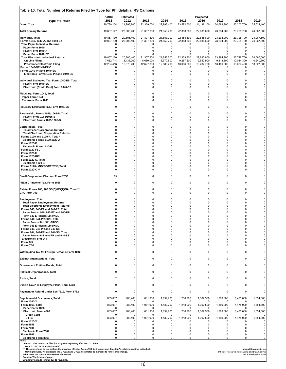| Table 10. Total Number of Returns Filed by Type for Phildelphia IRS Campus            |                          |                          |                          |                            |                            |                            |                          |                          |                          |
|---------------------------------------------------------------------------------------|--------------------------|--------------------------|--------------------------|----------------------------|----------------------------|----------------------------|--------------------------|--------------------------|--------------------------|
| <b>Type of Return</b>                                                                 | Actual<br>2011           | <b>Estimated</b><br>2012 | 2013                     | 2014                       | 2015                       | Projected<br>2016          | 2017                     | 2018                     | 2019                     |
| <b>Grand Total</b>                                                                    | 20,730,154               | 21,793,800               | 22,369,700               | 22,993,400                 | 23,572,700                 | 24, 138, 100               | 24,683,900               | 25,203,700               | 25,622,100               |
| <b>Total Primary Returns</b>                                                          | 19,867,147               | 20,805,400               | 21,307,800               | 21,853,700                 | 22,353,800                 | 22,835,600                 | 23,294,900               | 23,728,700               | 24,067,600               |
| <b>Individual, Total</b><br>Forms 1040, 1040-A, and 1040-EZ                           | 19,867,130<br>19,867,130 | 20,805,400<br>20,805,400 | 21,307,800<br>21,307,800 | 21,853,700<br>21,853,700   | 22,353,800<br>22,353,800   | 22,835,600<br>22,835,600   | 23,294,900<br>23,294,900 | 23,728,700<br>23,728,700 | 24,067,600<br>24,067,600 |
| <b>Total Paper Individual Returns</b>                                                 | $\Omega$                 | 0                        | 0                        | 0                          | 0                          | 0                          | 0                        | 0                        |                          |
| Paper Form 1040<br>Paper Form 1040-A                                                  | 0<br>0                   | 0<br>0                   | 0<br>0                   | $\mathbf 0$<br>$\mathbf 0$ | 0<br>0                     | 0<br>0                     | $\mathbf 0$<br>0         | 0<br>0                   | 0<br>$\Omega$            |
| Paper Form 1040-EZ                                                                    | 0                        | 0                        | 0                        | 0                          | 0                          | 0                          | 0                        | 0                        | 0                        |
| <b>Total Electronic Individual Returns</b><br>On Line Filing                          | 19,867,130<br>7,662,714  | 20,805,400<br>8,435,200  | 21,307,800<br>8,680,000  | 21,853,700<br>8,970,500    | 22,353,800<br>9,267,200    | 22,835,600<br>9,552,900    | 23,294,900<br>9,813,300  | 23,728,700<br>10,044,300 | 24,067,600<br>10,240,300 |
| <b>Practitioner Electronic Filing</b>                                                 | 12,204,416               | 12,370,200               | 12,627,800               | 12,883,200                 | 13,086,600                 | 13,282,700                 | 13,481,600               | 13,684,400               | 13,827,300               |
| Forms 1040-NR/NR-EZ/C<br>Forms 1040-PR and 1040-SS                                    | 0<br>0                   | 0<br>0                   | 0<br>0                   | $\mathbf 0$<br>0           | $\mathbf 0$<br>$\mathbf 0$ | $\mathbf 0$<br>$\mathbf 0$ | $\mathbf 0$<br>0         | $\mathbf 0$<br>0         | n<br>0                   |
| Electronic Forms 1040-PR and 1040-SS                                                  | 0                        | 0                        | 0                        | 0                          | 0                          | 0                          | $\mathbf 0$              | 0                        | $\Omega$                 |
| Individual Estimated Tax, Form 1040-ES, Total                                         | 0                        | $\mathbf 0$              | 0                        | 0                          | 0                          | 0                          | 0                        | 0                        |                          |
| Paper Form 1040-ES<br>Electronic (Credit Card) Form 1040-ES                           | 0<br>0                   | 0<br>0                   | 0<br>0                   | 0<br>$\mathbf 0$           | 0<br>$\mathbf 0$           | 0<br>0                     | 0<br>$\Omega$            | 0<br>$\mathbf 0$         |                          |
|                                                                                       |                          |                          |                          |                            |                            |                            |                          |                          |                          |
| Fiduciary, Form 1041, Total<br>Paper Form 1041                                        | 0<br>0                   | 0<br>0                   | $\Omega$<br>0            | $\mathbf 0$<br>0           | $\mathbf 0$<br>0           | $\mathbf 0$<br>0           | $\Omega$<br>0            | 0<br>0                   |                          |
| <b>Electronic Form 1041</b>                                                           | 0                        | 0                        | $\Omega$                 | 0                          | 0                          | 0                          | 0                        | $\mathbf 0$              |                          |
| Fiduciary Estimated Tax, Form 1041-ES                                                 | 0                        | 0                        | $\Omega$                 | 0                          | $\Omega$                   | 0                          | 0                        | 0                        |                          |
|                                                                                       | 0                        | 0                        | 0                        | $\mathbf 0$                | $\mathbf 0$                | $\mathbf 0$                | 0                        | $\mathbf 0$              |                          |
| Partnership, Forms 1065/1065-B, Total<br>Paper Forms 1065/1065-B                      | 0                        | 0                        | 0                        | $\mathbf 0$                | $\mathbf 0$                | 0                          | 0                        | 0                        |                          |
| Electronic Forms 1065/1065-B                                                          | $\Omega$                 | 0                        | $\Omega$                 | 0                          | 0                          | 0                          | 0                        | 0                        |                          |
| <b>Corporation, Total</b>                                                             | 0                        | 0                        | $\Omega$                 | $\mathbf 0$                | $\mathbf 0$                | 0                          | 0                        | $\Omega$                 |                          |
| <b>Total Paper Corporation Returns</b><br><b>Total Electronic Corporation Returns</b> | 0<br>0                   | 0<br>0                   | $\Omega$<br>$\Omega$     | $\mathbf 0$<br>$\Omega$    | 0<br>$\Omega$              | 0<br>0                     | $\Omega$<br>0            | 0<br>0                   |                          |
| Forms 1120 and 1120-A, Total *                                                        | 0                        | 0                        | 0                        | $\Omega$                   | $\Omega$                   | $\mathbf 0$                | 0                        | $\mathbf 0$              |                          |
| Electronic Forms 1120/1120-A<br>Form 1120-F                                           | 0<br>0                   | 0<br>0                   | $\Omega$<br>0            | $\Omega$<br>0              | $\Omega$<br>$\Omega$       | $\Omega$<br>0              | $\Omega$<br>0            | 0<br>0                   |                          |
| Electronic Form 1120-F                                                                | 0                        | 0                        | 0                        | 0                          | 0                          | 0                          | 0                        | 0                        |                          |
| Form 1120-FSC<br><b>Form 1120-H</b>                                                   | 0<br>0                   | 0<br>0                   | $\Omega$<br>$\Omega$     | $\Omega$<br>$\Omega$       | $\Omega$<br>$\Omega$       | $\mathbf 0$<br>0           | $\mathbf 0$<br>$\Omega$  | $\mathbf 0$<br>0         |                          |
| Form 1120-RIC                                                                         | 0                        | 0                        | $\Omega$<br>$\Omega$     | 0                          | $\Omega$<br>O              | 0                          | $\Omega$<br>$\Omega$     | 0                        |                          |
| Form 1120-S, Total<br>Electronic 1120-S                                               | 0<br>0                   | 0<br>0                   | $\Omega$                 | $\mathbf 0$<br>0           | $\Omega$                   | 0<br>0                     | $\Omega$                 | 0<br>0                   |                          |
| Forms 1120-L/ND/PC/REIT/SF, Total<br>Form 1120-C **                                   | 0<br>0                   | 0<br>0                   | 0<br>0                   | 0<br>0                     | 0<br>$\mathbf 0$           | 0<br>0                     | 0<br>0                   | 0<br>$\mathbf 0$         |                          |
|                                                                                       |                          |                          |                          |                            |                            |                            |                          |                          |                          |
| Small Corporation Election, Form 2553                                                 | 15                       | 0                        | $\Omega$                 | 0                          | $\mathbf 0$                | 0                          | $\Omega$                 | 0                        |                          |
| "REMIC" Income Tax, Form 1066                                                         | 0                        | 0                        | 0                        | 0                          | 0                          | 0                          | 0                        | 0                        |                          |
| Estate, Forms 706, 706 GS(D)/GS(T)/NA, Total ***<br>Gift, Form 709                    | 0<br>0                   | 0<br>0                   | 0<br>$\Omega$            | 0<br>0                     | 0<br>0                     | 0<br>0                     | 0<br>0                   | 0<br>0                   |                          |
| <b>Employment, Total</b>                                                              | 0                        | 0                        | $\Omega$                 | $\mathbf 0$                | $\Omega$                   | 0                          | $\Omega$                 | $\Omega$                 |                          |
| <b>Total Paper Employment Returns</b><br><b>Total Electronic Employment Returns</b>   | 0<br>0                   | 0<br>0                   | $\Omega$<br>$\Omega$     | $\Omega$<br>$\Omega$       | $\Omega$<br>$\Omega$       | 0<br>0                     | 0<br>0                   | $\Omega$<br>$\Omega$     |                          |
| Forms 940, 940-EZ and 940-PR, Total                                                   | 0                        | 0                        | $\Omega$                 | $\Omega$                   | O                          | 0                          | 0                        | $\Omega$                 |                          |
| Paper Forms 940, 940-EZ and 940-PR<br>Form 940 E-File/On-Line/XML                     | 0                        | 0<br>0                   | 0<br>$\Omega$            | $\Omega$                   | O<br>n                     | $\Omega$<br>0              | $\Omega$<br>0            | 0<br>0                   |                          |
| Forms 941, 941-PR/SS/E, Total                                                         | 0                        | 0                        | $\Omega$                 | $\Omega$                   | 0                          | 0                          | 0                        | 0                        |                          |
| Paper Forms 941, 941-PR/SS<br>Form 941 E-File/On-Line/XML                             | 0<br>0                   | 0<br>0                   | $\Omega$<br>$\Omega$     | $\Omega$<br>$\Omega$       | 0<br>$\Omega$              | 0<br>0                     | $\Omega$<br>$\mathbf 0$  | $\mathbf 0$<br>0         |                          |
| Forms 943, 943-PR and 943-SS                                                          | 0                        | 0                        | 0                        | 0                          | $\Omega$<br>$\Omega$       | 0                          | 0                        | $\mathbf 0$              |                          |
| Forms 944, 944-PR and 944-SS, Total<br>Paper Forms 944, 944-PR and 944-SS             | $\Omega$<br>0            | 0<br>0                   | 0<br>$\Omega$            | $\Omega$<br>$\mathbf 0$    | $\Omega$                   | $\Omega$<br>0              | $\Omega$<br>$\Omega$     | $\Omega$<br>$\mathbf 0$  |                          |
| <b>Electronic Form 944</b><br><b>Form 945</b>                                         | 0<br>0                   | 0<br>0                   | $\Omega$<br>0            | 0<br>$\mathbf 0$           | 0<br>$\Omega$              | 0<br>0                     | $\mathbf 0$<br>0         | 0<br>0                   |                          |
| Form CT-1                                                                             | 0                        | 0                        | 0                        | 0                          | $\Omega$                   | 0                          | $\Omega$                 | 0                        |                          |
| Withholding Tax for Foreign Persons, Form 1042                                        | 0                        | 0                        | 0                        | $\mathbf 0$                | 0                          | $\mathsf 0$                | $\mathbf 0$              | $\mathbf 0$              |                          |
| <b>Exempt Organizations, Total</b>                                                    | 0                        | 0                        | $\Omega$                 | $\mathbf 0$                | 0                          | $\mathbf 0$                | 0                        | 0                        |                          |
| <b>Government Entities/Bonds, Total</b>                                               | 0                        | 0                        | $\Omega$                 | 0                          | 0                          | 0                          | 0                        | 0                        |                          |
| <b>Political Organizations, Total</b>                                                 | 0                        | 0                        | $\Omega$                 | $\mathbf 0$                | 0                          | 0                          | 0                        | 0                        |                          |
| <b>Excise, Total</b>                                                                  | 2                        | 0                        | $\Omega$                 | $\mathbf 0$                | 0                          | 0                          | 0                        | 0                        |                          |
| Excise Taxes re Employee Plans, Form 5330                                             | 0                        | 0                        | $\Omega$                 | $\mathbf 0$                | $\mathbf 0$                | 0                          | $\mathbf 0$              | 0                        |                          |
| Payment or Refund Under Sec.7519, Form 8752                                           | 0                        | 0                        | 0                        | 0                          | 0                          | 0                          | 0                        | $\mathbf 0$              | 0                        |
| <b>Supplemental Documents, Total</b>                                                  | 863,007                  | 988,400                  | 1,061,900                | 1,139,700                  | 1,218,900                  | 1,302,500                  | 1,389,000                | 1,475,000                | 1,554,500                |
| Form 1040-X<br>Form 4868, Total                                                       | 863,007                  | 0<br>988,400             | 0<br>1,061,900           | 0<br>1,139,700             | 0<br>1,218,900             | 0<br>1,302,500             | 0<br>1,389,000           | 0<br>1,475,000           | 1,554,500                |
| Paper Form 4868<br><b>Electronic Form 4868</b>                                        | 863,007                  | 0<br>988,400             | 0<br>1,061,900           | $\Omega$<br>1,139,700      | 0<br>1,218,900             | $\Omega$<br>1,302,500      | 0<br>1,389,000           | 1,475,000                | 1,554,500                |
| <b>Credit Card</b>                                                                    | 0                        | 0                        | $\Omega$                 | 0                          | 0                          | 0                          | 0                        | $\Omega$                 | 0                        |
| E-File<br>Form 1120-X                                                                 | 863,007<br>0             | 988,400<br>0             | 1,061,900<br>$\Omega$    | 1,139,700<br>0             | 1,218,900<br>$\Omega$      | 1,302,500<br>0             | 1,389,000<br>$\Omega$    | 1,475,000<br>$\Omega$    | 1,554,500                |
| Form 5558                                                                             | 0                        | 0                        | 0                        | 0                          | 0                          | 0                          | 0                        | 0                        | 0                        |
| <b>Form 7004</b><br><b>Electronic Form 7004</b>                                       | 0<br>0                   | 0<br>0                   | 0<br>0                   | $\mathbf 0$<br>0           | $\mathbf 0$<br>0           | 0<br>0                     | $\mathbf 0$<br>0         | $\mathbf 0$<br>0         | $\Omega$                 |
| <b>Form 8868</b>                                                                      | 0                        | 0                        | 0                        | $\mathbf 0$                | $\Omega$                   | 0                          | 0                        | 0                        | 0                        |
| <b>Electronic Form 8868</b>                                                           | 0                        | 0                        | 0                        | 0                          | 0                          | 0                          | 0                        | 0                        | 0                        |

Notes:<br>"Torm 1120-A cannot be filed for tax years beginning after Dec. 31, 2006.<br>""The projections do not includes Form 990-C. Includes Form 990-C.<br>""The projections do not include the marginal effect of Forms 706 filed to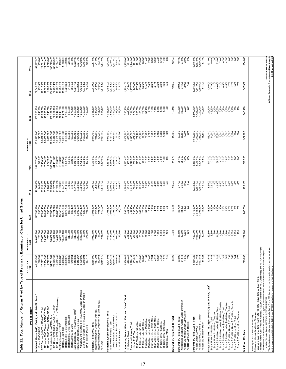| Table 11. Total Number of Returns Filed by Type of Return and Examination Class for United States                                                                                                                                    |                                                                                                                                                                                                                                                                                                   |                                                                                                                                                                                                                                                                                                            |                                               |                                                                                                              |                                                                                                                                                                                                                                                            |                                                                                                                                                                                                              |                                                                                                                                                                                                                                                                                                     |                                                                                                                                                |                                                                                                                                                                                                                                                                                                 |
|--------------------------------------------------------------------------------------------------------------------------------------------------------------------------------------------------------------------------------------|---------------------------------------------------------------------------------------------------------------------------------------------------------------------------------------------------------------------------------------------------------------------------------------------------|------------------------------------------------------------------------------------------------------------------------------------------------------------------------------------------------------------------------------------------------------------------------------------------------------------|-----------------------------------------------|--------------------------------------------------------------------------------------------------------------|------------------------------------------------------------------------------------------------------------------------------------------------------------------------------------------------------------------------------------------------------------|--------------------------------------------------------------------------------------------------------------------------------------------------------------------------------------------------------------|-----------------------------------------------------------------------------------------------------------------------------------------------------------------------------------------------------------------------------------------------------------------------------------------------------|------------------------------------------------------------------------------------------------------------------------------------------------|-------------------------------------------------------------------------------------------------------------------------------------------------------------------------------------------------------------------------------------------------------------------------------------------------|
| Type of Return                                                                                                                                                                                                                       | δ<br>Actual<br>2011                                                                                                                                                                                                                                                                               | Estimated - $\overline{CY}$<br>2012                                                                                                                                                                                                                                                                        | 2013                                          | ន្ត                                                                                                          | ٩<br>$\frac{5}{2}$                                                                                                                                                                                                                                         | Projected - CY<br>2016                                                                                                                                                                                       | ష్                                                                                                                                                                                                                                                                                                  | 2018                                                                                                                                           | 2019                                                                                                                                                                                                                                                                                            |
| Individual, Forms 1040, 1040-A, and 1040-EZ, Total 1                                                                                                                                                                                 | $143, 173, 207$<br>$226, 531$<br>$27, 277, 111$<br>$25, 554, 339$<br>$-1, 722, 727$<br>$-1, 723, 739$<br>$-1, 73, 103, 100$<br>$-1, 6, 582, 452$<br>$-14, 945, 688$                                                                                                                               | 145,                                                                                                                                                                                                                                                                                                       | 147,                                          |                                                                                                              |                                                                                                                                                                                                                                                            | $-900$<br>523,<br>153,                                                                                                                                                                                       | 200<br>155,720                                                                                                                                                                                                                                                                                      |                                                                                                                                                | 900<br>159,187                                                                                                                                                                                                                                                                                  |
| Forms 1040-PR/SS<br>EITC Classes (with TPI<\$200,000), Total                                                                                                                                                                         |                                                                                                                                                                                                                                                                                                   |                                                                                                                                                                                                                                                                                                            |                                               |                                                                                                              |                                                                                                                                                                                                                                                            | 500                                                                                                                                                                                                          | 248,900<br>29,037,500<br>27,090,900                                                                                                                                                                                                                                                                 | $\begin{array}{r} 157,549,600 \\ 252,500 \\ 29,318,100 \\ 27,328,200 \\ 1,989,900 \end{array}$                                                 | $\begin{array}{r} 255,600\\ 255,601\\ 256,700\\ 257,522,400\\ 258,752,82,80\\ 259,752,82,80\\ 259,752,82,80\\ 250,752,80\\ 250,752,80\\ 250,752\\ 250,752\\ 250,752\\ 250,752\\ 250,752\\ 250,752\\ 250,752\\ 250,752\\ 250,752\\ 250,752\\ 250,752\\ 250,$                                     |
| TPI under \$200,000 and TGR<\$25,000<br>TPI under \$200,000 and TGR>=\$25,000                                                                                                                                                        |                                                                                                                                                                                                                                                                                                   |                                                                                                                                                                                                                                                                                                            |                                               |                                                                                                              |                                                                                                                                                                                                                                                            |                                                                                                                                                                                                              |                                                                                                                                                                                                                                                                                                     |                                                                                                                                                |                                                                                                                                                                                                                                                                                                 |
|                                                                                                                                                                                                                                      |                                                                                                                                                                                                                                                                                                   |                                                                                                                                                                                                                                                                                                            |                                               |                                                                                                              |                                                                                                                                                                                                                                                            |                                                                                                                                                                                                              |                                                                                                                                                                                                                                                                                                     |                                                                                                                                                |                                                                                                                                                                                                                                                                                                 |
| Nonbusiness (with No EITC), Total<br>TPI Under \$200,000 & No Sch. E or 2106<br>TPI Under \$200,000 & No Sch. E or 2106 are okay<br>Nonfarm Business, Total <sup>2</sup>                                                             |                                                                                                                                                                                                                                                                                                   |                                                                                                                                                                                                                                                                                                            |                                               |                                                                                                              |                                                                                                                                                                                                                                                            |                                                                                                                                                                                                              |                                                                                                                                                                                                                                                                                                     |                                                                                                                                                |                                                                                                                                                                                                                                                                                                 |
|                                                                                                                                                                                                                                      |                                                                                                                                                                                                                                                                                                   |                                                                                                                                                                                                                                                                                                            |                                               |                                                                                                              |                                                                                                                                                                                                                                                            |                                                                                                                                                                                                              |                                                                                                                                                                                                                                                                                                     |                                                                                                                                                |                                                                                                                                                                                                                                                                                                 |
| TGR \$25,000 Under \$100,000<br>TGR \$100,000 Under \$200,000<br>TGR Under \$25,000                                                                                                                                                  |                                                                                                                                                                                                                                                                                                   |                                                                                                                                                                                                                                                                                                            |                                               |                                                                                                              |                                                                                                                                                                                                                                                            | $\begin{array}{l} 28.697,100\\ 26.697,100\\ 26.800,500\\ 14.846,600\\ 16.74,300\\ 17.674,300\\ 18.512,500\\ 19.64,300\\ 19.64,300\\ 19.64,300\\ 19.64,400\\ 19.64,400\\ 19.64,400\\ 38.82,500\\ \end{array}$ | $\begin{array}{l} 1,946,600\\ 103,101,300\\ 86,754,700\\ 96,747,200\\ 16,347,200\\ 16,949,300\\ 17,271,900\\ 3,189,800\\ 3,198,800\\ 3,198,800\\ \end{array}$                                                                                                                                       | $\begin{array}{l} 104,278,000\\ 87,782,400\\ 87,782,400\\ 16,485,600\\ 16,259,600\\ 1435,800\\ 14,435,800\\ 3,226,300\\ 912,500\\ \end{array}$ |                                                                                                                                                                                                                                                                                                 |
| TGR \$200,000 or More                                                                                                                                                                                                                |                                                                                                                                                                                                                                                                                                   |                                                                                                                                                                                                                                                                                                            |                                               |                                                                                                              | $\begin{array}{rll} 1567, 807, 808\\ 1567, 808\\ 2080, 809\\ 2090, 809\\ 2090, 809\\ 2090, 809\\ 2090, 809\\ 2090, 809\\ 2090, 809\\ 2090, 809\\ 2090, 809\\ 2090, 809\\ 2090, 809\\ 2090, 809\\ 2090, 809\\ 2090, 809\\ 2090, 809\\ 2090, 809\\ 2090, 80$ | 663,000                                                                                                                                                                                                      |                                                                                                                                                                                                                                                                                                     | 685,000                                                                                                                                        | 694,000                                                                                                                                                                                                                                                                                         |
| Farm Business & TPI<\$200,000, Total <sup>3</sup>                                                                                                                                                                                    |                                                                                                                                                                                                                                                                                                   |                                                                                                                                                                                                                                                                                                            |                                               |                                                                                                              |                                                                                                                                                                                                                                                            | 1,317,100<br>6,031,100<br>3,907,200                                                                                                                                                                          |                                                                                                                                                                                                                                                                                                     |                                                                                                                                                |                                                                                                                                                                                                                                                                                                 |
| High Income Taxpayers, Total<br>No Sch.C or F present & TPI \$200,000 Under \$1 Million<br>Sch. C or F present & TPI \$200,000 Under \$1 Million                                                                                     |                                                                                                                                                                                                                                                                                                   |                                                                                                                                                                                                                                                                                                            |                                               |                                                                                                              |                                                                                                                                                                                                                                                            |                                                                                                                                                                                                              |                                                                                                                                                                                                                                                                                                     |                                                                                                                                                |                                                                                                                                                                                                                                                                                                 |
| TPI \$1 Million or More                                                                                                                                                                                                              | $\begin{smallmatrix} 10.450 \\ 10.450 \\ 3.000 \\ 3.000 \\ 4.450 \\ 5.000 \\ 6.000 \\ 7.000 \\ 8.000 \\ 9.000 \\ 10.000 \\ 10.000 \\ 10.000 \\ 10.000 \\ 10.000 \\ 10.000 \\ 10.000 \\ 10.000 \\ 10.000 \\ 10.000 \\ 10.000 \\ 10.000 \\ 10.000 \\ 10.000 \\ 10.000 \\ 10.000 \\ 10.000 \\ 10.00$ | 375,500                                                                                                                                                                                                                                                                                                    |                                               | 422,900                                                                                                      | 433,900                                                                                                                                                                                                                                                    | 1,680,800<br>443,100                                                                                                                                                                                         | $\begin{array}{r} 675,100 \\ 7,320,700 \\ 6,211,400 \\ 4,029,400 \\ 1,729,500 \\ 1,729,500 \end{array}$                                                                                                                                                                                             | $\begin{array}{l} 1,321,700 \\ 6,372,200 \\ 4,138,500 \\ 1,773,400 \\ 1,773,400 \end{array}$                                                   | $\begin{array}{l} 1,322,100 \\ 6,524,700 \\ 4,242,800 \\ 1,815,300 \\ 1,815,300 \end{array}$                                                                                                                                                                                                    |
| Fiduciary, Form 1041, Total                                                                                                                                                                                                          |                                                                                                                                                                                                                                                                                                   |                                                                                                                                                                                                                                                                                                            |                                               |                                                                                                              | Ñ                                                                                                                                                                                                                                                          |                                                                                                                                                                                                              | 2,965,300                                                                                                                                                                                                                                                                                           | $\mathbf{N}$                                                                                                                                   |                                                                                                                                                                                                                                                                                                 |
| Income Distribution Deduction > \$0 with No Tax<br>Income Distribution Deduction with Tax                                                                                                                                            | 3,036,900<br>967,205<br>412,864<br>1,656,830                                                                                                                                                                                                                                                      | 3,030,100<br>965,000<br>411,900<br>1,653,100                                                                                                                                                                                                                                                               | 3,006,100<br>957,400<br>408,700<br>1,640,000  | 2,990,800<br>952,500<br>406,600<br>1,631,700                                                                 | 979,600<br>949,000<br>405,100<br>625,600                                                                                                                                                                                                                   | 971,400<br>946,300<br>404,000<br>621,100                                                                                                                                                                     | 944,400<br>403,100<br>1,617,800                                                                                                                                                                                                                                                                     | 2,960,900<br>943,000<br>402,500<br>1,615,400                                                                                                   | 2,957,600<br>941,900                                                                                                                                                                                                                                                                            |
| All Other                                                                                                                                                                                                                            |                                                                                                                                                                                                                                                                                                   |                                                                                                                                                                                                                                                                                                            |                                               |                                                                                                              |                                                                                                                                                                                                                                                            |                                                                                                                                                                                                              |                                                                                                                                                                                                                                                                                                     |                                                                                                                                                | 402,100<br>1,613,600                                                                                                                                                                                                                                                                            |
| Partnership, Form 1065/1065-B, Total                                                                                                                                                                                                 |                                                                                                                                                                                                                                                                                                   |                                                                                                                                                                                                                                                                                                            | ო                                             | 794,100                                                                                                      | ,883,800<br>က်                                                                                                                                                                                                                                             | 3,973,600                                                                                                                                                                                                    | 4,063,300                                                                                                                                                                                                                                                                                           |                                                                                                                                                |                                                                                                                                                                                                                                                                                                 |
| 10 or Fewer Partners, Total                                                                                                                                                                                                          |                                                                                                                                                                                                                                                                                                   |                                                                                                                                                                                                                                                                                                            | 009'#LZ<br>002''#62''<br>002''#62''           | 594,300<br>862,500<br>$m \nabla$                                                                             |                                                                                                                                                                                                                                                            | 3,764,400<br>2,997,900<br>766,500                                                                                                                                                                            | 3,849,400<br>3,065,600<br>783,800                                                                                                                                                                                                                                                                   |                                                                                                                                                | 4,242,800<br>4,019,400<br>3,201,000<br>818,400                                                                                                                                                                                                                                                  |
| Gross Receipts Under \$100,000<br>Gross Receipts \$100,000 or More<br>11 or More Partners                                                                                                                                            | $\begin{array}{l} 3\,, 524, 808 \\ 3\,, 339, 215 \\ 2\,, 659, 297 \\ 679, 918 \\ 679, 918 \\ 185, 593 \end{array}$                                                                                                                                                                                | 3,614,500<br>3,424,200<br>2,727,000<br>697,200<br>190,300                                                                                                                                                                                                                                                  | 195,000                                       | 731,900<br>199,800                                                                                           | 679,300<br>.930,100<br>749,200<br>204,500                                                                                                                                                                                                                  | 209,200                                                                                                                                                                                                      | 213,900                                                                                                                                                                                                                                                                                             | $\begin{array}{l} 4,153,000 \\ 3,934,300 \\ 3,133,200 \\ 801,100 \\ 801,100 \end{array}$                                                       | 223,400                                                                                                                                                                                                                                                                                         |
| Corporation, Forms 1120, 1120-A, and Other 4, Total                                                                                                                                                                                  |                                                                                                                                                                                                                                                                                                   |                                                                                                                                                                                                                                                                                                            |                                               |                                                                                                              |                                                                                                                                                                                                                                                            |                                                                                                                                                                                                              | 1,780,700                                                                                                                                                                                                                                                                                           |                                                                                                                                                |                                                                                                                                                                                                                                                                                                 |
| No Balance Sheet                                                                                                                                                                                                                     |                                                                                                                                                                                                                                                                                                   |                                                                                                                                                                                                                                                                                                            | ,896,000<br>444,600                           | $\begin{array}{l} 1,866,400 \\ 451,300 \\ 451,000 \\ 1,415,100 \\ 860,000 \\ 301,900 \\ 162,300 \end{array}$ | 1,837,400<br>457,700<br>1,379,700                                                                                                                                                                                                                          |                                                                                                                                                                                                              |                                                                                                                                                                                                                                                                                                     | $\begin{array}{c} 1,753,100 \\ 475,400 \\ 1,277,700 \\ 747,800 \end{array}$                                                                    |                                                                                                                                                                                                                                                                                                 |
| Returns With Assets, Total<br>Under \$250,000                                                                                                                                                                                        |                                                                                                                                                                                                                                                                                                   |                                                                                                                                                                                                                                                                                                            | 1,451,400                                     |                                                                                                              | 830,800                                                                                                                                                                                                                                                    |                                                                                                                                                                                                              | 489,700<br>1,311,000<br>774,800                                                                                                                                                                                                                                                                     |                                                                                                                                                |                                                                                                                                                                                                                                                                                                 |
| \$250,000 Under \$1 Million<br>\$1 Million Under \$5 Million                                                                                                                                                                         |                                                                                                                                                                                                                                                                                                   |                                                                                                                                                                                                                                                                                                            | 890,000<br>308,100<br>162,800                 |                                                                                                              | 295,800<br>161,800                                                                                                                                                                                                                                         |                                                                                                                                                                                                              |                                                                                                                                                                                                                                                                                                     |                                                                                                                                                |                                                                                                                                                                                                                                                                                                 |
| \$5 Million Under \$10 Million                                                                                                                                                                                                       |                                                                                                                                                                                                                                                                                                   | $\begin{array}{l} \n 1.926,100 \\ \n 4.37,200 \\ \n 4.37,200 \\ \n 4.37,200 \\ \n 5.300 \\ \n 6.300 \\ \n 7.40 \\ \n 8.300 \\ \n 7.40 \\ \n 8.300 \\ \n 7.40 \\ \n 8.000 \\ \n 9.000 \\ \n 9.000 \\ \n 9.000 \\ \n 9.000 \\ \n 9.000 \\ \n 9.000 \\ \n 9.000 \\ \n 9.000 \\ \n 9.000 \\ \n 9.000 \\ \n 9.$ | 28,900<br>31,200<br>7,400<br>8,100            | 28,900<br>31,300                                                                                             | 29,000<br>31,300                                                                                                                                                                                                                                           | 008,800<br>463,800<br>463,000<br>463,000<br>4000 4000<br>7,500<br>7,500<br>7,500<br>7,500<br>7,500                                                                                                           | 283,600<br>160,500<br>29,000<br>31,400                                                                                                                                                                                                                                                              | 277,500<br>159,800<br>28,900<br>31,400                                                                                                         | $\begin{array}{l} 1,725,900 \\ 481,000 \\ 481,900 \\ 1,244,900 \\ 1,271,500 \\ 1,500 \\ 1,500 \\ 1,500 \\ 1,600 \\ 1,600 \\ 1,600 \\ 1,600 \\ 1,721 \\ 1,80 \\ 1,900 \\ 1,900 \\ 1,900 \\ 1,900 \\ 1,900 \\ 1,900 \\ 1,900 \\ 1,900 \\ 1,900 \\ 1,900 \\ 1,900 \\ 1,900 \\ 1,900 \\ 1,900 \\ 1$ |
| \$10 Million Under \$50 Million<br>\$50 Million Under \$100 Million                                                                                                                                                                  |                                                                                                                                                                                                                                                                                                   |                                                                                                                                                                                                                                                                                                            |                                               | 7,500                                                                                                        | 7,500<br>8,200                                                                                                                                                                                                                                             |                                                                                                                                                                                                              | 500                                                                                                                                                                                                                                                                                                 | 7,500<br>8,300                                                                                                                                 |                                                                                                                                                                                                                                                                                                 |
| \$100 Million Under \$250 Million<br>\$250 Million Under \$500 Million                                                                                                                                                               |                                                                                                                                                                                                                                                                                                   | 800                                                                                                                                                                                                                                                                                                        |                                               | 8,100                                                                                                        |                                                                                                                                                                                                                                                            |                                                                                                                                                                                                              | စ                                                                                                                                                                                                                                                                                                   | 5,100                                                                                                                                          | 7,500<br>8,300<br>5,200                                                                                                                                                                                                                                                                         |
| \$500 Million Under \$1 Billion                                                                                                                                                                                                      |                                                                                                                                                                                                                                                                                                   | ,700                                                                                                                                                                                                                                                                                                       |                                               |                                                                                                              |                                                                                                                                                                                                                                                            |                                                                                                                                                                                                              |                                                                                                                                                                                                                                                                                                     | 4,300                                                                                                                                          | 400                                                                                                                                                                                                                                                                                             |
| \$1 Billion Under \$5 Billion<br>\$5 Billion Under \$20 Billion                                                                                                                                                                      |                                                                                                                                                                                                                                                                                                   | 4,200<br>1,300                                                                                                                                                                                                                                                                                             |                                               |                                                                                                              |                                                                                                                                                                                                                                                            |                                                                                                                                                                                                              |                                                                                                                                                                                                                                                                                                     | 5,000<br>1,600                                                                                                                                 | 5,100<br>1,700                                                                                                                                                                                                                                                                                  |
| \$20 Billion or More                                                                                                                                                                                                                 |                                                                                                                                                                                                                                                                                                   |                                                                                                                                                                                                                                                                                                            |                                               |                                                                                                              |                                                                                                                                                                                                                                                            |                                                                                                                                                                                                              | 500                                                                                                                                                                                                                                                                                                 | 500                                                                                                                                            | 500                                                                                                                                                                                                                                                                                             |
| Corporation, Form 1120-C, Total                                                                                                                                                                                                      | 8,929                                                                                                                                                                                                                                                                                             | 9,509                                                                                                                                                                                                                                                                                                      | 10,030                                        | 10,552                                                                                                       | 11,073                                                                                                                                                                                                                                                     | 11,595                                                                                                                                                                                                       | 12,116                                                                                                                                                                                                                                                                                              | 12,637                                                                                                                                         | 13,159                                                                                                                                                                                                                                                                                          |
| Corporation, Form 1120-F, Total                                                                                                                                                                                                      |                                                                                                                                                                                                                                                                                                   |                                                                                                                                                                                                                                                                                                            |                                               |                                                                                                              |                                                                                                                                                                                                                                                            | 39,000                                                                                                                                                                                                       |                                                                                                                                                                                                                                                                                                     |                                                                                                                                                |                                                                                                                                                                                                                                                                                                 |
| No Balance Sheet and Assets Under \$10 Million<br>Assets \$10 Million Under \$250 Million                                                                                                                                            | 33,690<br>31,513<br>1,680<br>496                                                                                                                                                                                                                                                                  | 35, 100<br>32, 800<br>1, 800<br>500                                                                                                                                                                                                                                                                        | $36,700$<br>$34,300$<br>$1,800$<br>500        | $37,700$<br>$35,300$<br>$1,900$<br>$500$                                                                     | 38,400<br>35,900<br>7<br>7<br>7<br>800                                                                                                                                                                                                                     | 18,500<br>38,500<br>19,7                                                                                                                                                                                     | $\begin{array}{l} 39.500 \\ 36.900 \\ 2.000 \\ 600 \end{array}$                                                                                                                                                                                                                                     | $\begin{array}{l} 39,900 \\ 37,300 \\ 2,000 \\ 600 \end{array}$                                                                                | 40,400<br>37,800<br>2,000                                                                                                                                                                                                                                                                       |
| Assets \$250 Million of More                                                                                                                                                                                                         |                                                                                                                                                                                                                                                                                                   |                                                                                                                                                                                                                                                                                                            |                                               |                                                                                                              |                                                                                                                                                                                                                                                            |                                                                                                                                                                                                              |                                                                                                                                                                                                                                                                                                     |                                                                                                                                                | 600                                                                                                                                                                                                                                                                                             |
| Corporation, Form 1120-S, Total                                                                                                                                                                                                      |                                                                                                                                                                                                                                                                                                   |                                                                                                                                                                                                                                                                                                            |                                               | 5,072,200<br>3,867,100<br>1,161,000                                                                          |                                                                                                                                                                                                                                                            |                                                                                                                                                                                                              |                                                                                                                                                                                                                                                                                                     |                                                                                                                                                |                                                                                                                                                                                                                                                                                                 |
| Assets Under \$200,000<br>Assets \$200,000 Under \$10 Million<br>Assets \$10 Million or More                                                                                                                                         | 4,469,329<br>3,407,463<br>1,023,043<br>38,823                                                                                                                                                                                                                                                     | 4,622,000<br>3,523,900<br>1,058,000<br>40,100                                                                                                                                                                                                                                                              | 4,772,200<br>3,638,400<br>1,092,400<br>41,500 | 44,100                                                                                                       | 5,350,600<br>4,079,400<br>1,224,800<br>46,500                                                                                                                                                                                                              | 5,613,600<br>4,279,900<br>1,285,000<br>48,800                                                                                                                                                                | 5,809,100<br>4,428,900<br>1,329,700<br>50,500                                                                                                                                                                                                                                                       | 5,965,200<br>4,547,900<br>1,365,500<br>51,800                                                                                                  | 6,116,800<br>4,663,500<br>1,400,200<br>53,100                                                                                                                                                                                                                                                   |
|                                                                                                                                                                                                                                      |                                                                                                                                                                                                                                                                                                   |                                                                                                                                                                                                                                                                                                            |                                               |                                                                                                              |                                                                                                                                                                                                                                                            |                                                                                                                                                                                                              |                                                                                                                                                                                                                                                                                                     |                                                                                                                                                |                                                                                                                                                                                                                                                                                                 |
| Estate, Forms 706, 706 GS(D), 706 GS(T), and 706-NA, Total <sup>5</sup><br>Estate Under \$1.5 Million, Total                                                                                                                         |                                                                                                                                                                                                                                                                                                   | 8,800<br>ஜி னீ                                                                                                                                                                                                                                                                                             | က္ ယ့                                         | 82,600<br>32,100                                                                                             | $\begin{array}{c} 110,300 \\ 43,000 \\ 1,000 \end{array}$                                                                                                                                                                                                  |                                                                                                                                                                                                              |                                                                                                                                                                                                                                                                                                     |                                                                                                                                                | 131,900<br>49,400                                                                                                                                                                                                                                                                               |
| Estate \$1.5 Million Under \$5 Million, Total<br>Estate Under \$1.5 Million, Taxable                                                                                                                                                 |                                                                                                                                                                                                                                                                                                   |                                                                                                                                                                                                                                                                                                            |                                               |                                                                                                              |                                                                                                                                                                                                                                                            |                                                                                                                                                                                                              |                                                                                                                                                                                                                                                                                                     |                                                                                                                                                | 1,200                                                                                                                                                                                                                                                                                           |
| Estate \$1.5 Million Under \$5 Million, Taxable<br>Estate \$5 Million Under \$10 Million, Total                                                                                                                                      |                                                                                                                                                                                                                                                                                                   | $\begin{array}{r} 200 \\ 7,300 \\ 1,200 \\ 6,300 \\ 7,700 \\ 8,700 \\ 1,800 \\ \end{array}$                                                                                                                                                                                                                |                                               |                                                                                                              |                                                                                                                                                                                                                                                            |                                                                                                                                                                                                              |                                                                                                                                                                                                                                                                                                     |                                                                                                                                                |                                                                                                                                                                                                                                                                                                 |
| Estate \$5 Million Under \$10 Million, Taxable<br>Estate \$10 Million Under \$20 Million, Total                                                                                                                                      |                                                                                                                                                                                                                                                                                                   |                                                                                                                                                                                                                                                                                                            |                                               |                                                                                                              |                                                                                                                                                                                                                                                            |                                                                                                                                                                                                              |                                                                                                                                                                                                                                                                                                     |                                                                                                                                                |                                                                                                                                                                                                                                                                                                 |
| Estate \$10 Million Under \$20 Million, Taxable<br>Estate \$20 Million or More, Total                                                                                                                                                |                                                                                                                                                                                                                                                                                                   |                                                                                                                                                                                                                                                                                                            |                                               |                                                                                                              |                                                                                                                                                                                                                                                            |                                                                                                                                                                                                              |                                                                                                                                                                                                                                                                                                     |                                                                                                                                                |                                                                                                                                                                                                                                                                                                 |
| Estate \$20 Million or More, Taxable                                                                                                                                                                                                 |                                                                                                                                                                                                                                                                                                   |                                                                                                                                                                                                                                                                                                            |                                               |                                                                                                              |                                                                                                                                                                                                                                                            |                                                                                                                                                                                                              | $\begin{array}{l} 700 \\ 17170 \\ 46500 \\ 476500 \\ 665000 \\ 66600 \\ 76000 \\ 76000 \\ 86000 \\ 171000 \\ 18000 \\ 19000 \\ 19000 \\ 19000 \\ 19000 \\ 19000 \\ 19000 \\ 19000 \\ 19000 \\ 19000 \\ 19000 \\ 19000 \\ 19000 \\ 19000 \\ 19000 \\ 19000 \\ 19000 \\ 19000 \\ 19000 \\ 19000 \\ 1$ |                                                                                                                                                | 700                                                                                                                                                                                                                                                                                             |
| Gift, Form 709, Total                                                                                                                                                                                                                | 223,090                                                                                                                                                                                                                                                                                           | 252,100                                                                                                                                                                                                                                                                                                    | 246,600                                       | 285,100                                                                                                      | 500<br>317                                                                                                                                                                                                                                                 | 332,900                                                                                                                                                                                                      | 340,400                                                                                                                                                                                                                                                                                             | 347,300                                                                                                                                        | 600<br>354,                                                                                                                                                                                                                                                                                     |
|                                                                                                                                                                                                                                      |                                                                                                                                                                                                                                                                                                   |                                                                                                                                                                                                                                                                                                            |                                               |                                                                                                              |                                                                                                                                                                                                                                                            |                                                                                                                                                                                                              |                                                                                                                                                                                                                                                                                                     |                                                                                                                                                |                                                                                                                                                                                                                                                                                                 |
| Table does not include Non-Master File counts.<br>Detail may not add to total due to rounding.                                                                                                                                       |                                                                                                                                                                                                                                                                                                   |                                                                                                                                                                                                                                                                                                            |                                               |                                                                                                              |                                                                                                                                                                                                                                                            |                                                                                                                                                                                                              |                                                                                                                                                                                                                                                                                                     |                                                                                                                                                |                                                                                                                                                                                                                                                                                                 |
| Does not include Forms 1040-PR935, 1040-NR, 1040-NR-EZ, 1040-EZ-T, or 1040-C.<br>Includes from Earn business returns (with No EITC) (Sch. C Present and Sch. C Gross Receipts Sch. F Gross Receipts)<br>Includes far inclusivess ret |                                                                                                                                                                                                                                                                                                   |                                                                                                                                                                                                                                                                                                            |                                               |                                                                                                              |                                                                                                                                                                                                                                                            |                                                                                                                                                                                                              |                                                                                                                                                                                                                                                                                                     |                                                                                                                                                |                                                                                                                                                                                                                                                                                                 |
|                                                                                                                                                                                                                                      |                                                                                                                                                                                                                                                                                                   |                                                                                                                                                                                                                                                                                                            |                                               |                                                                                                              |                                                                                                                                                                                                                                                            |                                                                                                                                                                                                              |                                                                                                                                                                                                                                                                                                     | Internal Revenue Service<br>Office of Research, Forecasting and Data Analysis                                                                  |                                                                                                                                                                                                                                                                                                 |
| Applied forward we applicibate the CY2012 and CY2013 estimates to increase to reflect this change                                                                                                                                    |                                                                                                                                                                                                                                                                                                   |                                                                                                                                                                                                                                                                                                            |                                               |                                                                                                              |                                                                                                                                                                                                                                                            |                                                                                                                                                                                                              |                                                                                                                                                                                                                                                                                                     |                                                                                                                                                | 2012 Publication 6186                                                                                                                                                                                                                                                                           |

# 17

# Moving forward, we anticipate the CY2012 and CY2013 estimates to increase to reflect this change. **2012 Publication 6186**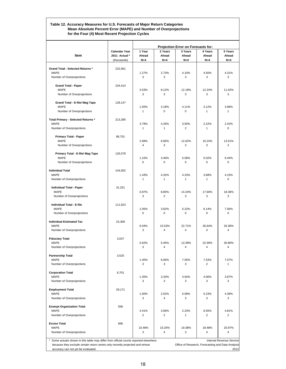#### **Table 12. Accuracy Measures for U.S. Forecasts of Major Return Categories Mean Absolute Percent Error (MAPE) and Number of Overprojections for the Four (4) Most Recent Projection Cycles**

|                                                                                                                    |                                                      |                          |                           | Projection Error on Forecasts for:                |                           |                           |
|--------------------------------------------------------------------------------------------------------------------|------------------------------------------------------|--------------------------|---------------------------|---------------------------------------------------|---------------------------|---------------------------|
| Item                                                                                                               | <b>Calendar Year</b><br>2011 Actual *<br>(thousands) | 1 Year<br>Ahead<br>$N=4$ | 2 Years<br>Ahead<br>$N=4$ | 3 Years<br>Ahead<br>$N=4$                         | 4 Years<br>Ahead<br>$N=4$ | 5 Years<br>Ahead<br>$N=4$ |
| <b>Grand Total - Selected Returns *</b>                                                                            | 232.561                                              |                          |                           |                                                   |                           |                           |
| <b>MAPE</b><br>Number of Overprojections                                                                           |                                                      | 1.27%<br>3               | 2.73%<br>3                | 4.10%<br>3                                        | 4.50%<br>3                | 4.31%<br>3                |
|                                                                                                                    |                                                      |                          |                           |                                                   |                           |                           |
| <b>Grand Total - Paper</b><br><b>MAPE</b>                                                                          | 104,414                                              | 3.53%                    | 8.12%                     | 12.18%                                            | 12.24%                    | 11.02%                    |
| Number of Overprojections                                                                                          |                                                      | 3                        | 3                         | 3                                                 | 3                         | 3                         |
| Grand Total - E-file/ Mag Tape                                                                                     | 128,147                                              |                          |                           |                                                   |                           |                           |
| <b>MAPE</b>                                                                                                        |                                                      | 1.55%<br>$\mathbf{1}$    | 3.18%<br>$\Omega$         | 4.11%<br>$\Omega$                                 | 3.12%<br>1                | 3.68%<br>$\mathbf{1}$     |
| Number of Overprojections                                                                                          |                                                      |                          |                           |                                                   |                           |                           |
| Total Primary - Selected Returns *<br><b>MAPE</b>                                                                  | 213,280                                              | 3.79%                    | 4.26%                     | 3.50%                                             | 2.22%                     | 2.42%                     |
| Number of Overprojections                                                                                          |                                                      | $\mathbf{1}$             | $\mathbf{1}$              | $\overline{2}$                                    | $\mathbf{1}$              | $\mathbf 0$               |
| <b>Primary Total - Paper</b>                                                                                       | 86,701                                               |                          |                           |                                                   |                           |                           |
| <b>MAPE</b>                                                                                                        |                                                      | 2.08%                    | 6.66%                     | 12.62%                                            | 15.24%                    | 13.51%                    |
| Number of Overprojections                                                                                          |                                                      | 4                        | 3                         | 3                                                 | 3                         | 3                         |
| Primary Total - E-file/ Mag Tape                                                                                   | 126,578                                              |                          |                           |                                                   |                           |                           |
| <b>MAPE</b><br>Number of Overprojections                                                                           |                                                      | 1.15%<br>0               | 3.46%<br>$\Omega$         | 5.06%<br>$\Omega$                                 | 5.02%<br>$\Omega$         | 6.44%<br>$\mathbf 0$      |
|                                                                                                                    |                                                      |                          |                           |                                                   |                           |                           |
| <b>Individual Total</b><br><b>MAPE</b>                                                                             | 144,002                                              | 1.43%                    | 4.32%                     | 4.23%                                             | 3.68%                     | 4.15%                     |
| Number of Overprojections                                                                                          |                                                      | $\mathbf{1}$             | 1                         | 1                                                 | 1                         | $\mathbf 0$               |
| <b>Individual Total - Paper</b>                                                                                    | 31,251                                               |                          |                           |                                                   |                           |                           |
| <b>MAPE</b>                                                                                                        |                                                      | 0.87%                    | 8.85%                     | 14.24%                                            | 17.60%                    | 18.36%                    |
| Number of Overprojections                                                                                          |                                                      | 3                        | $\overline{2}$            | 3                                                 | 3                         | 3                         |
| <b>Individual Total - E-file</b><br><b>MAPE</b>                                                                    | 111,923                                              |                          |                           |                                                   | 6.14%                     |                           |
| Number of Overprojections                                                                                          |                                                      | 1.05%<br>0               | 3.62%<br>$\Omega$         | 5.22%<br>$\Omega$                                 | 0                         | 7.56%<br>0                |
| <b>Individual Estimated Tax</b>                                                                                    | 23,309                                               |                          |                           |                                                   |                           |                           |
| <b>MAPE</b>                                                                                                        |                                                      | 6.04%                    | 15.53%                    | 22.71%                                            | 26.64%                    | 26.36%                    |
| Number of Overprojections                                                                                          |                                                      | 3                        | $\overline{4}$            | 4                                                 | 4                         | $\overline{4}$            |
| <b>Fiduciary Total</b>                                                                                             | 3,037                                                |                          |                           |                                                   |                           |                           |
| <b>MAPE</b><br>Number of Overprojections                                                                           |                                                      | 0.62%<br>3               | 5.45%<br>4                | 13.39%<br>4                                       | 22.59%<br>4               | 30.80%<br>$\overline{4}$  |
|                                                                                                                    |                                                      |                          |                           |                                                   |                           |                           |
| <b>Partnership Total</b><br><b>MAPE</b>                                                                            | 3,525                                                | 1.40%                    | 6.06%                     | 7.55%                                             | 7.53%                     | 7.07%                     |
| Number of Overprojections                                                                                          |                                                      | 3                        | 3                         | 3                                                 | 2                         | $\mathbf{1}$              |
| <b>Corporation Total</b>                                                                                           | 6,701                                                |                          |                           |                                                   |                           |                           |
| <b>MAPE</b>                                                                                                        |                                                      | 1.35%                    | 3.33%                     | 4.54%                                             | 4.06%                     | 3.87%                     |
| Number of Overprojections                                                                                          |                                                      | 3                        | 3                         | 3                                                 | 3                         | 3                         |
| <b>Employment Total</b>                                                                                            | 29,171                                               |                          |                           |                                                   |                           |                           |
| <b>MAPE</b><br>Number of Overprojections                                                                           |                                                      | 1.00%<br>3               | 2.02%<br>4                | 5.09%<br>3                                        | 5.23%<br>3                | 4.39%<br>3                |
| <b>Exempt Organization Total</b>                                                                                   | 936                                                  |                          |                           |                                                   |                           |                           |
| <b>MAPE</b>                                                                                                        |                                                      | 4.41%                    | 3.06%                     | 2.23%                                             | 6.55%                     | 4.81%                     |
| Number of Overprojections                                                                                          |                                                      | $\overline{2}$           | $\overline{2}$            | 1                                                 | $\overline{2}$            | $\overline{2}$            |
| <b>Excise Total</b>                                                                                                | 666                                                  |                          |                           |                                                   |                           |                           |
| <b>MAPE</b><br>Number of Overprojections                                                                           |                                                      | 10.46%<br>3              | 15.25%<br>$\overline{4}$  | 19.38%<br>3                                       | 19.48%<br>4               | 20.97%<br>$\overline{4}$  |
|                                                                                                                    |                                                      |                          |                           |                                                   |                           |                           |
| Some actuals shown in this table may differ from official counts reported elsewhere                                |                                                      |                          |                           |                                                   |                           | Internal Revenue Service  |
| because they exclude certain return series only recently projected and whose<br>accuracy can not yet be evaluated. |                                                      |                          |                           | Office of Research, Forecasting and Data Analysis |                           | 2012                      |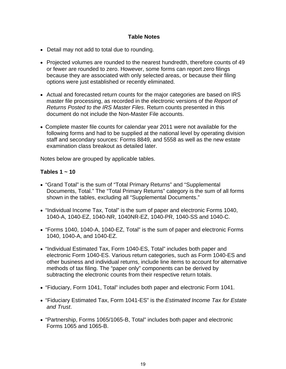# **Table Notes**

- Detail may not add to total due to rounding.
- Projected volumes are rounded to the nearest hundredth, therefore counts of 49 or fewer are rounded to zero. However, some forms can report zero filings because they are associated with only selected areas, or because their filing options were just established or recently eliminated.
- Actual and forecasted return counts for the major categories are based on IRS master file processing, as recorded in the electronic versions of the *Report of Returns Posted to the IRS Master Files*. Return counts presented in this document do not include the Non-Master File accounts.
- Complete master file counts for calendar year 2011 were not available for the following forms and had to be supplied at the national level by operating division staff and secondary sources: Forms 8849, and 5558 as well as the new estate examination class breakout as detailed later.

Notes below are grouped by applicable tables.

# **Tables 1 ~ 10**

- "Grand Total" is the sum of "Total Primary Returns" and "Supplemental Documents, Total." The "Total Primary Returns" category is the sum of all forms shown in the tables, excluding all "Supplemental Documents."
- "Individual Income Tax, Total" is the sum of paper and electronic Forms 1040, 1040-A, 1040-EZ, 1040-NR, 1040NR-EZ, 1040-PR, 1040-SS and 1040-C.
- "Forms 1040, 1040-A, 1040-EZ, Total" is the sum of paper and electronic Forms 1040, 1040-A, and 1040-EZ.
- "Individual Estimated Tax, Form 1040-ES, Total" includes both paper and electronic Form 1040-ES. Various return categories, such as Form 1040-ES and other business and individual returns, include line items to account for alternative methods of tax filing. The "paper only" components can be derived by subtracting the electronic counts from their respective return totals.
- "Fiduciary, Form 1041, Total" includes both paper and electronic Form 1041.
- "Fiduciary Estimated Tax, Form 1041-ES" is the *Estimated Income Tax for Estate and Trust*.
- "Partnership, Forms 1065/1065-B, Total" includes both paper and electronic Forms 1065 and 1065-B.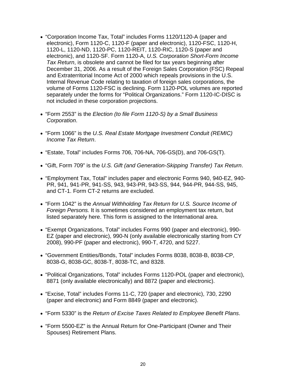- "Corporation Income Tax, Total" includes Forms 1120/1120-A (paper and electronic), Form 1120-C, 1120-F (paper and electronic), 1120-FSC, 1120-H, 1120-L, 1120-ND, 1120-PC, 1120-REIT, 1120-RIC, 1120-S (paper and electronic), and 1120-SF. Form 1120-A, *U.S. Corporation Short-Form Income Tax Return*, is obsolete and cannot be filed for tax years beginning after December 31, 2006. As a result of the Foreign Sales Corporation (FSC) Repeal and Extraterritorial Income Act of 2000 which repeals provisions in the U.S. Internal Revenue Code relating to taxation of foreign sales corporations, the volume of Forms 1120-FSC is declining. Form 1120-POL volumes are reported separately under the forms for "Political Organizations." Form 1120-IC-DISC is not included in these corporation projections.
- "Form 2553" is the *Election (to file Form 1120-S) by a Small Business Corporation*.
- "Form 1066" is the *U.S. Real Estate Mortgage Investment Conduit (REMIC) Income Tax Return*.
- "Estate, Total" includes Forms 706, 706-NA, 706-GS(D), and 706-GS(T).
- "Gift, Form 709" is the *U.S. Gift (and Generation-Skipping Transfer) Tax Return*.
- "Employment Tax, Total" includes paper and electronic Forms 940, 940-EZ, 940- PR, 941, 941-PR, 941-SS, 943, 943-PR, 943-SS, 944, 944-PR, 944-SS, 945, and CT-1. Form CT-2 returns are excluded.
- "Form 1042" is the *Annual Withholding Tax Return for U.S. Source Income of Foreign Persons.* It is sometimes considered an employment tax return, but listed separately here. This form is assigned to the International area.
- "Exempt Organizations, Total" includes Forms 990 (paper and electronic), 990- EZ (paper and electronic), 990-N (only available electronically starting from CY 2008), 990-PF (paper and electronic), 990-T, 4720, and 5227.
- "Government Entities/Bonds, Total" includes Forms 8038, 8038-B, 8038-CP, 8038-G, 8038-GC, 8038-T, 8038-TC, and 8328.
- "Political Organizations, Total" includes Forms 1120-POL (paper and electronic), 8871 (only available electronically) and 8872 (paper and electronic).
- "Excise, Total" includes Forms 11-C, 720 (paper and electronic), 730, 2290 (paper and electronic) and Form 8849 (paper and electronic).
- "Form 5330" is the *Return of Excise Taxes Related to Employee Benefit Plans*.
- "Form 5500-EZ" is the Annual Return for One-Participant (Owner and Their Spouses) Retirement Plans.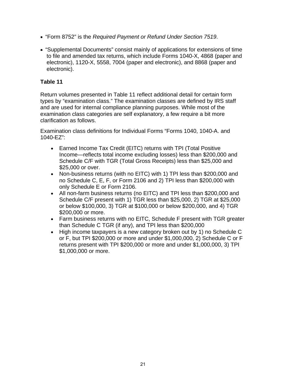- "Form 8752" is the *Required Payment or Refund Under Section 7519*.
- "Supplemental Documents" consist mainly of applications for extensions of time to file and amended tax returns, which include Forms 1040-X, 4868 (paper and electronic), 1120-X, 5558, 7004 (paper and electronic), and 8868 (paper and electronic).

# **Table 11**

Return volumes presented in Table 11 reflect additional detail for certain form types by "examination class." The examination classes are defined by IRS staff and are used for internal compliance planning purposes. While most of the examination class categories are self explanatory, a few require a bit more clarification as follows.

Examination class definitions for Individual Forms "Forms 1040, 1040-A. and 1040-EZ":

- Earned Income Tax Credit (EITC) returns with TPI (Total Positive Income—reflects total income excluding losses) less than \$200,000 and Schedule C/F with TGR (Total Gross Receipts) less than \$25,000 and \$25,000 or over.
- Non-business returns (with no EITC) with 1) TPI less than \$200,000 and no Schedule C, E, F, or Form 2106 and 2) TPI less than \$200,000 with only Schedule E or Form 2106.
- All non-farm business returns (no EITC) and TPI less than \$200,000 and Schedule C/F present with 1) TGR less than \$25,000, 2) TGR at \$25,000 or below \$100,000, 3) TGR at \$100,000 or below \$200,000, and 4) TGR \$200,000 or more.
- Farm business returns with no EITC, Schedule F present with TGR greater than Schedule C TGR (if any), and TPI less than \$200,000
- High income taxpayers is a new category broken out by 1) no Schedule C or F, but TPI \$200,000 or more and under \$1,000,000, 2) Schedule C or F returns present with TPI \$200,000 or more and under \$1,000,000, 3) TPI \$1,000,000 or more.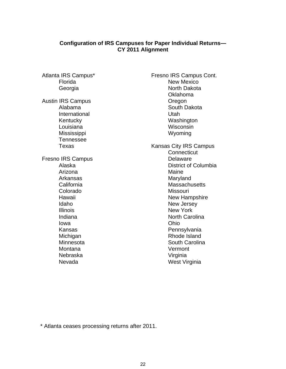# **Configuration of IRS Campuses for Paper Individual Returns— CY 2011 Alignment**

 Florida Georgia Austin IRS Campus Alabama International Kentucky Louisiana Mississippi Tennessee Texas Fresno IRS Campus Alaska Arizona Arkansas **California** Colorado Hawaii Idaho Illinois Indiana Iowa Kansas Michigan Minnesota Montana Nebraska Nevada

Atlanta IRS Campus\*

Fresno IRS Campus Cont. New Mexico North Dakota Oklahoma Oregon South Dakota Utah Washington **Wisconsin**  Wyoming Kansas City IRS Campus **Connecticut** Delaware District of Columbia Maine Maryland **Massachusetts** Missouri New Hampshire New Jersey New York North Carolina Ohio Pennsylvania Rhode Island South Carolina Vermont Virginia West Virginia

\* Atlanta ceases processing returns after 2011.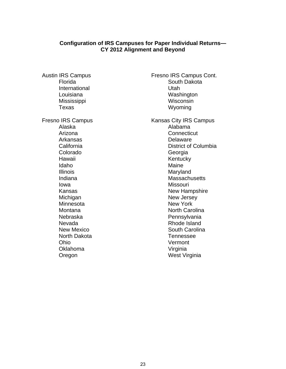### **Configuration of IRS Campuses for Paper Individual Returns— CY 2012 Alignment and Beyond**

Austin IRS Campus Florida International Louisiana Mississippi Texas Fresno IRS Campus Alaska Arizona Arkansas **California** Colorado Hawaii Idaho Illinois Indiana Iowa Kansas Michigan Minnesota **Montana**  Nebraska Nevada New Mexico North Dakota Ohio Oklahoma Oregon

Washington **Wisconsin**  Wyoming Kansas City IRS Campus Alabama **Connecticut** Delaware District of Columbia Georgia **Kentucky**  Maine Maryland **Massachusetts Missouri** New Hampshire New Jersey New York North Carolina **Pennsylvania**  Rhode Island South Carolina Tennessee Vermont Virginia

West Virginia

Fresno IRS Campus Cont. South Dakota

Utah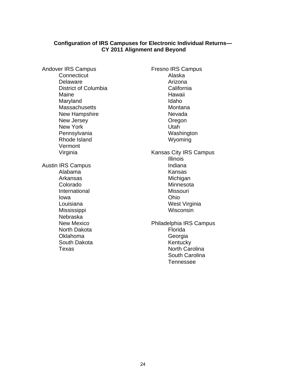### **Configuration of IRS Campuses for Electronic Individual Returns— CY 2011 Alignment and Beyond**

Andover IRS Campus **Connecticut**  Delaware District of Columbia Maine Maryland **Massachusetts**  New Hampshire New Jersey New York Pennsylvania Rhode Island Vermont Virginia Austin IRS Campus Alabama Arkansas Colorado International Iowa Louisiana Mississippi Nebraska New Mexico North Dakota Oklahoma South Dakota Texas

Fresno IRS Campus Alaska Arizona California Hawaii Idaho Montana Nevada Oregon Utah Washington Wyoming Kansas City IRS Campus Illinois Indiana Kansas Michigan **Minnesota** Missouri Ohio West Virginia **Wisconsin** Philadelphia IRS Campus Florida Georgia Kentucky North Carolina South Carolina Tennessee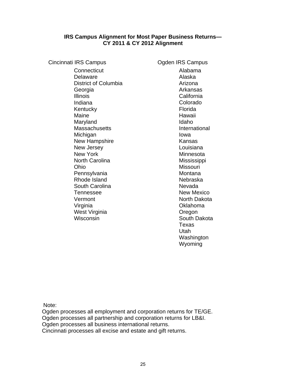# **IRS Campus Alignment for Most Paper Business Returns— CY 2011 & CY 2012 Alignment**

| <b>Cincinnati IRS Campus</b> | Ogden IRS Campus   |
|------------------------------|--------------------|
| Connecticut                  | Alabama            |
| Delaware                     | Alaska             |
| District of Columbia         | Arizona            |
| Georgia                      | Arkansas           |
| <b>Illinois</b>              | California         |
| Indiana                      | Colorado           |
| Kentucky                     | Florida            |
| Maine                        | Hawaii             |
| Maryland                     | Idaho              |
| <b>Massachusetts</b>         | International      |
| Michigan                     | Iowa               |
| <b>New Hampshire</b>         | Kansas             |
| New Jersey                   | Louisiana          |
| <b>New York</b>              | Minnesota          |
| <b>North Carolina</b>        | Mississippi        |
| Ohio                         | <b>Missouri</b>    |
| Pennsylvania                 | Montana            |
| Rhode Island                 | Nebraska           |
| South Carolina               | Nevada             |
| <b>Tennessee</b>             | <b>New Mexico</b>  |
| Vermont                      | <b>North Dakot</b> |
| Virginia                     | Oklahoma           |
| West Virginia                | Oregon             |
| Wisconsin                    | South Dakot        |

Alabama Alaska Arizona Arkansas California Colorado Florida Hawaii Idaho International Iowa Kansas Louisiana **Minnesota** Mississippi Missouri Montana Nebraska Nevada New Mexico North Dakota Oklahoma **Oregon** South Dakota Texas Utah Washington Wyoming

Note:

Ogden processes all employment and corporation returns for TE/GE. Ogden processes all partnership and corporation returns for LB&I. Ogden processes all business international returns. Cincinnati processes all excise and estate and gift returns.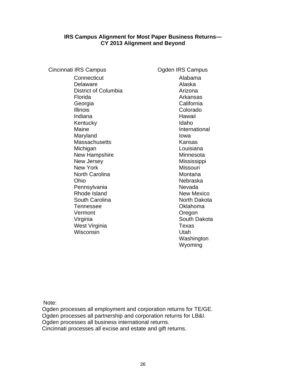### **IRS Campus Alignment for Most Paper Business Returns— CY 2013 Alignment and Beyond**

Cincinnati IRS Campus Cincinnati IRS Campus **Connecticut** Delaware District of Columbia Florida Georgia Illinois Indiana Kentucky Maine Maryland **Massachusetts** Michigan New Hampshire New Jersey New York North Carolina Ohio **Pennsylvania** Rhode Island South Carolina Tennessee Vermont Virginia West Virginia Wisconsin

Alabama Alaska Arizona Arkansas California Colorado Hawaii Idaho International Iowa Kansas Louisiana Minnesota Mississippi Missouri Montana Nebraska Nevada New Mexico North Dakota Oklahoma **Oregon** South Dakota Texas Utah **Washington** Wyoming

Note:

Ogden processes all employment and corporation returns for TE/GE. Ogden processes all partnership and corporation returns for LB&I. Ogden processes all business international returns. Cincinnati processes all excise and estate and gift returns.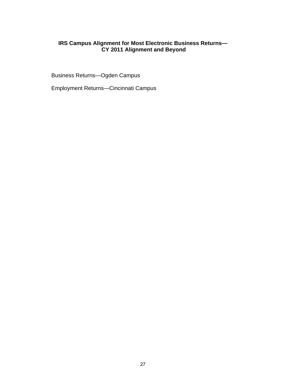# **IRS Campus Alignment for Most Electronic Business Returns— CY 2011 Alignment and Beyond**

Business Returns—Ogden Campus

Employment Returns—Cincinnati Campus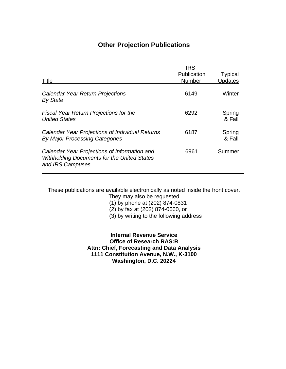# **Other Projection Publications**

|                                                                                                                        | <b>IRS</b><br>Publication | <b>Typical</b>   |
|------------------------------------------------------------------------------------------------------------------------|---------------------------|------------------|
| Title                                                                                                                  | <b>Number</b>             | <b>Updates</b>   |
| Calendar Year Return Projections<br><b>By State</b>                                                                    | 6149                      | Winter           |
| <b>Fiscal Year Return Projections for the</b><br><b>United States</b>                                                  | 6292                      | Spring<br>& Fall |
| Calendar Year Projections of Individual Returns<br>By Major Processing Categories                                      | 6187                      | Spring<br>& Fall |
| Calendar Year Projections of Information and<br><b>Withholding Documents for the United States</b><br>and IRS Campuses | 6961                      | Summer           |

These publications are available electronically as noted inside the front cover.

They may also be requested

(1) by phone at (202) 874-0831

(2) by fax at (202) 874-0660, or

(3) by writing to the following address

**Internal Revenue Service Office of Research RAS:R Attn: Chief, Forecasting and Data Analysis 1111 Constitution Avenue, N.W., K-3100 Washington, D.C. 20224**